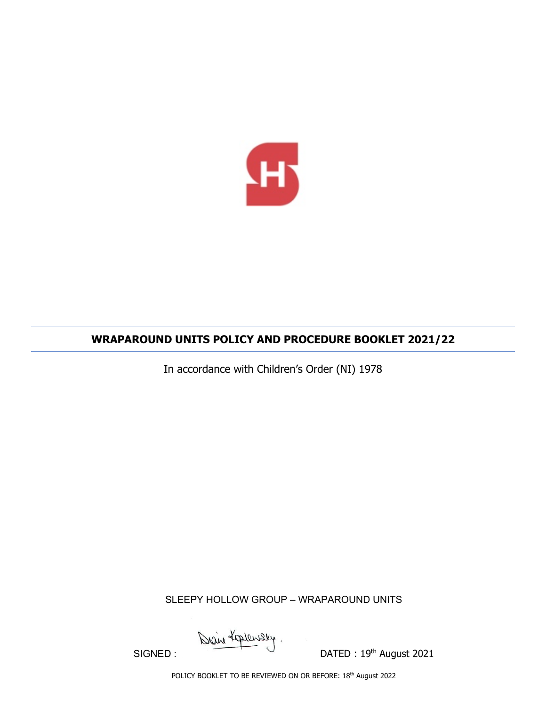

## **WRAPAROUND UNITS POLICY AND PROCEDURE BOOKLET 2021/22**

In accordance with Children's Order (NI) 1978

SLEEPY HOLLOW GROUP – WRAPAROUND UNITS

Drain Laplense

SIGNED : DATED : 19<sup>th</sup> August 2021

POLICY BOOKLET TO BE REVIEWED ON OR BEFORE: 18<sup>th</sup> August 2022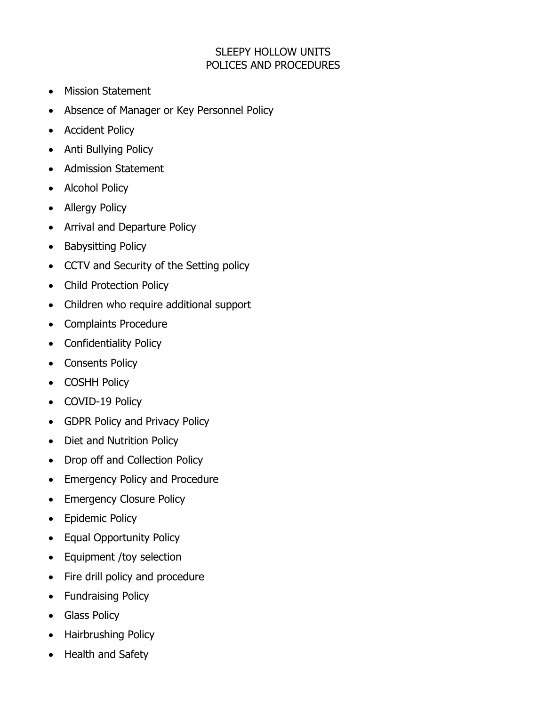### SLEEPY HOLLOW UNITS POLICES AND PROCEDURES

- Mission Statement
- Absence of Manager or Key Personnel Policy
- Accident Policy
- Anti Bullying Policy
- Admission Statement
- Alcohol Policy
- Allergy Policy
- Arrival and Departure Policy
- Babysitting Policy
- CCTV and Security of the Setting policy
- Child Protection Policy
- Children who require additional support
- Complaints Procedure
- Confidentiality Policy
- Consents Policy
- COSHH Policy
- COVID-19 Policy
- GDPR Policy and Privacy Policy
- Diet and Nutrition Policy
- Drop off and Collection Policy
- Emergency Policy and Procedure
- Emergency Closure Policy
- Epidemic Policy
- Equal Opportunity Policy
- Equipment /toy selection
- Fire drill policy and procedure
- Fundraising Policy
- Glass Policy
- Hairbrushing Policy
- Health and Safety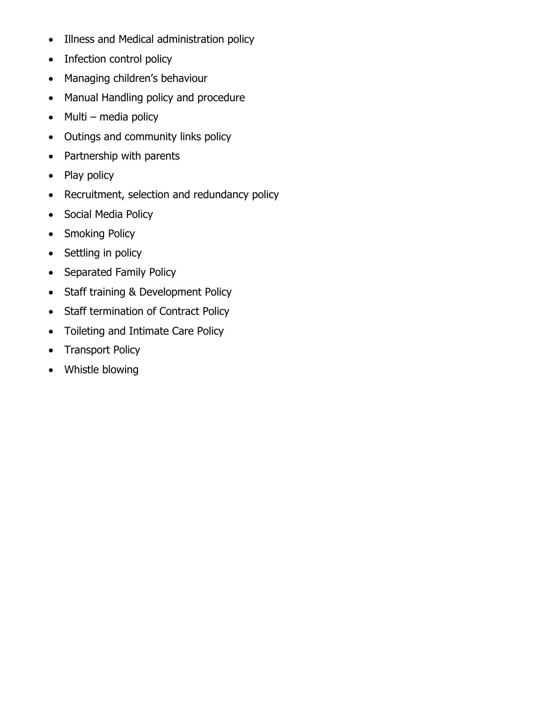- Illness and Medical administration policy
- Infection control policy
- Managing children's behaviour
- Manual Handling policy and procedure
- Multi media policy
- Outings and community links policy
- Partnership with parents
- Play policy
- Recruitment, selection and redundancy policy
- Social Media Policy
- Smoking Policy
- Settling in policy
- Separated Family Policy
- Staff training & Development Policy
- Staff termination of Contract Policy
- Toileting and Intimate Care Policy
- Transport Policy
- Whistle blowing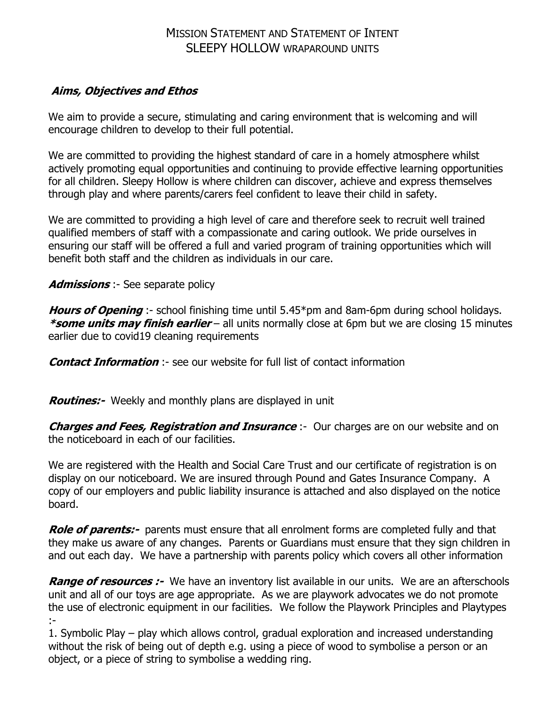## MISSION STATEMENT AND STATEMENT OF INTENT SLEEPY HOLLOW WRAPAROUND UNITS

### **Aims, Objectives and Ethos**

We aim to provide a secure, stimulating and caring environment that is welcoming and will encourage children to develop to their full potential.

We are committed to providing the highest standard of care in a homely atmosphere whilst actively promoting equal opportunities and continuing to provide effective learning opportunities for all children. Sleepy Hollow is where children can discover, achieve and express themselves through play and where parents/carers feel confident to leave their child in safety.

We are committed to providing a high level of care and therefore seek to recruit well trained qualified members of staff with a compassionate and caring outlook. We pride ourselves in ensuring our staff will be offered a full and varied program of training opportunities which will benefit both staff and the children as individuals in our care.

**Admissions** :- See separate policy

**Hours of Opening** :- school finishing time until 5.45\*pm and 8am-6pm during school holidays. **\*some units may finish earlier** – all units normally close at 6pm but we are closing 15 minutes earlier due to covid19 cleaning requirements

**Contact Information** :- see our website for full list of contact information

**Routines:-** Weekly and monthly plans are displayed in unit

**Charges and Fees, Registration and Insurance** :- Our charges are on our website and on the noticeboard in each of our facilities.

We are registered with the Health and Social Care Trust and our certificate of registration is on display on our noticeboard. We are insured through Pound and Gates Insurance Company. A copy of our employers and public liability insurance is attached and also displayed on the notice board.

**Role of parents:-** parents must ensure that all enrolment forms are completed fully and that they make us aware of any changes. Parents or Guardians must ensure that they sign children in and out each day. We have a partnership with parents policy which covers all other information

**Range of resources :-** We have an inventory list available in our units. We are an afterschools unit and all of our toys are age appropriate. As we are playwork advocates we do not promote the use of electronic equipment in our facilities. We follow the Playwork Principles and Playtypes :-

1. Symbolic Play – play which allows control, gradual exploration and increased understanding without the risk of being out of depth e.g. using a piece of wood to symbolise a person or an object, or a piece of string to symbolise a wedding ring.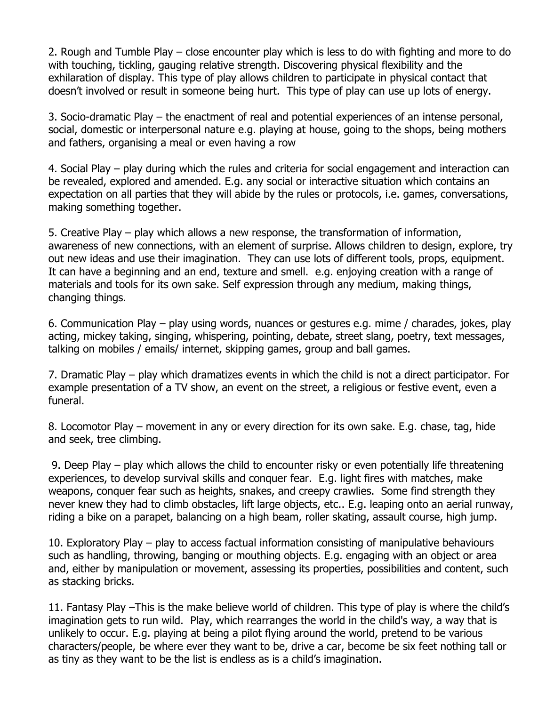2. Rough and Tumble Play – close encounter play which is less to do with fighting and more to do with touching, tickling, gauging relative strength. Discovering physical flexibility and the exhilaration of display. This type of play allows children to participate in physical contact that doesn't involved or result in someone being hurt. This type of play can use up lots of energy.

3. Socio-dramatic Play – the enactment of real and potential experiences of an intense personal, social, domestic or interpersonal nature e.g. playing at house, going to the shops, being mothers and fathers, organising a meal or even having a row

4. Social Play – play during which the rules and criteria for social engagement and interaction can be revealed, explored and amended. E.g. any social or interactive situation which contains an expectation on all parties that they will abide by the rules or protocols, i.e. games, conversations, making something together.

5. Creative Play – play which allows a new response, the transformation of information, awareness of new connections, with an element of surprise. Allows children to design, explore, try out new ideas and use their imagination. They can use lots of different tools, props, equipment. It can have a beginning and an end, texture and smell. e.g. enjoying creation with a range of materials and tools for its own sake. Self expression through any medium, making things, changing things.

6. Communication Play – play using words, nuances or gestures e.g. mime / charades, jokes, play acting, mickey taking, singing, whispering, pointing, debate, street slang, poetry, text messages, talking on mobiles / emails/ internet, skipping games, group and ball games.

7. Dramatic Play – play which dramatizes events in which the child is not a direct participator. For example presentation of a TV show, an event on the street, a religious or festive event, even a funeral.

8. Locomotor Play – movement in any or every direction for its own sake. E.g. chase, tag, hide and seek, tree climbing.

9. Deep Play – play which allows the child to encounter risky or even potentially life threatening experiences, to develop survival skills and conquer fear. E.g. light fires with matches, make weapons, conquer fear such as heights, snakes, and creepy crawlies. Some find strength they never knew they had to climb obstacles, lift large objects, etc.. E.g. leaping onto an aerial runway, riding a bike on a parapet, balancing on a high beam, roller skating, assault course, high jump.

10. Exploratory Play – play to access factual information consisting of manipulative behaviours such as handling, throwing, banging or mouthing objects. E.g. engaging with an object or area and, either by manipulation or movement, assessing its properties, possibilities and content, such as stacking bricks.

11. Fantasy Play –This is the make believe world of children. This type of play is where the child's imagination gets to run wild. Play, which rearranges the world in the child's way, a way that is unlikely to occur. E.g. playing at being a pilot flying around the world, pretend to be various characters/people, be where ever they want to be, drive a car, become be six feet nothing tall or as tiny as they want to be the list is endless as is a child's imagination.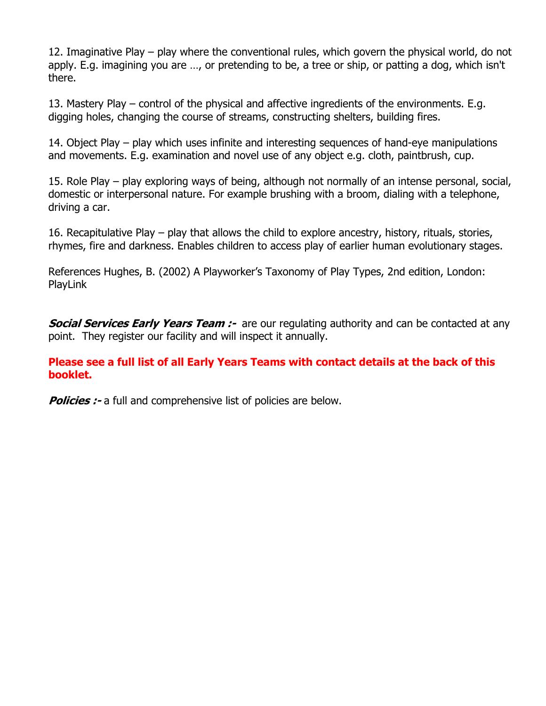12. Imaginative Play – play where the conventional rules, which govern the physical world, do not apply. E.g. imagining you are …, or pretending to be, a tree or ship, or patting a dog, which isn't there.

13. Mastery Play – control of the physical and affective ingredients of the environments. E.g. digging holes, changing the course of streams, constructing shelters, building fires.

14. Object Play – play which uses infinite and interesting sequences of hand-eye manipulations and movements. E.g. examination and novel use of any object e.g. cloth, paintbrush, cup.

15. Role Play – play exploring ways of being, although not normally of an intense personal, social, domestic or interpersonal nature. For example brushing with a broom, dialing with a telephone, driving a car.

16. Recapitulative Play – play that allows the child to explore ancestry, history, rituals, stories, rhymes, fire and darkness. Enables children to access play of earlier human evolutionary stages.

References Hughes, B. (2002) A Playworker's Taxonomy of Play Types, 2nd edition, London: PlayLink

**Social Services Early Years Team :-** are our regulating authority and can be contacted at any point. They register our facility and will inspect it annually.

**Please see a full list of all Early Years Teams with contact details at the back of this booklet.**

**Policies :-** a full and comprehensive list of policies are below.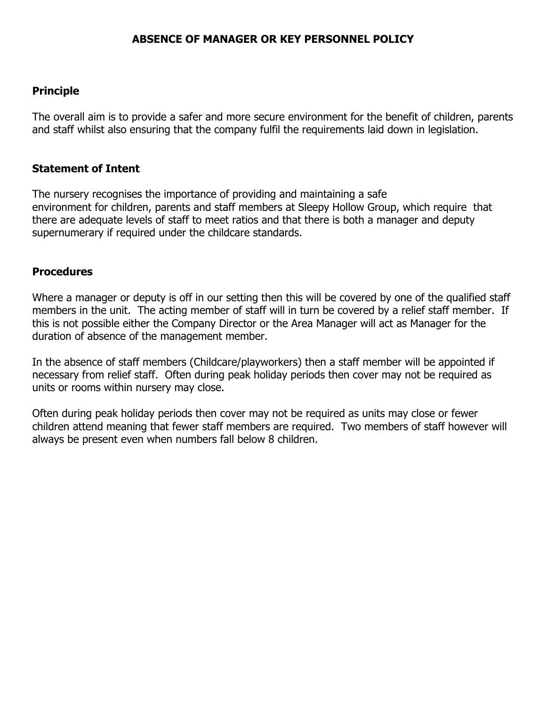#### **ABSENCE OF MANAGER OR KEY PERSONNEL POLICY**

#### **Principle**

The overall aim is to provide a safer and more secure environment for the benefit of children, parents and staff whilst also ensuring that the company fulfil the requirements laid down in legislation.

#### **Statement of Intent**

The nursery recognises the importance of providing and maintaining a safe environment for children, parents and staff members at Sleepy Hollow Group, which require that there are adequate levels of staff to meet ratios and that there is both a manager and deputy supernumerary if required under the childcare standards.

#### **Procedures**

Where a manager or deputy is off in our setting then this will be covered by one of the qualified staff members in the unit. The acting member of staff will in turn be covered by a relief staff member. If this is not possible either the Company Director or the Area Manager will act as Manager for the duration of absence of the management member.

In the absence of staff members (Childcare/playworkers) then a staff member will be appointed if necessary from relief staff. Often during peak holiday periods then cover may not be required as units or rooms within nursery may close.

Often during peak holiday periods then cover may not be required as units may close or fewer children attend meaning that fewer staff members are required. Two members of staff however will always be present even when numbers fall below 8 children.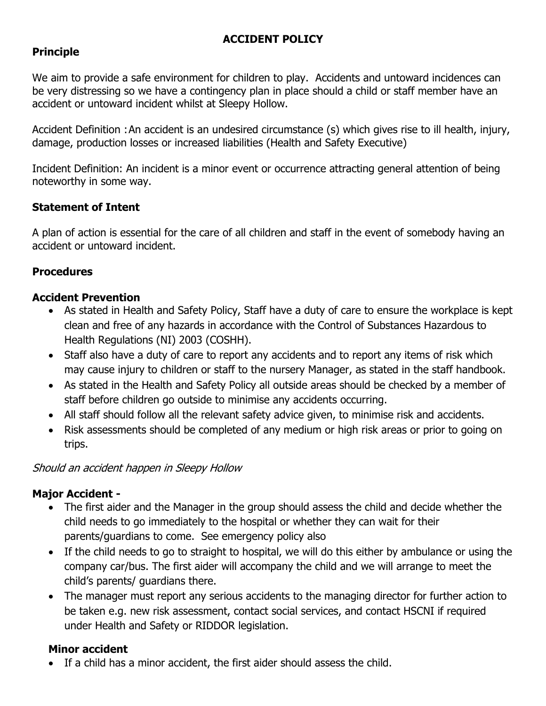### **ACCIDENT POLICY**

### **Principle**

We aim to provide a safe environment for children to play. Accidents and untoward incidences can be very distressing so we have a contingency plan in place should a child or staff member have an accident or untoward incident whilst at Sleepy Hollow.

Accident Definition :An accident is an undesired circumstance (s) which gives rise to ill health, injury, damage, production losses or increased liabilities (Health and Safety Executive)

Incident Definition: An incident is a minor event or occurrence attracting general attention of being noteworthy in some way.

### **Statement of Intent**

A plan of action is essential for the care of all children and staff in the event of somebody having an accident or untoward incident.

#### **Procedures**

### **Accident Prevention**

- As stated in Health and Safety Policy, Staff have a duty of care to ensure the workplace is kept clean and free of any hazards in accordance with the Control of Substances Hazardous to Health Regulations (NI) 2003 (COSHH).
- Staff also have a duty of care to report any accidents and to report any items of risk which may cause injury to children or staff to the nursery Manager, as stated in the staff handbook.
- As stated in the Health and Safety Policy all outside areas should be checked by a member of staff before children go outside to minimise any accidents occurring.
- All staff should follow all the relevant safety advice given, to minimise risk and accidents.
- Risk assessments should be completed of any medium or high risk areas or prior to going on trips.

#### Should an accident happen in Sleepy Hollow

### **Major Accident -**

- The first aider and the Manager in the group should assess the child and decide whether the child needs to go immediately to the hospital or whether they can wait for their parents/guardians to come. See emergency policy also
- If the child needs to go to straight to hospital, we will do this either by ambulance or using the company car/bus. The first aider will accompany the child and we will arrange to meet the child's parents/ guardians there.
- The manager must report any serious accidents to the managing director for further action to be taken e.g. new risk assessment, contact social services, and contact HSCNI if required under Health and Safety or RIDDOR legislation.

### **Minor accident**

If a child has a minor accident, the first aider should assess the child.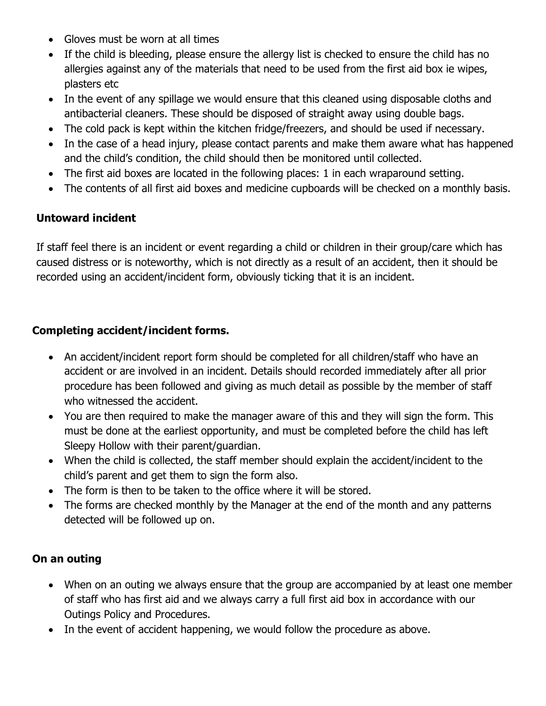- Gloves must be worn at all times
- If the child is bleeding, please ensure the allergy list is checked to ensure the child has no allergies against any of the materials that need to be used from the first aid box ie wipes, plasters etc
- In the event of any spillage we would ensure that this cleaned using disposable cloths and antibacterial cleaners. These should be disposed of straight away using double bags.
- The cold pack is kept within the kitchen fridge/freezers, and should be used if necessary.
- In the case of a head injury, please contact parents and make them aware what has happened and the child's condition, the child should then be monitored until collected.
- The first aid boxes are located in the following places: 1 in each wraparound setting.
- The contents of all first aid boxes and medicine cupboards will be checked on a monthly basis.

## **Untoward incident**

If staff feel there is an incident or event regarding a child or children in their group/care which has caused distress or is noteworthy, which is not directly as a result of an accident, then it should be recorded using an accident/incident form, obviously ticking that it is an incident.

### **Completing accident/incident forms.**

- An accident/incident report form should be completed for all children/staff who have an accident or are involved in an incident. Details should recorded immediately after all prior procedure has been followed and giving as much detail as possible by the member of staff who witnessed the accident.
- You are then required to make the manager aware of this and they will sign the form. This must be done at the earliest opportunity, and must be completed before the child has left Sleepy Hollow with their parent/guardian.
- When the child is collected, the staff member should explain the accident/incident to the child's parent and get them to sign the form also.
- The form is then to be taken to the office where it will be stored.
- The forms are checked monthly by the Manager at the end of the month and any patterns detected will be followed up on.

## **On an outing**

- When on an outing we always ensure that the group are accompanied by at least one member of staff who has first aid and we always carry a full first aid box in accordance with our Outings Policy and Procedures.
- In the event of accident happening, we would follow the procedure as above.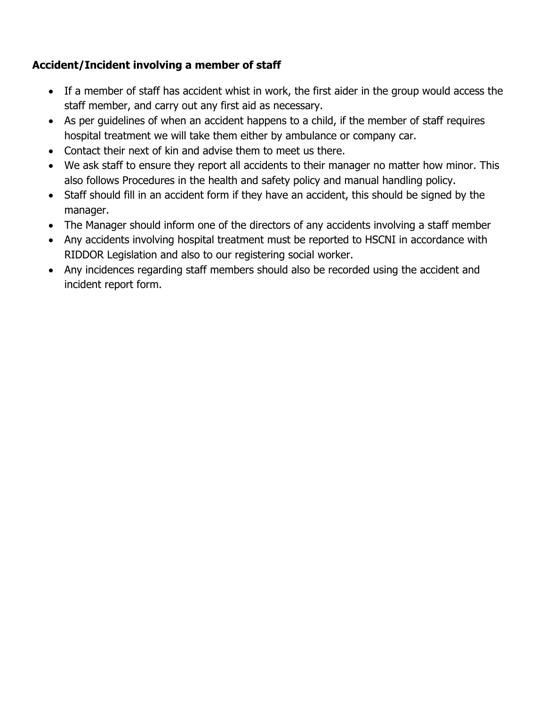## **Accident/Incident involving a member of staff**

- If a member of staff has accident whist in work, the first aider in the group would access the staff member, and carry out any first aid as necessary.
- As per guidelines of when an accident happens to a child, if the member of staff requires hospital treatment we will take them either by ambulance or company car.
- Contact their next of kin and advise them to meet us there.
- We ask staff to ensure they report all accidents to their manager no matter how minor. This also follows Procedures in the health and safety policy and manual handling policy.
- Staff should fill in an accident form if they have an accident, this should be signed by the manager.
- The Manager should inform one of the directors of any accidents involving a staff member
- Any accidents involving hospital treatment must be reported to HSCNI in accordance with RIDDOR Legislation and also to our registering social worker.
- Any incidences regarding staff members should also be recorded using the accident and incident report form.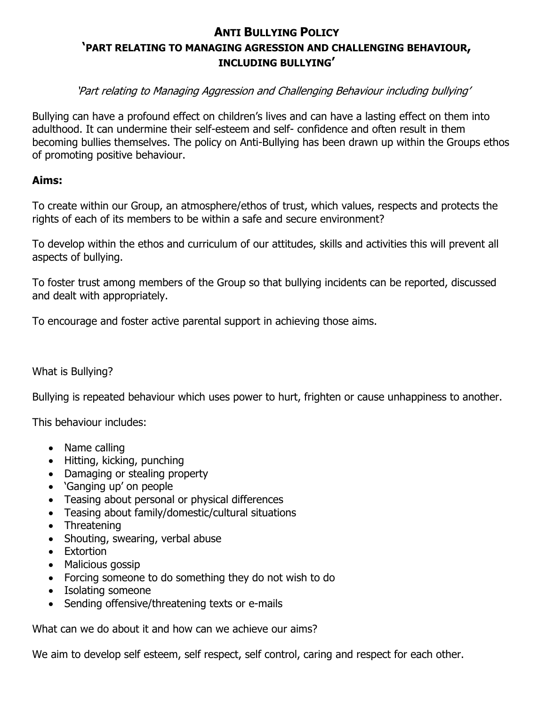# **ANTI BULLYING POLICY 'PART RELATING TO MANAGING AGRESSION AND CHALLENGING BEHAVIOUR, INCLUDING BULLYING'**

### 'Part relating to Managing Aggression and Challenging Behaviour including bullying'

Bullying can have a profound effect on children's lives and can have a lasting effect on them into adulthood. It can undermine their self-esteem and self- confidence and often result in them becoming bullies themselves. The policy on Anti-Bullying has been drawn up within the Groups ethos of promoting positive behaviour.

#### **Aims:**

To create within our Group, an atmosphere/ethos of trust, which values, respects and protects the rights of each of its members to be within a safe and secure environment?

To develop within the ethos and curriculum of our attitudes, skills and activities this will prevent all aspects of bullying.

To foster trust among members of the Group so that bullying incidents can be reported, discussed and dealt with appropriately.

To encourage and foster active parental support in achieving those aims.

### What is Bullying?

Bullying is repeated behaviour which uses power to hurt, frighten or cause unhappiness to another.

This behaviour includes:

- Name calling
- Hitting, kicking, punching
- Damaging or stealing property
- 'Ganging up' on people
- Teasing about personal or physical differences
- Teasing about family/domestic/cultural situations
- Threatening
- Shouting, swearing, verbal abuse
- Extortion
- Malicious gossip
- Forcing someone to do something they do not wish to do
- Isolating someone
- Sending offensive/threatening texts or e-mails

What can we do about it and how can we achieve our aims?

We aim to develop self esteem, self respect, self control, caring and respect for each other.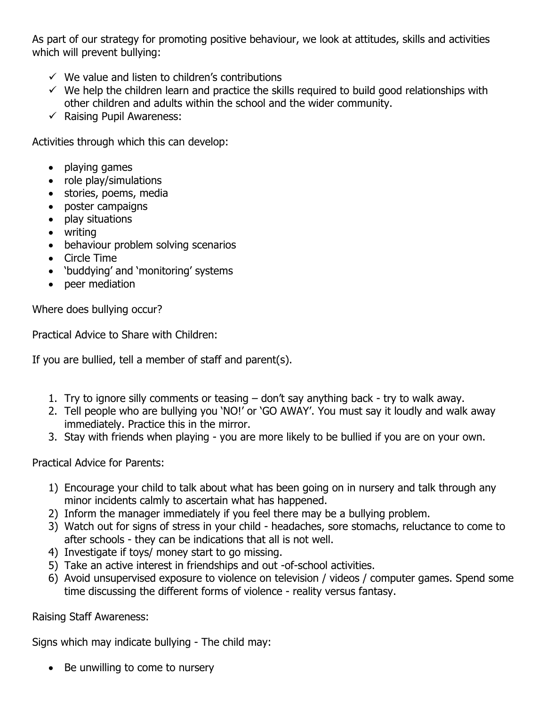As part of our strategy for promoting positive behaviour, we look at attitudes, skills and activities which will prevent bullying:

- $\checkmark$  We value and listen to children's contributions
- $\checkmark$  We help the children learn and practice the skills required to build good relationships with other children and adults within the school and the wider community.
- $\checkmark$  Raising Pupil Awareness:

Activities through which this can develop:

- playing games
- role play/simulations
- stories, poems, media
- poster campaigns
- play situations
- writing
- behaviour problem solving scenarios
- Circle Time
- 'buddying' and 'monitoring' systems
- peer mediation

Where does bullying occur?

Practical Advice to Share with Children:

If you are bullied, tell a member of staff and parent(s).

- 1. Try to ignore silly comments or teasing don't say anything back try to walk away.
- 2. Tell people who are bullying you 'NO!' or 'GO AWAY'. You must say it loudly and walk away immediately. Practice this in the mirror.
- 3. Stay with friends when playing you are more likely to be bullied if you are on your own.

Practical Advice for Parents:

- 1) Encourage your child to talk about what has been going on in nursery and talk through any minor incidents calmly to ascertain what has happened.
- 2) Inform the manager immediately if you feel there may be a bullying problem.
- 3) Watch out for signs of stress in your child headaches, sore stomachs, reluctance to come to after schools - they can be indications that all is not well.
- 4) Investigate if toys/ money start to go missing.
- 5) Take an active interest in friendships and out -of-school activities.
- 6) Avoid unsupervised exposure to violence on television / videos / computer games. Spend some time discussing the different forms of violence - reality versus fantasy.

Raising Staff Awareness:

Signs which may indicate bullying - The child may:

• Be unwilling to come to nursery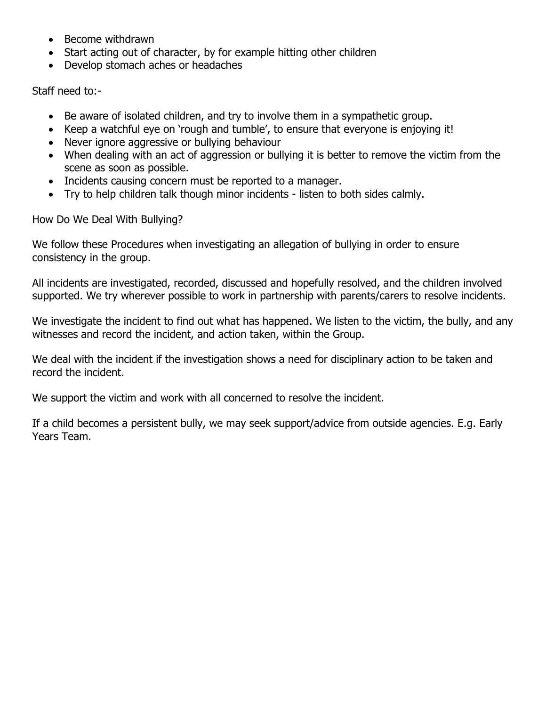- Become withdrawn
- Start acting out of character, by for example hitting other children
- Develop stomach aches or headaches

Staff need to:-

- Be aware of isolated children, and try to involve them in a sympathetic group.
- Keep a watchful eye on 'rough and tumble', to ensure that everyone is enjoying it!
- Never ignore aggressive or bullying behaviour
- When dealing with an act of aggression or bullying it is better to remove the victim from the scene as soon as possible.
- Incidents causing concern must be reported to a manager.
- Try to help children talk though minor incidents listen to both sides calmly.

How Do We Deal With Bullying?

We follow these Procedures when investigating an allegation of bullying in order to ensure consistency in the group.

All incidents are investigated, recorded, discussed and hopefully resolved, and the children involved supported. We try wherever possible to work in partnership with parents/carers to resolve incidents.

We investigate the incident to find out what has happened. We listen to the victim, the bully, and any witnesses and record the incident, and action taken, within the Group.

We deal with the incident if the investigation shows a need for disciplinary action to be taken and record the incident.

We support the victim and work with all concerned to resolve the incident.

If a child becomes a persistent bully, we may seek support/advice from outside agencies. E.g. Early Years Team.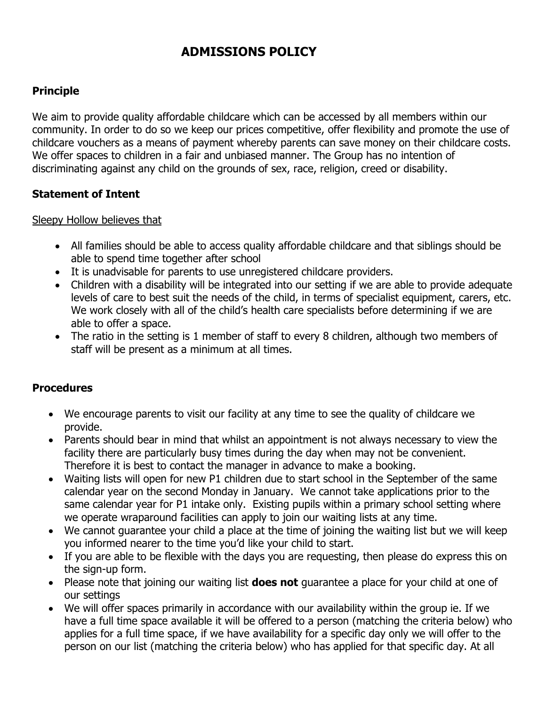# **ADMISSIONS POLICY**

### **Principle**

We aim to provide quality affordable childcare which can be accessed by all members within our community. In order to do so we keep our prices competitive, offer flexibility and promote the use of childcare vouchers as a means of payment whereby parents can save money on their childcare costs. We offer spaces to children in a fair and unbiased manner. The Group has no intention of discriminating against any child on the grounds of sex, race, religion, creed or disability.

### **Statement of Intent**

#### Sleepy Hollow believes that

- All families should be able to access quality affordable childcare and that siblings should be able to spend time together after school
- It is unadvisable for parents to use unregistered childcare providers.
- Children with a disability will be integrated into our setting if we are able to provide adequate levels of care to best suit the needs of the child, in terms of specialist equipment, carers, etc. We work closely with all of the child's health care specialists before determining if we are able to offer a space.
- The ratio in the setting is 1 member of staff to every 8 children, although two members of staff will be present as a minimum at all times.

### **Procedures**

- We encourage parents to visit our facility at any time to see the quality of childcare we provide.
- Parents should bear in mind that whilst an appointment is not always necessary to view the facility there are particularly busy times during the day when may not be convenient. Therefore it is best to contact the manager in advance to make a booking.
- Waiting lists will open for new P1 children due to start school in the September of the same calendar year on the second Monday in January. We cannot take applications prior to the same calendar year for P1 intake only. Existing pupils within a primary school setting where we operate wraparound facilities can apply to join our waiting lists at any time.
- We cannot guarantee your child a place at the time of joining the waiting list but we will keep you informed nearer to the time you'd like your child to start.
- If you are able to be flexible with the days you are requesting, then please do express this on the sign-up form.
- Please note that joining our waiting list **does not** guarantee a place for your child at one of our settings
- We will offer spaces primarily in accordance with our availability within the group ie. If we have a full time space available it will be offered to a person (matching the criteria below) who applies for a full time space, if we have availability for a specific day only we will offer to the person on our list (matching the criteria below) who has applied for that specific day. At all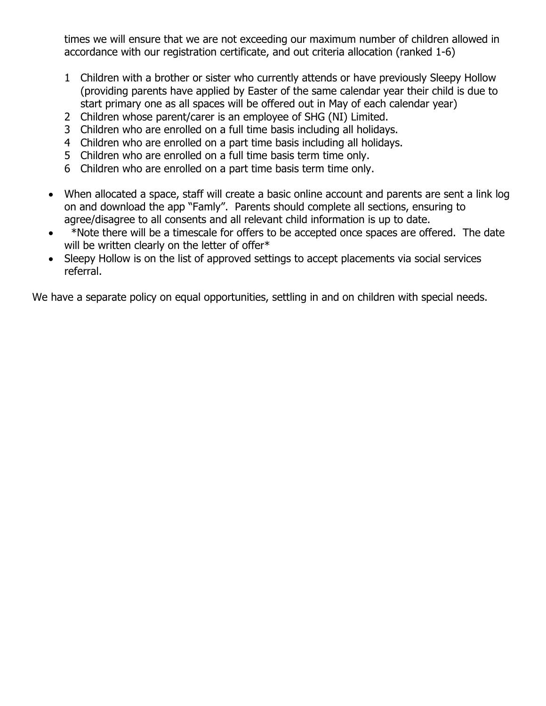times we will ensure that we are not exceeding our maximum number of children allowed in accordance with our registration certificate, and out criteria allocation (ranked 1-6)

- 1 Children with a brother or sister who currently attends or have previously Sleepy Hollow (providing parents have applied by Easter of the same calendar year their child is due to start primary one as all spaces will be offered out in May of each calendar year)
- 2 Children whose parent/carer is an employee of SHG (NI) Limited.
- 3 Children who are enrolled on a full time basis including all holidays.
- 4 Children who are enrolled on a part time basis including all holidays.
- 5 Children who are enrolled on a full time basis term time only.
- 6 Children who are enrolled on a part time basis term time only.
- When allocated a space, staff will create a basic online account and parents are sent a link log on and download the app "Famly". Parents should complete all sections, ensuring to agree/disagree to all consents and all relevant child information is up to date.
- \*Note there will be a timescale for offers to be accepted once spaces are offered. The date will be written clearly on the letter of offer\*
- Sleepy Hollow is on the list of approved settings to accept placements via social services referral.

We have a separate policy on equal opportunities, settling in and on children with special needs.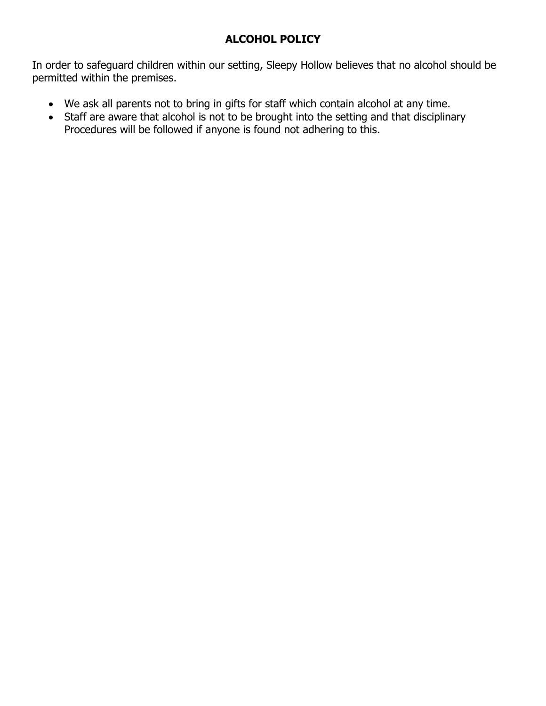## **ALCOHOL POLICY**

In order to safeguard children within our setting, Sleepy Hollow believes that no alcohol should be permitted within the premises.

- We ask all parents not to bring in gifts for staff which contain alcohol at any time.
- Staff are aware that alcohol is not to be brought into the setting and that disciplinary Procedures will be followed if anyone is found not adhering to this.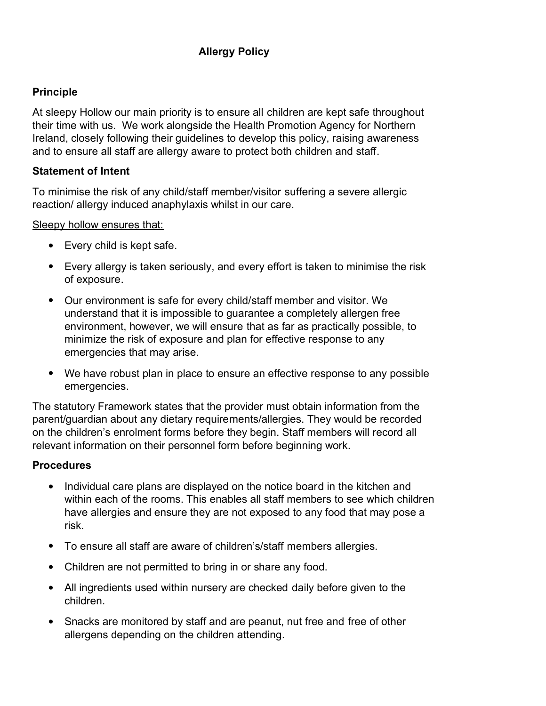### **Allergy Policy**

### **Principle**

At sleepy Hollow our main priority is to ensure all children are kept safe throughout their time with us. We work alongside the Health Promotion Agency for Northern Ireland, closely following their guidelines to develop this policy, raising awareness and to ensure all staff are allergy aware to protect both children and staff.

#### **Statement of Intent**

To minimise the risk of any child/staff member/visitor suffering a severe allergic reaction/ allergy induced anaphylaxis whilst in our care.

Sleepy hollow ensures that:

- Every child is kept safe.
- Every allergy is taken seriously, and every effort is taken to minimise the risk of exposure.
- Our environment is safe for every child/staff member and visitor. We understand that it is impossible to guarantee a completely allergen free environment, however, we will ensure that as far as practically possible, to minimize the risk of exposure and plan for effective response to any emergencies that may arise.
- We have robust plan in place to ensure an effective response to any possible emergencies.

The statutory Framework states that the provider must obtain information from the parent/guardian about any dietary requirements/allergies. They would be recorded on the children's enrolment forms before they begin. Staff members will record all relevant information on their personnel form before beginning work.

#### **Procedures**

- Individual care plans are displayed on the notice board in the kitchen and within each of the rooms. This enables all staff members to see which children have allergies and ensure they are not exposed to any food that may pose a risk.
- To ensure all staff are aware of children's/staff members allergies.
- Children are not permitted to bring in or share any food.
- All ingredients used within nursery are checked daily before given to the children.
- Snacks are monitored by staff and are peanut, nut free and free of other allergens depending on the children attending.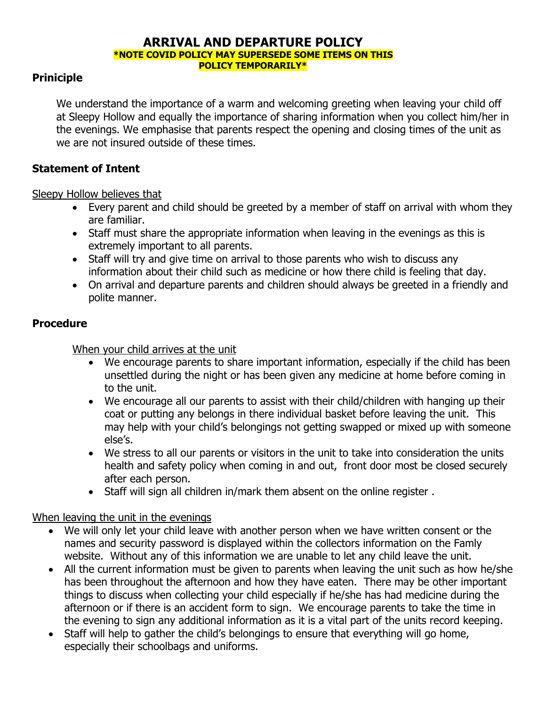#### **ARRIVAL AND DEPARTURE POLICY \*NOTE COVID POLICY MAY SUPERSEDE SOME ITEMS ON THIS POLICY TEMPORARILY\***

### **Priniciple**

We understand the importance of a warm and welcoming greeting when leaving your child off at Sleepy Hollow and equally the importance of sharing information when you collect him/her in the evenings. We emphasise that parents respect the opening and closing times of the unit as we are not insured outside of these times.

#### **Statement of Intent**

Sleepy Hollow believes that

- Every parent and child should be greeted by a member of staff on arrival with whom they are familiar.
- Staff must share the appropriate information when leaving in the evenings as this is extremely important to all parents.
- Staff will try and give time on arrival to those parents who wish to discuss any information about their child such as medicine or how there child is feeling that day.
- On arrival and departure parents and children should always be greeted in a friendly and polite manner.

### **Procedure**

When your child arrives at the unit

- We encourage parents to share important information, especially if the child has been unsettled during the night or has been given any medicine at home before coming in to the unit.
- We encourage all our parents to assist with their child/children with hanging up their coat or putting any belongs in there individual basket before leaving the unit. This may help with your child's belongings not getting swapped or mixed up with someone else's.
- We stress to all our parents or visitors in the unit to take into consideration the units health and safety policy when coming in and out, front door most be closed securely after each person.
- Staff will sign all children in/mark them absent on the online register .

#### When leaving the unit in the evenings

- We will only let your child leave with another person when we have written consent or the names and security password is displayed within the collectors information on the Famly website. Without any of this information we are unable to let any child leave the unit.
- All the current information must be given to parents when leaving the unit such as how he/she has been throughout the afternoon and how they have eaten. There may be other important things to discuss when collecting your child especially if he/she has had medicine during the afternoon or if there is an accident form to sign. We encourage parents to take the time in the evening to sign any additional information as it is a vital part of the units record keeping.
- Staff will help to gather the child's belongings to ensure that everything will go home, especially their schoolbags and uniforms.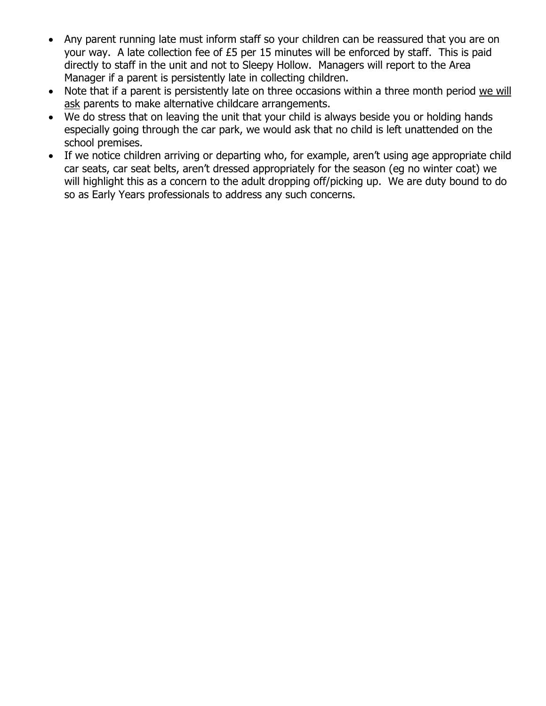- Any parent running late must inform staff so your children can be reassured that you are on your way. A late collection fee of £5 per 15 minutes will be enforced by staff. This is paid directly to staff in the unit and not to Sleepy Hollow. Managers will report to the Area Manager if a parent is persistently late in collecting children.
- Note that if a parent is persistently late on three occasions within a three month period we will ask parents to make alternative childcare arrangements.
- We do stress that on leaving the unit that your child is always beside you or holding hands especially going through the car park, we would ask that no child is left unattended on the school premises.
- If we notice children arriving or departing who, for example, aren't using age appropriate child car seats, car seat belts, aren't dressed appropriately for the season (eg no winter coat) we will highlight this as a concern to the adult dropping off/picking up. We are duty bound to do so as Early Years professionals to address any such concerns.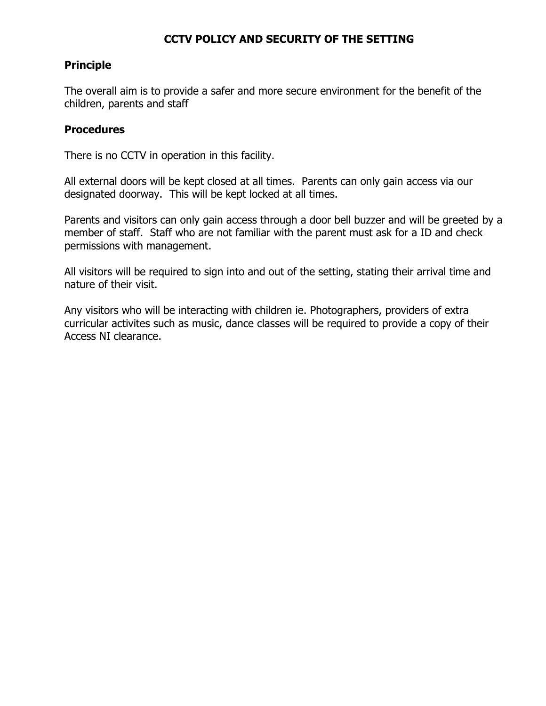### **CCTV POLICY AND SECURITY OF THE SETTING**

### **Principle**

The overall aim is to provide a safer and more secure environment for the benefit of the children, parents and staff

#### **Procedures**

There is no CCTV in operation in this facility.

All external doors will be kept closed at all times. Parents can only gain access via our designated doorway. This will be kept locked at all times.

Parents and visitors can only gain access through a door bell buzzer and will be greeted by a member of staff. Staff who are not familiar with the parent must ask for a ID and check permissions with management.

All visitors will be required to sign into and out of the setting, stating their arrival time and nature of their visit.

Any visitors who will be interacting with children ie. Photographers, providers of extra curricular activites such as music, dance classes will be required to provide a copy of their Access NI clearance.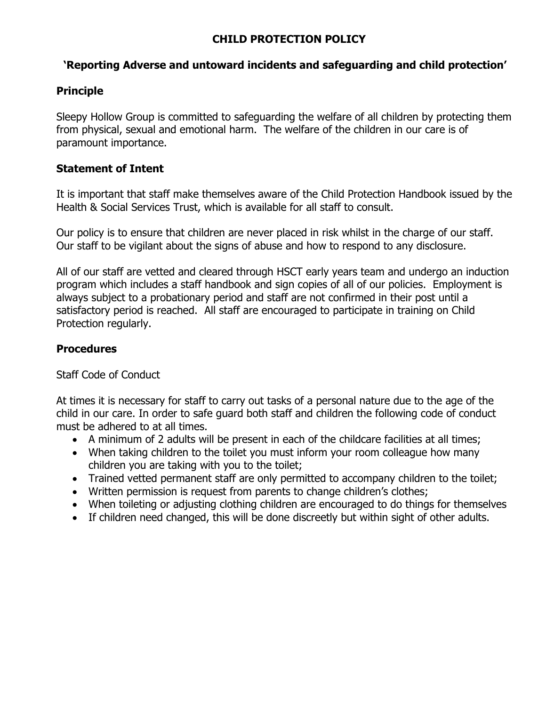### **CHILD PROTECTION POLICY**

### **'Reporting Adverse and untoward incidents and safeguarding and child protection'**

### **Principle**

Sleepy Hollow Group is committed to safeguarding the welfare of all children by protecting them from physical, sexual and emotional harm. The welfare of the children in our care is of paramount importance.

### **Statement of Intent**

It is important that staff make themselves aware of the Child Protection Handbook issued by the Health & Social Services Trust, which is available for all staff to consult.

Our policy is to ensure that children are never placed in risk whilst in the charge of our staff. Our staff to be vigilant about the signs of abuse and how to respond to any disclosure.

All of our staff are vetted and cleared through HSCT early years team and undergo an induction program which includes a staff handbook and sign copies of all of our policies. Employment is always subject to a probationary period and staff are not confirmed in their post until a satisfactory period is reached. All staff are encouraged to participate in training on Child Protection regularly.

### **Procedures**

Staff Code of Conduct

At times it is necessary for staff to carry out tasks of a personal nature due to the age of the child in our care. In order to safe guard both staff and children the following code of conduct must be adhered to at all times.

- A minimum of 2 adults will be present in each of the childcare facilities at all times;
- When taking children to the toilet you must inform your room colleague how many children you are taking with you to the toilet;
- Trained vetted permanent staff are only permitted to accompany children to the toilet;
- Written permission is request from parents to change children's clothes:
- When toileting or adjusting clothing children are encouraged to do things for themselves
- If children need changed, this will be done discreetly but within sight of other adults.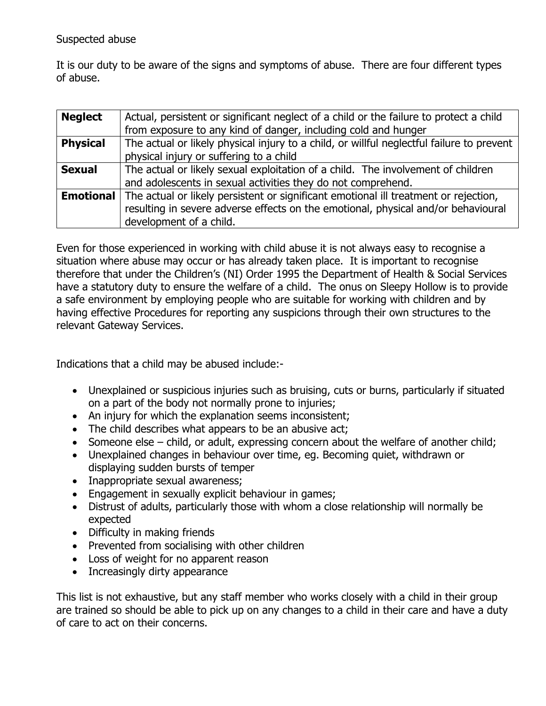### Suspected abuse

It is our duty to be aware of the signs and symptoms of abuse. There are four different types of abuse.

| Actual, persistent or significant neglect of a child or the failure to protect a child                                                                                                               |
|------------------------------------------------------------------------------------------------------------------------------------------------------------------------------------------------------|
| from exposure to any kind of danger, including cold and hunger                                                                                                                                       |
| The actual or likely physical injury to a child, or willful neglectful failure to prevent                                                                                                            |
| physical injury or suffering to a child                                                                                                                                                              |
| The actual or likely sexual exploitation of a child. The involvement of children                                                                                                                     |
| and adolescents in sexual activities they do not comprehend.                                                                                                                                         |
| The actual or likely persistent or significant emotional ill treatment or rejection,<br>resulting in severe adverse effects on the emotional, physical and/or behavioural<br>development of a child. |
|                                                                                                                                                                                                      |

Even for those experienced in working with child abuse it is not always easy to recognise a situation where abuse may occur or has already taken place. It is important to recognise therefore that under the Children's (NI) Order 1995 the Department of Health & Social Services have a statutory duty to ensure the welfare of a child. The onus on Sleepy Hollow is to provide a safe environment by employing people who are suitable for working with children and by having effective Procedures for reporting any suspicions through their own structures to the relevant Gateway Services.

Indications that a child may be abused include:-

- Unexplained or suspicious injuries such as bruising, cuts or burns, particularly if situated on a part of the body not normally prone to injuries;
- An injury for which the explanation seems inconsistent;
- The child describes what appears to be an abusive act;
- Someone else child, or adult, expressing concern about the welfare of another child;
- Unexplained changes in behaviour over time, eg. Becoming quiet, withdrawn or displaying sudden bursts of temper
- Inappropriate sexual awareness;
- Engagement in sexually explicit behaviour in games;
- Distrust of adults, particularly those with whom a close relationship will normally be expected
- Difficulty in making friends
- Prevented from socialising with other children
- Loss of weight for no apparent reason
- Increasingly dirty appearance

This list is not exhaustive, but any staff member who works closely with a child in their group are trained so should be able to pick up on any changes to a child in their care and have a duty of care to act on their concerns.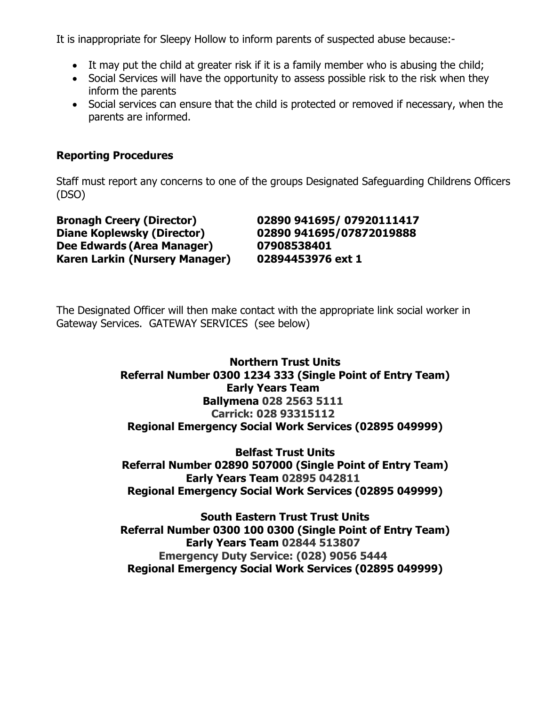It is inappropriate for Sleepy Hollow to inform parents of suspected abuse because:-

- It may put the child at greater risk if it is a family member who is abusing the child;
- Social Services will have the opportunity to assess possible risk to the risk when they inform the parents
- Social services can ensure that the child is protected or removed if necessary, when the parents are informed.

#### **Reporting Procedures**

Staff must report any concerns to one of the groups Designated Safeguarding Childrens Officers (DSO)

**Bronagh Creery (Director) 02890 941695/ 07920111417 Diane Koplewsky (Director) 02890 941695/07872019888 Dee Edwards (Area Manager) 07908538401 Karen Larkin (Nursery Manager) 02894453976 ext 1**

The Designated Officer will then make contact with the appropriate link social worker in Gateway Services. GATEWAY SERVICES (see below)

> **Northern Trust Units Referral Number 0300 1234 333 (Single Point of Entry Team) Early Years Team Ballymena 028 2563 5111 Carrick: 028 93315112 Regional Emergency Social Work Services (02895 049999)**

> **Belfast Trust Units Referral Number 02890 507000 (Single Point of Entry Team) Early Years Team 02895 042811 Regional Emergency Social Work Services (02895 049999)**

> **South Eastern Trust Trust Units Referral Number 0300 100 0300 (Single Point of Entry Team) Early Years Team 02844 513807 Emergency Duty Service: (028) 9056 5444 Regional Emergency Social Work Services (02895 049999)**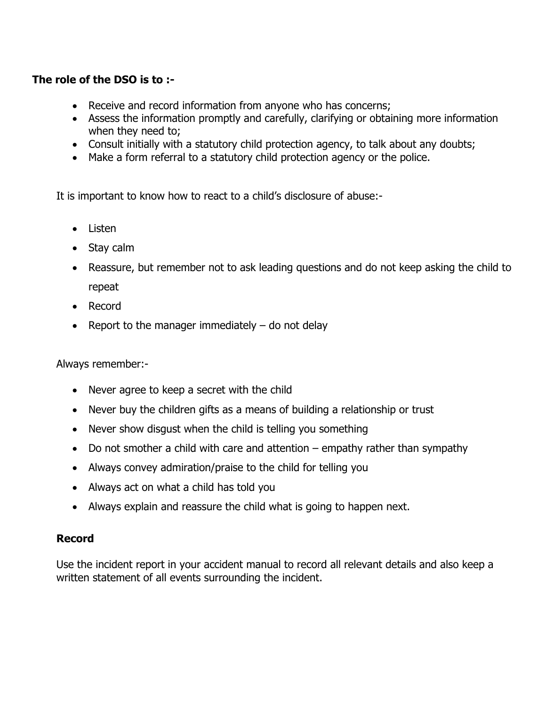### **The role of the DSO is to :-**

- Receive and record information from anyone who has concerns;
- Assess the information promptly and carefully, clarifying or obtaining more information when they need to;
- Consult initially with a statutory child protection agency, to talk about any doubts;
- Make a form referral to a statutory child protection agency or the police.

It is important to know how to react to a child's disclosure of abuse:-

- Listen
- Stay calm
- Reassure, but remember not to ask leading questions and do not keep asking the child to repeat
- Record
- Report to the manager immediately  $-$  do not delay

Always remember:-

- Never agree to keep a secret with the child
- Never buy the children gifts as a means of building a relationship or trust
- Never show disgust when the child is telling you something
- Do not smother a child with care and attention empathy rather than sympathy
- Always convey admiration/praise to the child for telling you
- Always act on what a child has told you
- Always explain and reassure the child what is going to happen next.

### **Record**

Use the incident report in your accident manual to record all relevant details and also keep a written statement of all events surrounding the incident.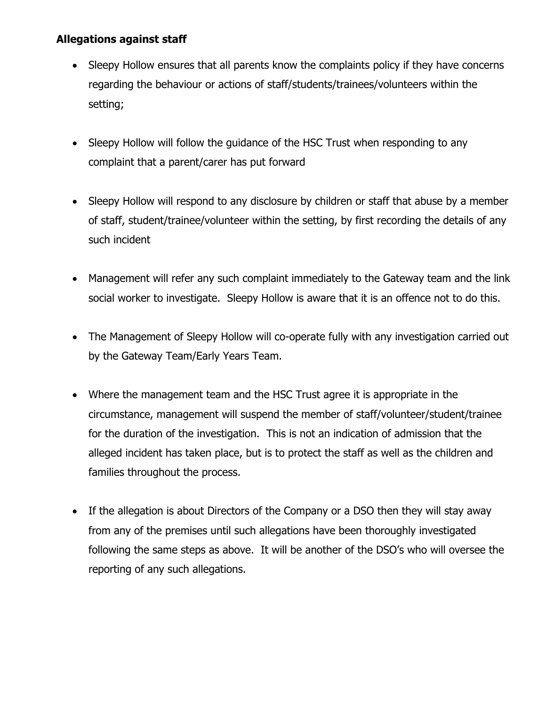### **Allegations against staff**

- Sleepy Hollow ensures that all parents know the complaints policy if they have concerns regarding the behaviour or actions of staff/students/trainees/volunteers within the setting;
- Sleepy Hollow will follow the guidance of the HSC Trust when responding to any complaint that a parent/carer has put forward
- Sleepy Hollow will respond to any disclosure by children or staff that abuse by a member of staff, student/trainee/volunteer within the setting, by first recording the details of any such incident
- Management will refer any such complaint immediately to the Gateway team and the link social worker to investigate. Sleepy Hollow is aware that it is an offence not to do this.
- The Management of Sleepy Hollow will co-operate fully with any investigation carried out by the Gateway Team/Early Years Team.
- Where the management team and the HSC Trust agree it is appropriate in the circumstance, management will suspend the member of staff/volunteer/student/trainee for the duration of the investigation. This is not an indication of admission that the alleged incident has taken place, but is to protect the staff as well as the children and families throughout the process.
- If the allegation is about Directors of the Company or a DSO then they will stay away from any of the premises until such allegations have been thoroughly investigated following the same steps as above. It will be another of the DSO's who will oversee the reporting of any such allegations.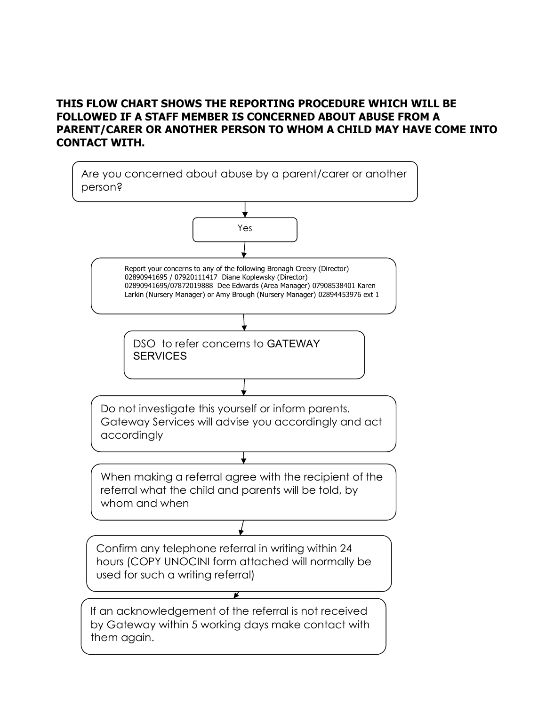### **THIS FLOW CHART SHOWS THE REPORTING PROCEDURE WHICH WILL BE FOLLOWED IF A STAFF MEMBER IS CONCERNED ABOUT ABUSE FROM A PARENT/CARER OR ANOTHER PERSON TO WHOM A CHILD MAY HAVE COME INTO CONTACT WITH.**

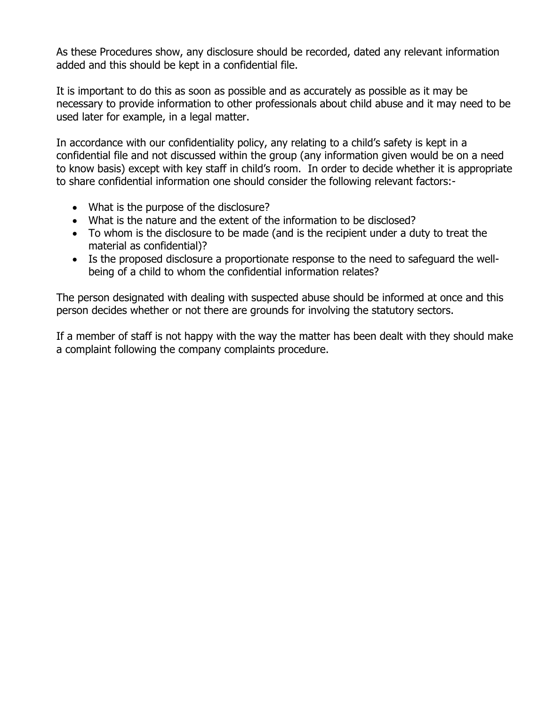As these Procedures show, any disclosure should be recorded, dated any relevant information added and this should be kept in a confidential file.

It is important to do this as soon as possible and as accurately as possible as it may be necessary to provide information to other professionals about child abuse and it may need to be used later for example, in a legal matter.

In accordance with our confidentiality policy, any relating to a child's safety is kept in a confidential file and not discussed within the group (any information given would be on a need to know basis) except with key staff in child's room. In order to decide whether it is appropriate to share confidential information one should consider the following relevant factors:-

- What is the purpose of the disclosure?
- What is the nature and the extent of the information to be disclosed?
- To whom is the disclosure to be made (and is the recipient under a duty to treat the material as confidential)?
- Is the proposed disclosure a proportionate response to the need to safeguard the wellbeing of a child to whom the confidential information relates?

The person designated with dealing with suspected abuse should be informed at once and this person decides whether or not there are grounds for involving the statutory sectors.

If a member of staff is not happy with the way the matter has been dealt with they should make a complaint following the company complaints procedure.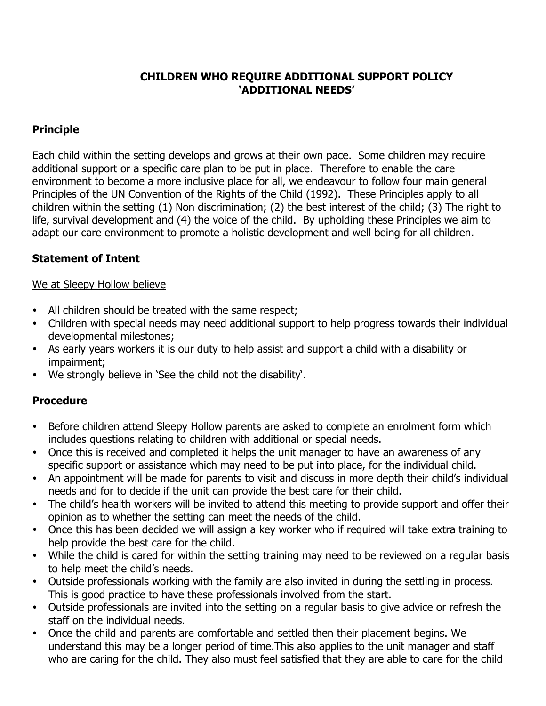### **CHILDREN WHO REQUIRE ADDITIONAL SUPPORT POLICY 'ADDITIONAL NEEDS'**

### **Principle**

Each child within the setting develops and grows at their own pace. Some children may require additional support or a specific care plan to be put in place. Therefore to enable the care environment to become a more inclusive place for all, we endeavour to follow four main general Principles of the UN Convention of the Rights of the Child (1992). These Principles apply to all children within the setting (1) Non discrimination; (2) the best interest of the child; (3) The right to life, survival development and (4) the voice of the child. By upholding these Principles we aim to adapt our care environment to promote a holistic development and well being for all children.

### **Statement of Intent**

#### We at Sleepy Hollow believe

- All children should be treated with the same respect;
- Children with special needs may need additional support to help progress towards their individual developmental milestones;
- As early years workers it is our duty to help assist and support a child with a disability or impairment;
- We strongly believe in 'See the child not the disability'.

### **Procedure**

- Before children attend Sleepy Hollow parents are asked to complete an enrolment form which includes questions relating to children with additional or special needs.
- Once this is received and completed it helps the unit manager to have an awareness of any specific support or assistance which may need to be put into place, for the individual child.
- An appointment will be made for parents to visit and discuss in more depth their child's individual needs and for to decide if the unit can provide the best care for their child.
- The child's health workers will be invited to attend this meeting to provide support and offer their opinion as to whether the setting can meet the needs of the child.
- Once this has been decided we will assign a key worker who if required will take extra training to help provide the best care for the child.
- While the child is cared for within the setting training may need to be reviewed on a regular basis to help meet the child's needs.
- Outside professionals working with the family are also invited in during the settling in process. This is good practice to have these professionals involved from the start.
- Outside professionals are invited into the setting on a regular basis to give advice or refresh the staff on the individual needs.
- Once the child and parents are comfortable and settled then their placement begins. We understand this may be a longer period of time.This also applies to the unit manager and staff who are caring for the child. They also must feel satisfied that they are able to care for the child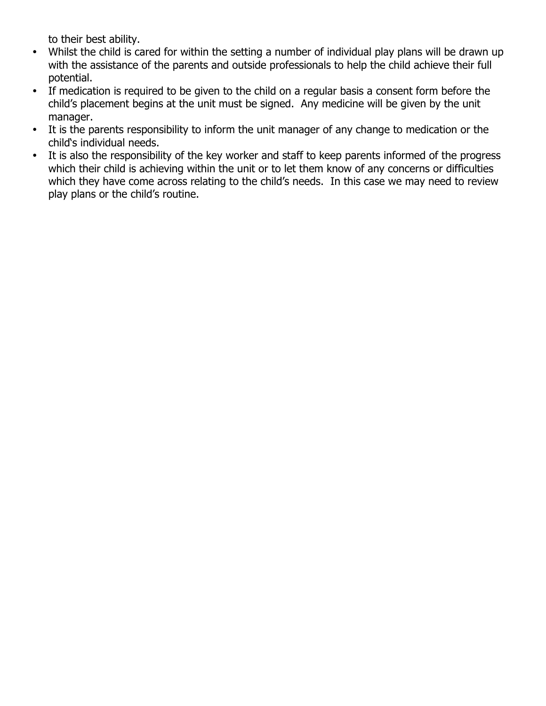to their best ability.

- Whilst the child is cared for within the setting a number of individual play plans will be drawn up with the assistance of the parents and outside professionals to help the child achieve their full potential.
- If medication is required to be given to the child on a regular basis a consent form before the child's placement begins at the unit must be signed. Any medicine will be given by the unit manager.
- It is the parents responsibility to inform the unit manager of any change to medication or the child's individual needs.
- It is also the responsibility of the key worker and staff to keep parents informed of the progress which their child is achieving within the unit or to let them know of any concerns or difficulties which they have come across relating to the child's needs. In this case we may need to review play plans or the child's routine.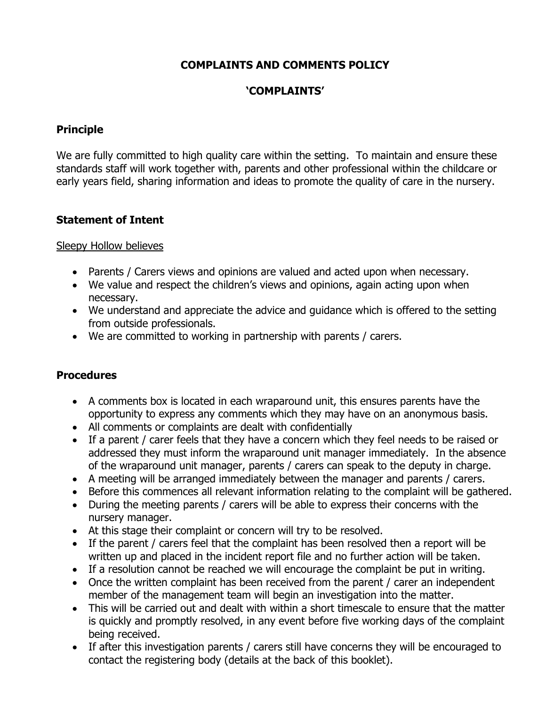## **COMPLAINTS AND COMMENTS POLICY**

### **'COMPLAINTS'**

### **Principle**

We are fully committed to high quality care within the setting. To maintain and ensure these standards staff will work together with, parents and other professional within the childcare or early years field, sharing information and ideas to promote the quality of care in the nursery.

### **Statement of Intent**

#### Sleepy Hollow believes

- Parents / Carers views and opinions are valued and acted upon when necessary.
- We value and respect the children's views and opinions, again acting upon when necessary.
- We understand and appreciate the advice and guidance which is offered to the setting from outside professionals.
- We are committed to working in partnership with parents / carers.

### **Procedures**

- A comments box is located in each wraparound unit, this ensures parents have the opportunity to express any comments which they may have on an anonymous basis.
- All comments or complaints are dealt with confidentially
- If a parent / carer feels that they have a concern which they feel needs to be raised or addressed they must inform the wraparound unit manager immediately. In the absence of the wraparound unit manager, parents / carers can speak to the deputy in charge.
- A meeting will be arranged immediately between the manager and parents / carers.
- Before this commences all relevant information relating to the complaint will be gathered.
- During the meeting parents / carers will be able to express their concerns with the nursery manager.
- At this stage their complaint or concern will try to be resolved.
- If the parent / carers feel that the complaint has been resolved then a report will be written up and placed in the incident report file and no further action will be taken.
- If a resolution cannot be reached we will encourage the complaint be put in writing.
- Once the written complaint has been received from the parent / carer an independent member of the management team will begin an investigation into the matter.
- This will be carried out and dealt with within a short timescale to ensure that the matter is quickly and promptly resolved, in any event before five working days of the complaint being received.
- If after this investigation parents / carers still have concerns they will be encouraged to contact the registering body (details at the back of this booklet).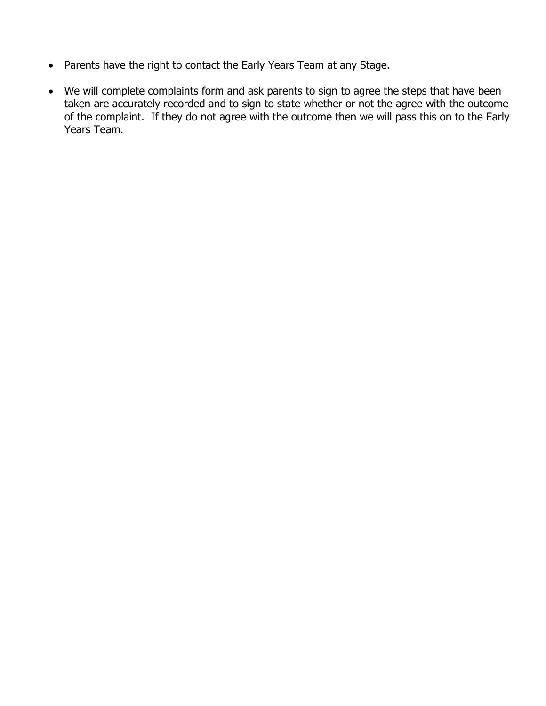- Parents have the right to contact the Early Years Team at any Stage.
- We will complete complaints form and ask parents to sign to agree the steps that have been taken are accurately recorded and to sign to state whether or not the agree with the outcome of the complaint. If they do not agree with the outcome then we will pass this on to the Early Years Team.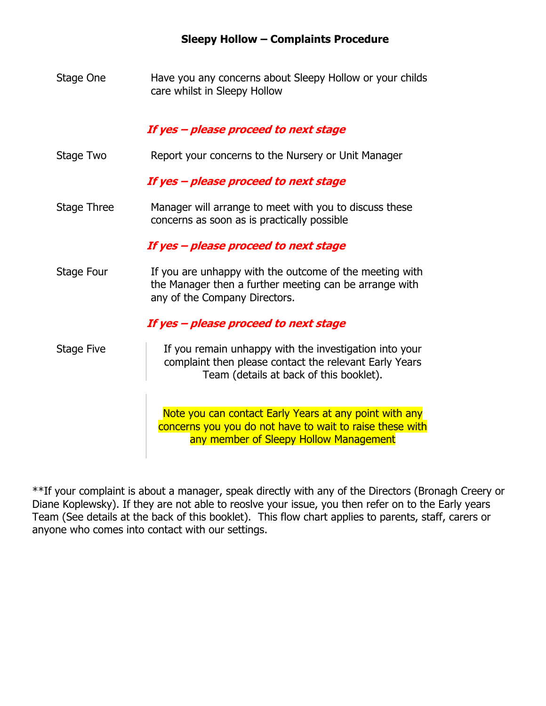Stage One Have you any concerns about Sleepy Hollow or your childs care whilst in Sleepy Hollow

### **If yes – please proceed to next stage**

Stage Two Report your concerns to the Nursery or Unit Manager

**If yes – please proceed to next stage**

Stage Three Manager will arrange to meet with you to discuss these concerns as soon as is practically possible

**If yes – please proceed to next stage**

Stage Four If you are unhappy with the outcome of the meeting with the Manager then a further meeting can be arrange with any of the Company Directors.

#### **If yes – please proceed to next stage**

Stage Five **If you remain unhappy with the investigation into your** complaint then please contact the relevant Early Years Team (details at back of this booklet).

> Note you can contact Early Years at any point with any concerns you you do not have to wait to raise these with any member of Sleepy Hollow Management

\*\*If your complaint is about a manager, speak directly with any of the Directors (Bronagh Creery or Diane Koplewsky). If they are not able to reoslve your issue, you then refer on to the Early years Team (See details at the back of this booklet). This flow chart applies to parents, staff, carers or anyone who comes into contact with our settings.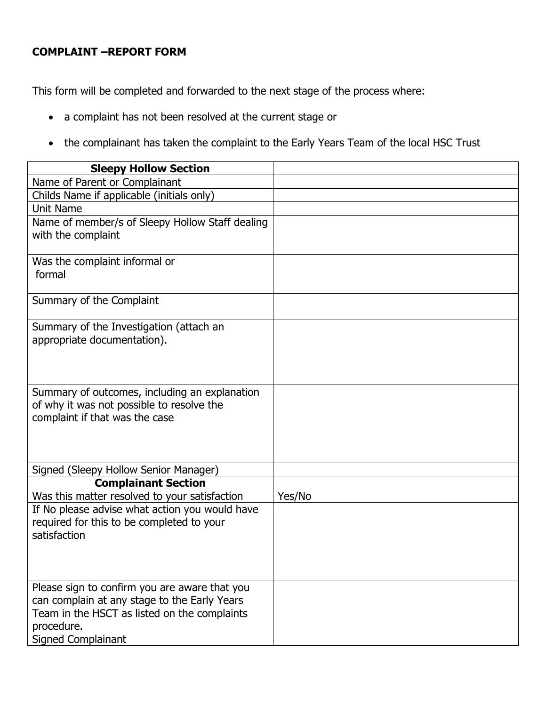### **COMPLAINT –REPORT FORM**

This form will be completed and forwarded to the next stage of the process where:

- a complaint has not been resolved at the current stage or
- the complainant has taken the complaint to the Early Years Team of the local HSC Trust

| <b>Sleepy Hollow Section</b>                                                                                                                                                      |        |
|-----------------------------------------------------------------------------------------------------------------------------------------------------------------------------------|--------|
| Name of Parent or Complainant                                                                                                                                                     |        |
| Childs Name if applicable (initials only)                                                                                                                                         |        |
| <b>Unit Name</b>                                                                                                                                                                  |        |
| Name of member/s of Sleepy Hollow Staff dealing<br>with the complaint                                                                                                             |        |
| Was the complaint informal or<br>formal                                                                                                                                           |        |
| Summary of the Complaint                                                                                                                                                          |        |
| Summary of the Investigation (attach an<br>appropriate documentation).                                                                                                            |        |
| Summary of outcomes, including an explanation<br>of why it was not possible to resolve the<br>complaint if that was the case                                                      |        |
| Signed (Sleepy Hollow Senior Manager)                                                                                                                                             |        |
| <b>Complainant Section</b><br>Was this matter resolved to your satisfaction                                                                                                       | Yes/No |
| If No please advise what action you would have<br>required for this to be completed to your<br>satisfaction                                                                       |        |
| Please sign to confirm you are aware that you<br>can complain at any stage to the Early Years<br>Team in the HSCT as listed on the complaints<br>procedure.<br>Signed Complainant |        |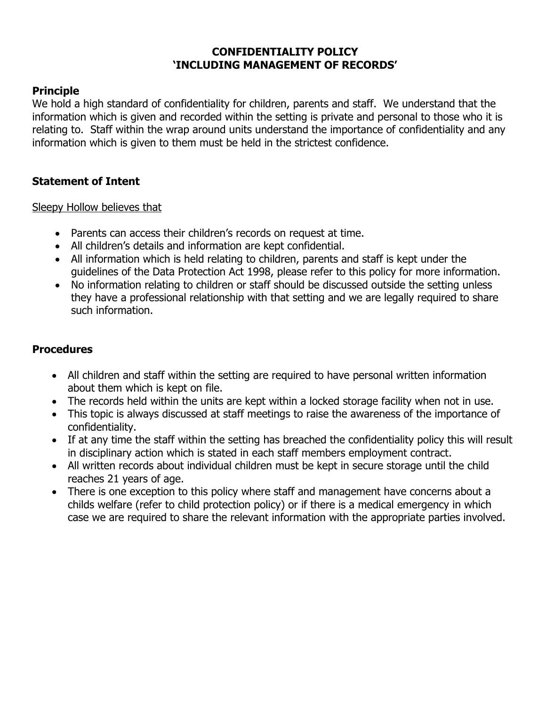### **CONFIDENTIALITY POLICY 'INCLUDING MANAGEMENT OF RECORDS'**

### **Principle**

We hold a high standard of confidentiality for children, parents and staff. We understand that the information which is given and recorded within the setting is private and personal to those who it is relating to. Staff within the wrap around units understand the importance of confidentiality and any information which is given to them must be held in the strictest confidence.

### **Statement of Intent**

Sleepy Hollow believes that

- Parents can access their children's records on request at time.
- All children's details and information are kept confidential.
- All information which is held relating to children, parents and staff is kept under the guidelines of the Data Protection Act 1998, please refer to this policy for more information.
- No information relating to children or staff should be discussed outside the setting unless they have a professional relationship with that setting and we are legally required to share such information.

### **Procedures**

- All children and staff within the setting are required to have personal written information about them which is kept on file.
- The records held within the units are kept within a locked storage facility when not in use.
- This topic is always discussed at staff meetings to raise the awareness of the importance of confidentiality.
- If at any time the staff within the setting has breached the confidentiality policy this will result in disciplinary action which is stated in each staff members employment contract.
- All written records about individual children must be kept in secure storage until the child reaches 21 years of age.
- There is one exception to this policy where staff and management have concerns about a childs welfare (refer to child protection policy) or if there is a medical emergency in which case we are required to share the relevant information with the appropriate parties involved.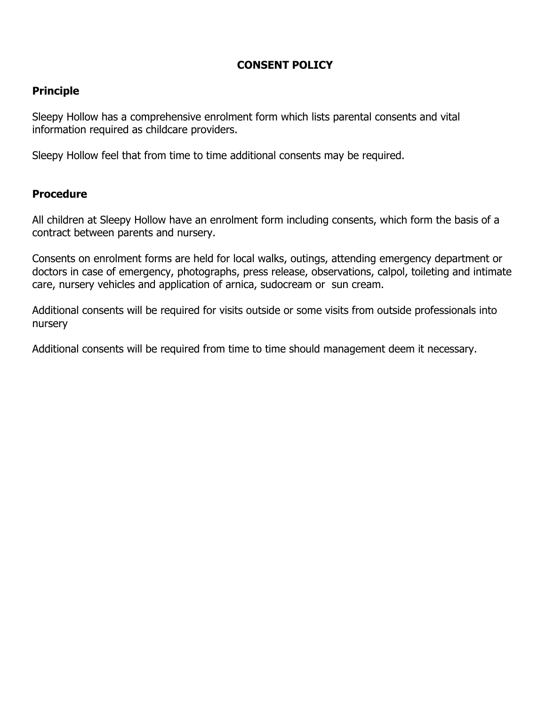## **CONSENT POLICY**

### **Principle**

Sleepy Hollow has a comprehensive enrolment form which lists parental consents and vital information required as childcare providers.

Sleepy Hollow feel that from time to time additional consents may be required.

#### **Procedure**

All children at Sleepy Hollow have an enrolment form including consents, which form the basis of a contract between parents and nursery.

Consents on enrolment forms are held for local walks, outings, attending emergency department or doctors in case of emergency, photographs, press release, observations, calpol, toileting and intimate care, nursery vehicles and application of arnica, sudocream or sun cream.

Additional consents will be required for visits outside or some visits from outside professionals into nursery

Additional consents will be required from time to time should management deem it necessary.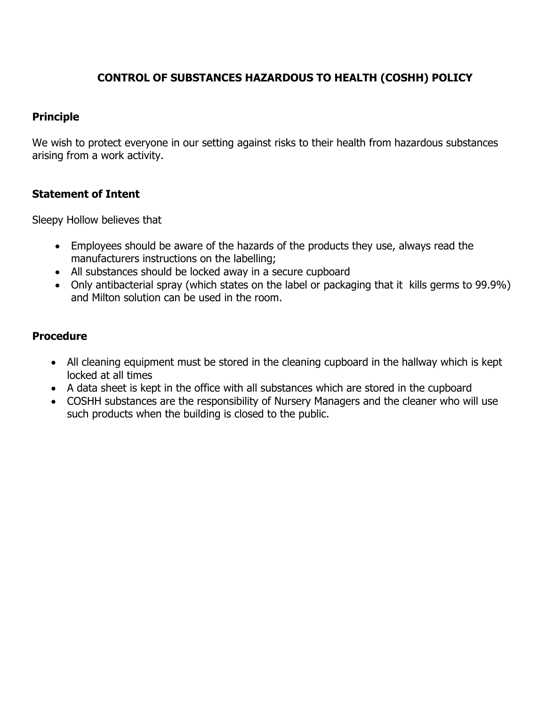## **CONTROL OF SUBSTANCES HAZARDOUS TO HEALTH (COSHH) POLICY**

### **Principle**

We wish to protect everyone in our setting against risks to their health from hazardous substances arising from a work activity.

### **Statement of Intent**

Sleepy Hollow believes that

- Employees should be aware of the hazards of the products they use, always read the manufacturers instructions on the labelling;
- All substances should be locked away in a secure cupboard
- Only antibacterial spray (which states on the label or packaging that it kills germs to 99.9%) and Milton solution can be used in the room.

### **Procedure**

- All cleaning equipment must be stored in the cleaning cupboard in the hallway which is kept locked at all times
- A data sheet is kept in the office with all substances which are stored in the cupboard
- COSHH substances are the responsibility of Nursery Managers and the cleaner who will use such products when the building is closed to the public.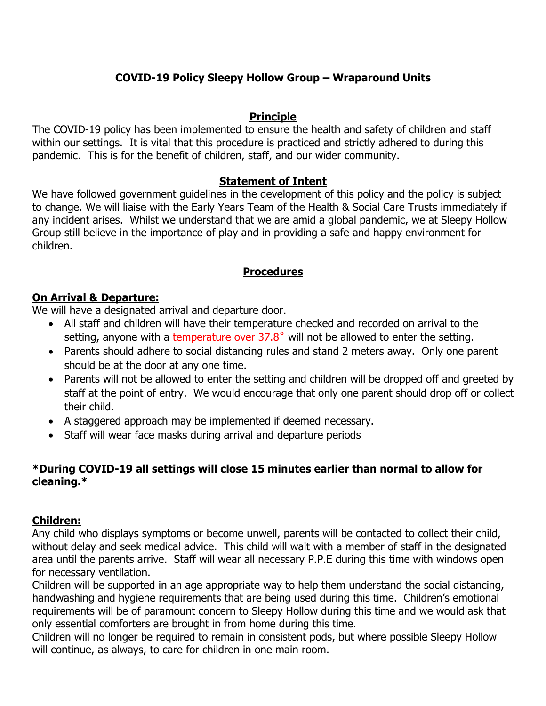# **COVID-19 Policy Sleepy Hollow Group – Wraparound Units**

#### **Principle**

The COVID-19 policy has been implemented to ensure the health and safety of children and staff within our settings. It is vital that this procedure is practiced and strictly adhered to during this pandemic. This is for the benefit of children, staff, and our wider community.

#### **Statement of Intent**

We have followed government guidelines in the development of this policy and the policy is subject to change. We will liaise with the Early Years Team of the Health & Social Care Trusts immediately if any incident arises. Whilst we understand that we are amid a global pandemic, we at Sleepy Hollow Group still believe in the importance of play and in providing a safe and happy environment for children.

#### **Procedures**

## **On Arrival & Departure:**

We will have a designated arrival and departure door.

- All staff and children will have their temperature checked and recorded on arrival to the setting, anyone with a temperature over 37.8° will not be allowed to enter the setting.
- Parents should adhere to social distancing rules and stand 2 meters away. Only one parent should be at the door at any one time.
- Parents will not be allowed to enter the setting and children will be dropped off and greeted by staff at the point of entry. We would encourage that only one parent should drop off or collect their child.
- A staggered approach may be implemented if deemed necessary.
- Staff will wear face masks during arrival and departure periods

## **\*During COVID-19 all settings will close 15 minutes earlier than normal to allow for cleaning.\***

## **Children:**

Any child who displays symptoms or become unwell, parents will be contacted to collect their child, without delay and seek medical advice. This child will wait with a member of staff in the designated area until the parents arrive. Staff will wear all necessary P.P.E during this time with windows open for necessary ventilation.

Children will be supported in an age appropriate way to help them understand the social distancing, handwashing and hygiene requirements that are being used during this time. Children's emotional requirements will be of paramount concern to Sleepy Hollow during this time and we would ask that only essential comforters are brought in from home during this time.

Children will no longer be required to remain in consistent pods, but where possible Sleepy Hollow will continue, as always, to care for children in one main room.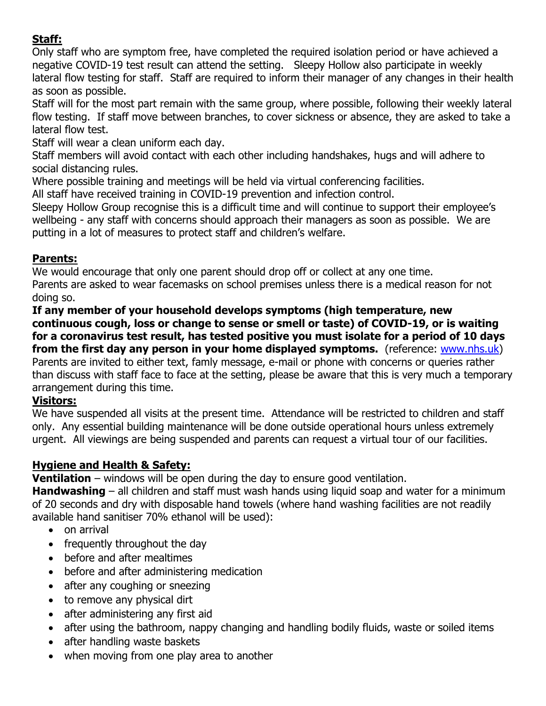# **Staff:**

Only staff who are symptom free, have completed the required isolation period or have achieved a negative COVID-19 test result can attend the setting. Sleepy Hollow also participate in weekly lateral flow testing for staff. Staff are required to inform their manager of any changes in their health as soon as possible.

Staff will for the most part remain with the same group, where possible, following their weekly lateral flow testing. If staff move between branches, to cover sickness or absence, they are asked to take a lateral flow test.

Staff will wear a clean uniform each day.

Staff members will avoid contact with each other including handshakes, hugs and will adhere to social distancing rules.

Where possible training and meetings will be held via virtual conferencing facilities.

All staff have received training in COVID-19 prevention and infection control.

Sleepy Hollow Group recognise this is a difficult time and will continue to support their employee's wellbeing - any staff with concerns should approach their managers as soon as possible. We are putting in a lot of measures to protect staff and children's welfare.

## **Parents:**

We would encourage that only one parent should drop off or collect at any one time. Parents are asked to wear facemasks on school premises unless there is a medical reason for not doing so.

**If any member of your household develops symptoms (high temperature, new continuous cough, loss or change to sense or smell or taste) of COVID-19, or is waiting for a coronavirus test result, has tested positive you must isolate for a period of 10 days from the first day any person in your home displayed symptoms.** (reference: www.nhs.uk) Parents are invited to either text, famly message, e-mail or phone with concerns or queries rather than discuss with staff face to face at the setting, please be aware that this is very much a temporary arrangement during this time.

## **Visitors:**

We have suspended all visits at the present time. Attendance will be restricted to children and staff only. Any essential building maintenance will be done outside operational hours unless extremely urgent. All viewings are being suspended and parents can request a virtual tour of our facilities.

# **Hygiene and Health & Safety:**

**Ventilation** – windows will be open during the day to ensure good ventilation.

**Handwashing** – all children and staff must wash hands using liquid soap and water for a minimum of 20 seconds and dry with disposable hand towels (where hand washing facilities are not readily available hand sanitiser 70% ethanol will be used):

- on arrival
- frequently throughout the day
- before and after mealtimes
- before and after administering medication
- after any coughing or sneezing
- to remove any physical dirt
- after administering any first aid
- after using the bathroom, nappy changing and handling bodily fluids, waste or soiled items
- after handling waste baskets
- when moving from one play area to another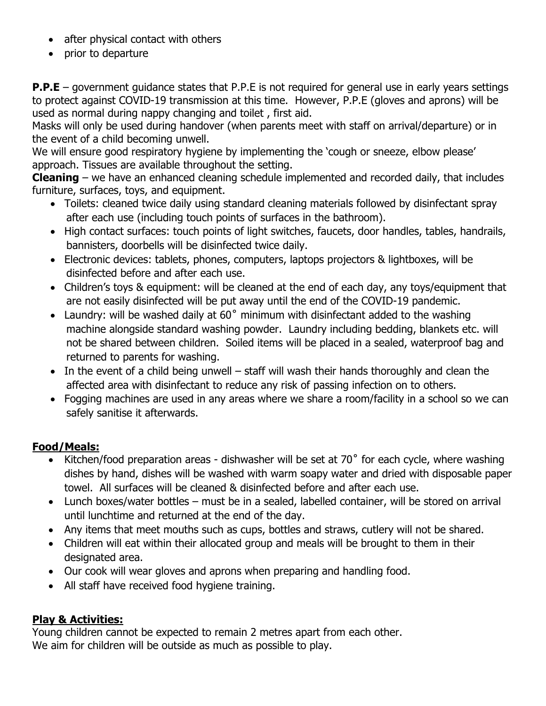- after physical contact with others
- prior to departure

**P.P.E** – government guidance states that P.P.E is not required for general use in early years settings to protect against COVID-19 transmission at this time. However, P.P.E (gloves and aprons) will be used as normal during nappy changing and toilet , first aid.

Masks will only be used during handover (when parents meet with staff on arrival/departure) or in the event of a child becoming unwell.

We will ensure good respiratory hygiene by implementing the 'cough or sneeze, elbow please' approach. Tissues are available throughout the setting.

**Cleaning** – we have an enhanced cleaning schedule implemented and recorded daily, that includes furniture, surfaces, toys, and equipment.

- Toilets: cleaned twice daily using standard cleaning materials followed by disinfectant spray after each use (including touch points of surfaces in the bathroom).
- High contact surfaces: touch points of light switches, faucets, door handles, tables, handrails, bannisters, doorbells will be disinfected twice daily.
- Electronic devices: tablets, phones, computers, laptops projectors & lightboxes, will be disinfected before and after each use.
- Children's toys & equipment: will be cleaned at the end of each day, any toys/equipment that are not easily disinfected will be put away until the end of the COVID-19 pandemic.
- Laundry: will be washed daily at 60° minimum with disinfectant added to the washing machine alongside standard washing powder. Laundry including bedding, blankets etc. will not be shared between children. Soiled items will be placed in a sealed, waterproof bag and returned to parents for washing.
- In the event of a child being unwell staff will wash their hands thoroughly and clean the affected area with disinfectant to reduce any risk of passing infection on to others.
- Fogging machines are used in any areas where we share a room/facility in a school so we can safely sanitise it afterwards.

# **Food/Meals:**

- Kitchen/food preparation areas dishwasher will be set at 70° for each cycle, where washing dishes by hand, dishes will be washed with warm soapy water and dried with disposable paper towel. All surfaces will be cleaned & disinfected before and after each use.
- Lunch boxes/water bottles must be in a sealed, labelled container, will be stored on arrival until lunchtime and returned at the end of the day.
- Any items that meet mouths such as cups, bottles and straws, cutlery will not be shared.
- Children will eat within their allocated group and meals will be brought to them in their designated area.
- Our cook will wear gloves and aprons when preparing and handling food.
- All staff have received food hygiene training.

# **Play & Activities:**

Young children cannot be expected to remain 2 metres apart from each other. We aim for children will be outside as much as possible to play.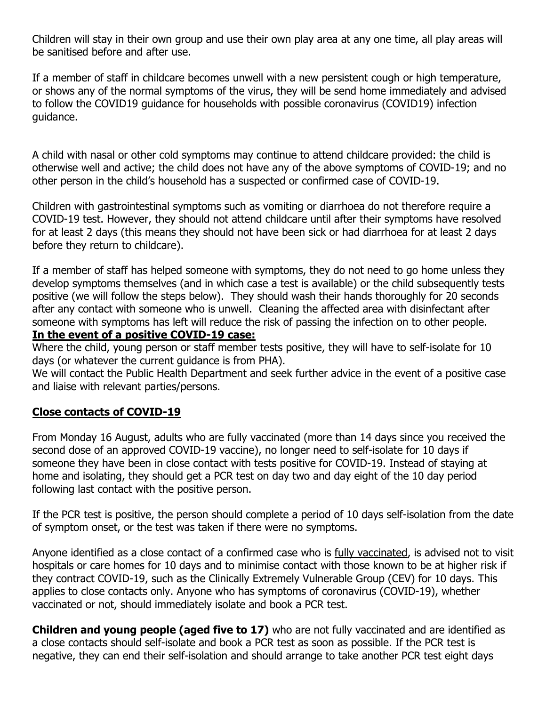Children will stay in their own group and use their own play area at any one time, all play areas will be sanitised before and after use.

If a member of staff in childcare becomes unwell with a new persistent cough or high temperature, or shows any of the normal symptoms of the virus, they will be send home immediately and advised to follow the COVID19 guidance for households with possible coronavirus (COVID19) infection guidance.

A child with nasal or other cold symptoms may continue to attend childcare provided: the child is otherwise well and active; the child does not have any of the above symptoms of COVID-19; and no other person in the child's household has a suspected or confirmed case of COVID-19.

Children with gastrointestinal symptoms such as vomiting or diarrhoea do not therefore require a COVID-19 test. However, they should not attend childcare until after their symptoms have resolved for at least 2 days (this means they should not have been sick or had diarrhoea for at least 2 days before they return to childcare).

If a member of staff has helped someone with symptoms, they do not need to go home unless they develop symptoms themselves (and in which case a test is available) or the child subsequently tests positive (we will follow the steps below). They should wash their hands thoroughly for 20 seconds after any contact with someone who is unwell. Cleaning the affected area with disinfectant after someone with symptoms has left will reduce the risk of passing the infection on to other people.

#### **In the event of a positive COVID-19 case:**

Where the child, young person or staff member tests positive, they will have to self-isolate for 10 days (or whatever the current guidance is from PHA).

We will contact the Public Health Department and seek further advice in the event of a positive case and liaise with relevant parties/persons.

#### **Close contacts of COVID-19**

From Monday 16 August, adults who are fully vaccinated (more than 14 days since you received the second dose of an approved COVID-19 vaccine), no longer need to self-isolate for 10 days if someone they have been in close contact with tests positive for COVID-19. Instead of staying at home and isolating, they should get a PCR test on day two and day eight of the 10 day period following last contact with the positive person.

If the PCR test is positive, the person should complete a period of 10 days self-isolation from the date of symptom onset, or the test was taken if there were no symptoms.

Anyone identified as a close contact of a confirmed case who is fully vaccinated, is advised not to visit hospitals or care homes for 10 days and to minimise contact with those known to be at higher risk if they contract COVID-19, such as the Clinically Extremely Vulnerable Group (CEV) for 10 days. This applies to close contacts only. Anyone who has symptoms of coronavirus (COVID-19), whether vaccinated or not, should immediately isolate and book a PCR test.

**Children and young people (aged five to 17)** who are not fully vaccinated and are identified as a close contacts should self-isolate and book a PCR test as soon as possible. If the PCR test is negative, they can end their self-isolation and should arrange to take another PCR test eight days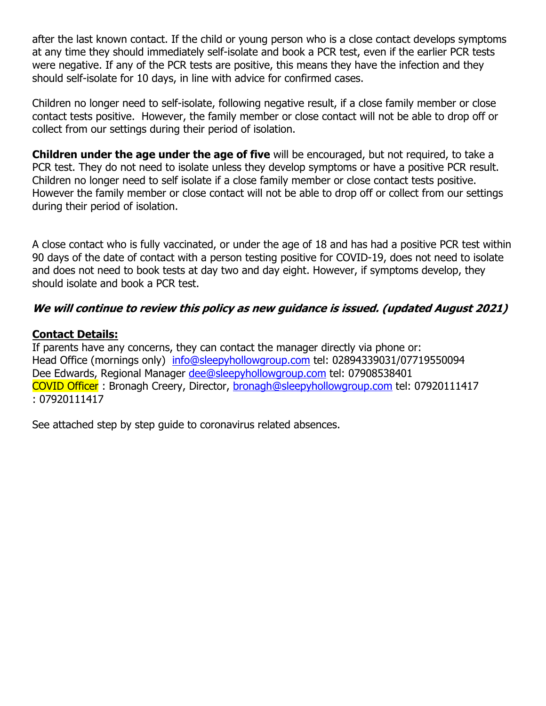after the last known contact. If the child or young person who is a close contact develops symptoms at any time they should immediately self-isolate and book a PCR test, even if the earlier PCR tests were negative. If any of the PCR tests are positive, this means they have the infection and they should self-isolate for 10 days, in line with advice for confirmed cases.

Children no longer need to self-isolate, following negative result, if a close family member or close contact tests positive. However, the family member or close contact will not be able to drop off or collect from our settings during their period of isolation.

**Children under the age under the age of five** will be encouraged, but not required, to take a PCR test. They do not need to isolate unless they develop symptoms or have a positive PCR result. Children no longer need to self isolate if a close family member or close contact tests positive. However the family member or close contact will not be able to drop off or collect from our settings during their period of isolation.

A close contact who is fully vaccinated, or under the age of 18 and has had a positive PCR test within 90 days of the date of contact with a person testing positive for COVID-19, does not need to isolate and does not need to book tests at day two and day eight. However, if symptoms develop, they should isolate and book a PCR test.

## **We will continue to review this policy as new guidance is issued. (updated August 2021)**

#### **Contact Details:**

If parents have any concerns, they can contact the manager directly via phone or: Head Office (mornings only) info@sleepyhollowgroup.com tel: 02894339031/07719550094 Dee Edwards, Regional Manager dee@sleepyhollowgroup.com tel: 07908538401 COVID Officer : Bronagh Creery, Director, bronagh@sleepyhollowgroup.com tel: 07920111417 : 07920111417

See attached step by step guide to coronavirus related absences.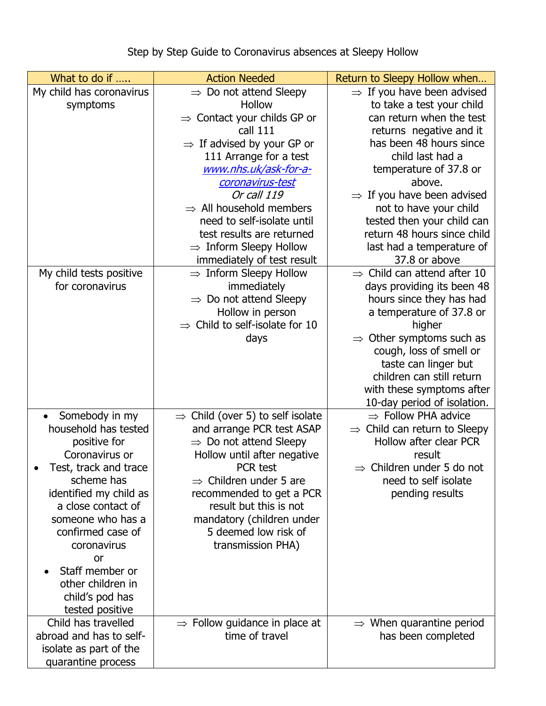| What to do if               | <b>Action Needed</b>                                           | Return to Sleepy Hollow when                   |
|-----------------------------|----------------------------------------------------------------|------------------------------------------------|
| My child has coronavirus    | $\Rightarrow$ Do not attend Sleepy                             | $\Rightarrow$ If you have been advised         |
| symptoms                    | Hollow                                                         | to take a test your child                      |
|                             | $\Rightarrow$ Contact your childs GP or                        | can return when the test                       |
|                             | call 111                                                       | returns negative and it                        |
|                             | $\Rightarrow$ If advised by your GP or                         | has been 48 hours since                        |
|                             | 111 Arrange for a test                                         | child last had a                               |
|                             | www.nhs.uk/ask-for-a-                                          | temperature of 37.8 or                         |
|                             | coronavirus-test                                               | above.                                         |
|                             | Or call 119                                                    | $\Rightarrow$ If you have been advised         |
|                             | $\Rightarrow$ All household members                            | not to have your child                         |
|                             | need to self-isolate until                                     | tested then your child can                     |
|                             | test results are returned                                      | return 48 hours since child                    |
|                             | $\Rightarrow$ Inform Sleepy Hollow                             | last had a temperature of                      |
|                             | immediately of test result                                     | 37.8 or above                                  |
| My child tests positive     | $\Rightarrow$ Inform Sleepy Hollow                             | $\Rightarrow$ Child can attend after 10        |
| for coronavirus             | immediately                                                    | days providing its been 48                     |
|                             | $\Rightarrow$ Do not attend Sleepy                             | hours since they has had                       |
|                             | Hollow in person<br>$\Rightarrow$ Child to self-isolate for 10 | a temperature of 37.8 or                       |
|                             |                                                                | higher<br>$\Rightarrow$ Other symptoms such as |
|                             | days                                                           | cough, loss of smell or                        |
|                             |                                                                | taste can linger but                           |
|                             |                                                                | children can still return                      |
|                             |                                                                | with these symptoms after                      |
|                             |                                                                | 10-day period of isolation.                    |
| Somebody in my<br>$\bullet$ | $\Rightarrow$ Child (over 5) to self isolate                   | $\Rightarrow$ Follow PHA advice                |
| household has tested        | and arrange PCR test ASAP                                      | $\Rightarrow$ Child can return to Sleepy       |
| positive for                | $\Rightarrow$ Do not attend Sleepy                             | Hollow after clear PCR                         |
| Coronavirus or              | Hollow until after negative                                    | result                                         |
| Test, track and trace       | <b>PCR</b> test                                                | $\Rightarrow$ Children under 5 do not          |
| scheme has                  | $\Rightarrow$ Children under 5 are                             | need to self isolate                           |
| identified my child as      | recommended to get a PCR                                       | pending results                                |
| a close contact of          | result but this is not                                         |                                                |
| someone who has a           | mandatory (children under                                      |                                                |
| confirmed case of           | 5 deemed low risk of                                           |                                                |
| coronavirus                 | transmission PHA)                                              |                                                |
| or                          |                                                                |                                                |
| Staff member or             |                                                                |                                                |
| other children in           |                                                                |                                                |
| child's pod has             |                                                                |                                                |
| tested positive             |                                                                |                                                |
| Child has travelled         | $\Rightarrow$ Follow guidance in place at                      | $\Rightarrow$ When quarantine period           |
| abroad and has to self-     | time of travel                                                 | has been completed                             |
| isolate as part of the      |                                                                |                                                |
| quarantine process          |                                                                |                                                |

Step by Step Guide to Coronavirus absences at Sleepy Hollow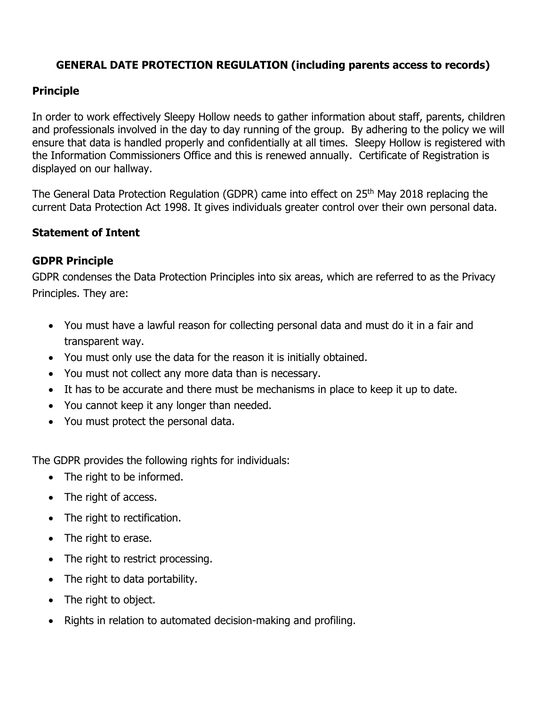## **GENERAL DATE PROTECTION REGULATION (including parents access to records)**

#### **Principle**

In order to work effectively Sleepy Hollow needs to gather information about staff, parents, children and professionals involved in the day to day running of the group. By adhering to the policy we will ensure that data is handled properly and confidentially at all times. Sleepy Hollow is registered with the Information Commissioners Office and this is renewed annually. Certificate of Registration is displayed on our hallway.

The General Data Protection Regulation (GDPR) came into effect on 25<sup>th</sup> May 2018 replacing the current Data Protection Act 1998. It gives individuals greater control over their own personal data.

#### **Statement of Intent**

#### **GDPR Principle**

GDPR condenses the Data Protection Principles into six areas, which are referred to as the Privacy Principles. They are:

- You must have a lawful reason for collecting personal data and must do it in a fair and transparent way.
- You must only use the data for the reason it is initially obtained.
- You must not collect any more data than is necessary.
- It has to be accurate and there must be mechanisms in place to keep it up to date.
- You cannot keep it any longer than needed.
- You must protect the personal data.

The GDPR provides the following rights for individuals:

- The right to be informed.
- The right of access.
- The right to rectification.
- The right to erase.
- The right to restrict processing.
- The right to data portability.
- The right to object.
- Rights in relation to automated decision-making and profiling.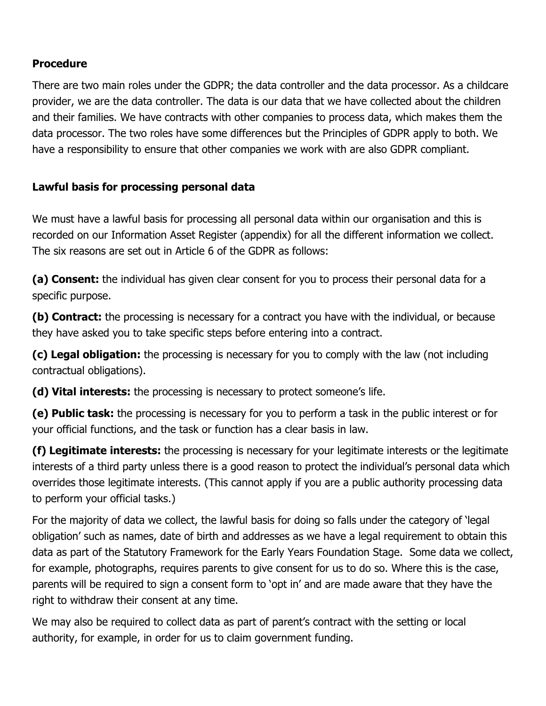## **Procedure**

There are two main roles under the GDPR; the data controller and the data processor. As a childcare provider, we are the data controller. The data is our data that we have collected about the children and their families. We have contracts with other companies to process data, which makes them the data processor. The two roles have some differences but the Principles of GDPR apply to both. We have a responsibility to ensure that other companies we work with are also GDPR compliant.

## **Lawful basis for processing personal data**

We must have a lawful basis for processing all personal data within our organisation and this is recorded on our Information Asset Register (appendix) for all the different information we collect. The six reasons are set out in Article 6 of the GDPR as follows:

**(a) Consent:** the individual has given clear consent for you to process their personal data for a specific purpose.

**(b) Contract:** the processing is necessary for a contract you have with the individual, or because they have asked you to take specific steps before entering into a contract.

**(c) Legal obligation:** the processing is necessary for you to comply with the law (not including contractual obligations).

**(d) Vital interests:** the processing is necessary to protect someone's life.

**(e) Public task:** the processing is necessary for you to perform a task in the public interest or for your official functions, and the task or function has a clear basis in law.

**(f) Legitimate interests:** the processing is necessary for your legitimate interests or the legitimate interests of a third party unless there is a good reason to protect the individual's personal data which overrides those legitimate interests. (This cannot apply if you are a public authority processing data to perform your official tasks.)

For the majority of data we collect, the lawful basis for doing so falls under the category of 'legal obligation' such as names, date of birth and addresses as we have a legal requirement to obtain this data as part of the Statutory Framework for the Early Years Foundation Stage. Some data we collect, for example, photographs, requires parents to give consent for us to do so. Where this is the case, parents will be required to sign a consent form to 'opt in' and are made aware that they have the right to withdraw their consent at any time.

We may also be required to collect data as part of parent's contract with the setting or local authority, for example, in order for us to claim government funding.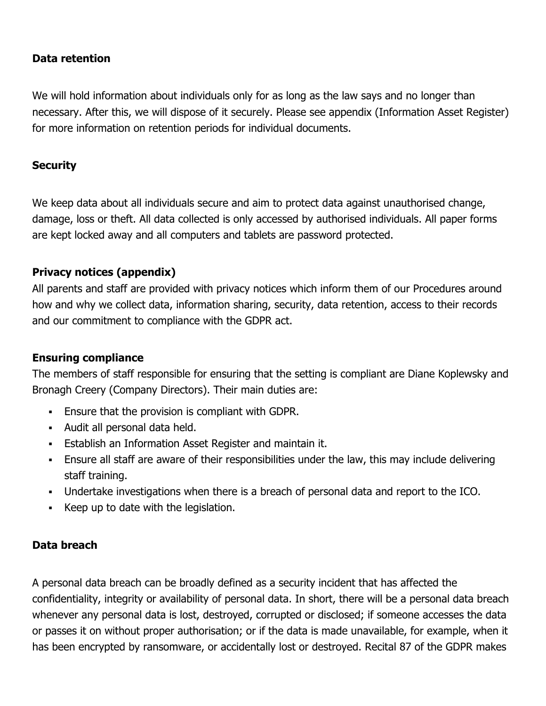## **Data retention**

We will hold information about individuals only for as long as the law says and no longer than necessary. After this, we will dispose of it securely. Please see appendix (Information Asset Register) for more information on retention periods for individual documents.

## **Security**

We keep data about all individuals secure and aim to protect data against unauthorised change, damage, loss or theft. All data collected is only accessed by authorised individuals. All paper forms are kept locked away and all computers and tablets are password protected.

## **Privacy notices (appendix)**

All parents and staff are provided with privacy notices which inform them of our Procedures around how and why we collect data, information sharing, security, data retention, access to their records and our commitment to compliance with the GDPR act.

#### **Ensuring compliance**

The members of staff responsible for ensuring that the setting is compliant are Diane Koplewsky and Bronagh Creery (Company Directors). Their main duties are:

- § Ensure that the provision is compliant with GDPR.
- Audit all personal data held.
- **Establish an Information Asset Register and maintain it.**
- Ensure all staff are aware of their responsibilities under the law, this may include delivering staff training.
- § Undertake investigations when there is a breach of personal data and report to the ICO.
- Keep up to date with the legislation.

#### **Data breach**

A personal data breach can be broadly defined as a security incident that has affected the confidentiality, integrity or availability of personal data. In short, there will be a personal data breach whenever any personal data is lost, destroyed, corrupted or disclosed; if someone accesses the data or passes it on without proper authorisation; or if the data is made unavailable, for example, when it has been encrypted by ransomware, or accidentally lost or destroyed. Recital 87 of the GDPR makes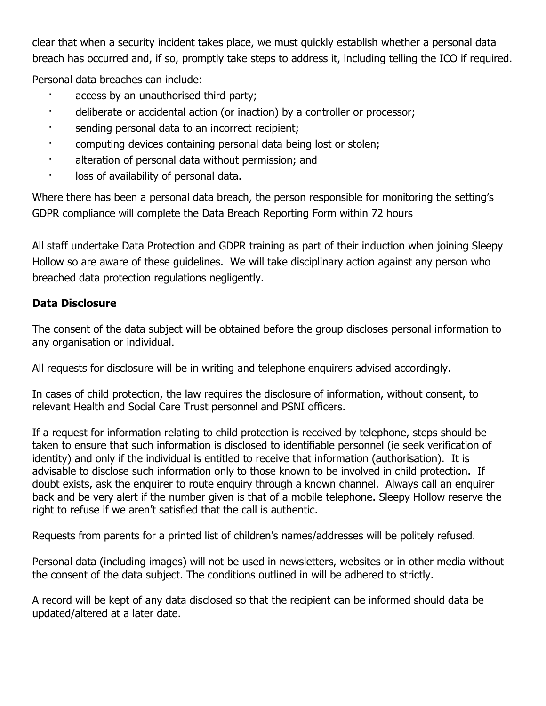clear that when a security incident takes place, we must quickly establish whether a personal data breach has occurred and, if so, promptly take steps to address it, including telling the ICO if required.

Personal data breaches can include:

- access by an unauthorised third party;
- · deliberate or accidental action (or inaction) by a controller or processor;
- sending personal data to an incorrect recipient;
- · computing devices containing personal data being lost or stolen;
- alteration of personal data without permission; and
- loss of availability of personal data.

Where there has been a personal data breach, the person responsible for monitoring the setting's GDPR compliance will complete the Data Breach Reporting Form within 72 hours

All staff undertake Data Protection and GDPR training as part of their induction when joining Sleepy Hollow so are aware of these guidelines. We will take disciplinary action against any person who breached data protection regulations negligently.

## **Data Disclosure**

The consent of the data subject will be obtained before the group discloses personal information to any organisation or individual.

All requests for disclosure will be in writing and telephone enquirers advised accordingly.

In cases of child protection, the law requires the disclosure of information, without consent, to relevant Health and Social Care Trust personnel and PSNI officers.

If a request for information relating to child protection is received by telephone, steps should be taken to ensure that such information is disclosed to identifiable personnel (ie seek verification of identity) and only if the individual is entitled to receive that information (authorisation). It is advisable to disclose such information only to those known to be involved in child protection. If doubt exists, ask the enquirer to route enquiry through a known channel. Always call an enquirer back and be very alert if the number given is that of a mobile telephone. Sleepy Hollow reserve the right to refuse if we aren't satisfied that the call is authentic.

Requests from parents for a printed list of children's names/addresses will be politely refused.

Personal data (including images) will not be used in newsletters, websites or in other media without the consent of the data subject. The conditions outlined in will be adhered to strictly.

A record will be kept of any data disclosed so that the recipient can be informed should data be updated/altered at a later date.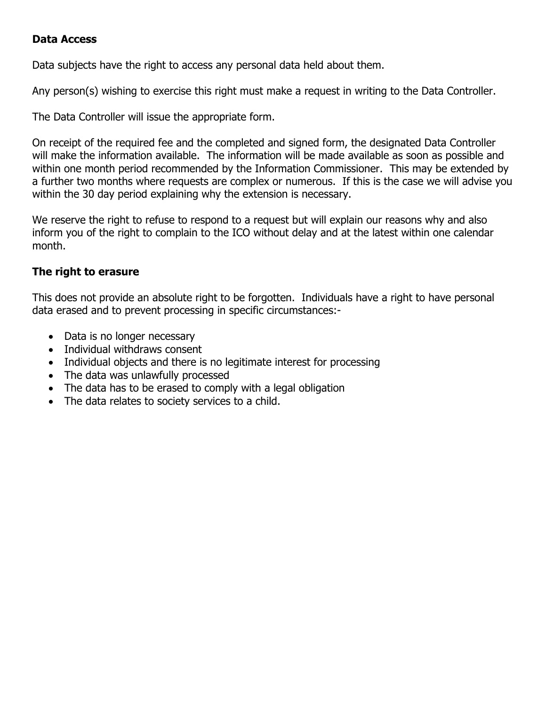## **Data Access**

Data subjects have the right to access any personal data held about them.

Any person(s) wishing to exercise this right must make a request in writing to the Data Controller.

The Data Controller will issue the appropriate form.

On receipt of the required fee and the completed and signed form, the designated Data Controller will make the information available. The information will be made available as soon as possible and within one month period recommended by the Information Commissioner. This may be extended by a further two months where requests are complex or numerous. If this is the case we will advise you within the 30 day period explaining why the extension is necessary.

We reserve the right to refuse to respond to a request but will explain our reasons why and also inform you of the right to complain to the ICO without delay and at the latest within one calendar month.

#### **The right to erasure**

This does not provide an absolute right to be forgotten. Individuals have a right to have personal data erased and to prevent processing in specific circumstances:-

- Data is no longer necessary
- Individual withdraws consent
- Individual objects and there is no legitimate interest for processing
- The data was unlawfully processed
- The data has to be erased to comply with a legal obligation
- The data relates to society services to a child.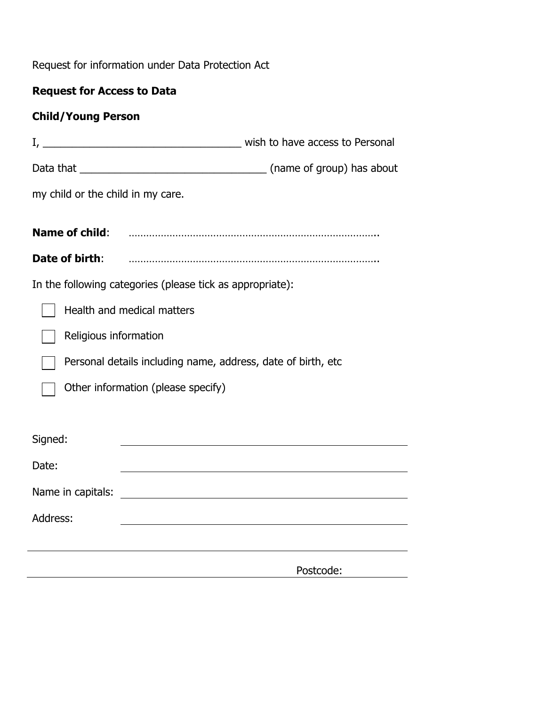Request for information under Data Protection Act

# **Request for Access to Data**

# **Child/Young Person**

| my child or the child in my care.                                                                                      |  |  |  |
|------------------------------------------------------------------------------------------------------------------------|--|--|--|
|                                                                                                                        |  |  |  |
|                                                                                                                        |  |  |  |
|                                                                                                                        |  |  |  |
| In the following categories (please tick as appropriate):                                                              |  |  |  |
| Health and medical matters                                                                                             |  |  |  |
| Religious information                                                                                                  |  |  |  |
| Personal details including name, address, date of birth, etc                                                           |  |  |  |
| Other information (please specify)                                                                                     |  |  |  |
|                                                                                                                        |  |  |  |
|                                                                                                                        |  |  |  |
| <u> 1989 - Johann Stoff, deutscher Stoffen und der Stoffen und der Stoffen und der Stoffen und der Stoffen und der</u> |  |  |  |
| <u> 1980 - Jan Samuel Barbara, martin din shekara 1980 - André a Santa Barbara, mashrida a tsarinin da shekara 1</u>   |  |  |  |
| <u> 1989 - Johann Stoff, deutscher Stoff, der Stoff, der Stoff, der Stoff, der Stoff, der Stoff, der Stoff, der S</u>  |  |  |  |
|                                                                                                                        |  |  |  |
| Postcode:                                                                                                              |  |  |  |
|                                                                                                                        |  |  |  |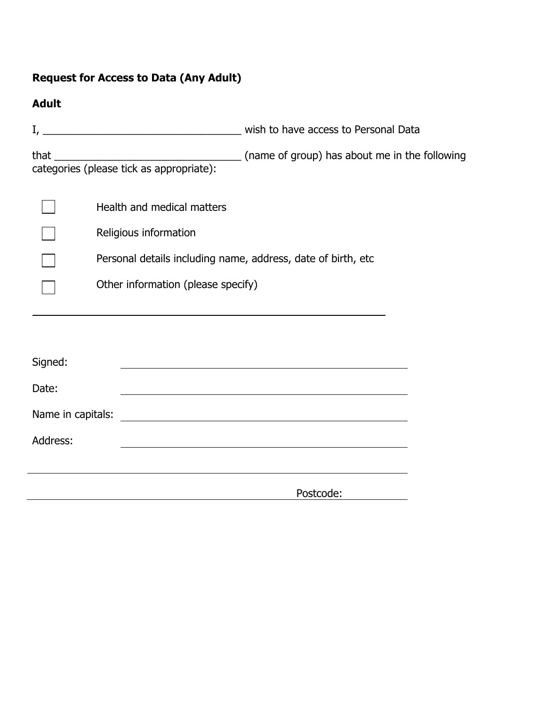# **Request for Access to Data (Any Adult)**

# **Adult**

|          | Health and medical matters                                                                                       |
|----------|------------------------------------------------------------------------------------------------------------------|
|          | Religious information                                                                                            |
|          | Personal details including name, address, date of birth, etc                                                     |
|          | Other information (please specify)                                                                               |
|          | <u> 1989 - Johann Stoff, Amerikaansk politiker († 1908)</u>                                                      |
|          |                                                                                                                  |
| Signed:  | and the control of the control of the control of the control of the control of the control of the control of the |
| Date:    | <u> 1980 - Johann Stoff, fransk politik (d. 1980)</u>                                                            |
|          |                                                                                                                  |
| Address: |                                                                                                                  |
|          |                                                                                                                  |

Postcode: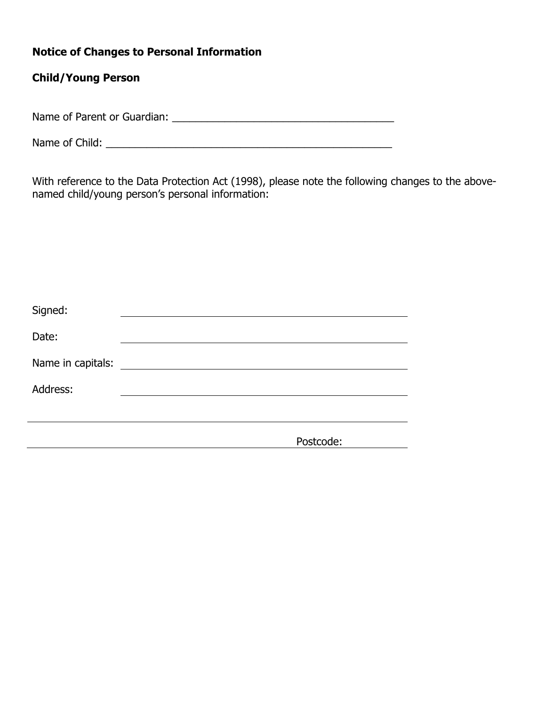## **Notice of Changes to Personal Information**

# **Child/Young Person**

Name of Parent or Guardian: \_\_\_\_\_\_\_\_\_\_\_\_\_\_\_\_\_\_\_\_\_\_\_\_\_\_\_\_\_\_\_\_\_\_\_\_\_\_

Name of Child: \_\_\_\_\_\_\_\_\_\_\_\_\_\_\_\_\_\_\_\_\_\_\_\_\_\_\_\_\_\_\_\_\_\_\_\_\_\_\_\_\_\_\_\_\_\_\_\_\_

With reference to the Data Protection Act (1998), please note the following changes to the abovenamed child/young person's personal information:

| Signed:           |           |
|-------------------|-----------|
| Date:             |           |
| Name in capitals: |           |
| Address:          |           |
|                   |           |
|                   | Postcode: |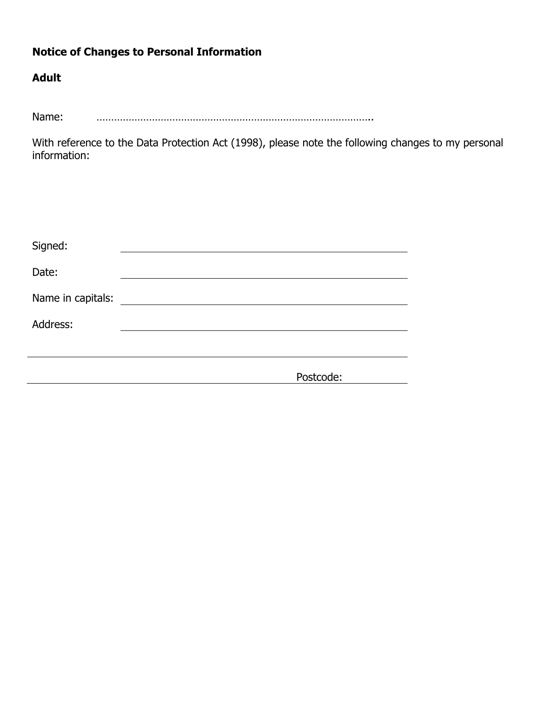# **Notice of Changes to Personal Information**

# **Adult**

Name: …………………………………………………………………………………..

With reference to the Data Protection Act (1998), please note the following changes to my personal information:

| Signed:           |           |
|-------------------|-----------|
| Date:             |           |
| Name in capitals: |           |
| Address:          |           |
|                   |           |
|                   | Postcode: |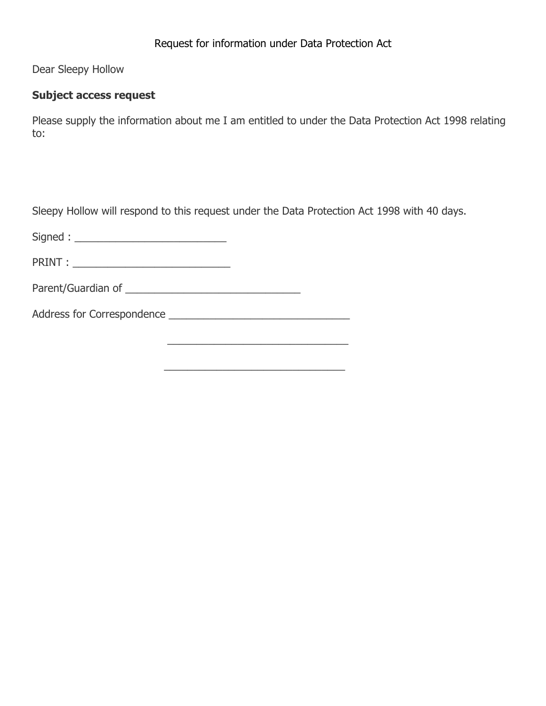Dear Sleepy Hollow

## **Subject access request**

Please supply the information about me I am entitled to under the Data Protection Act 1998 relating to:

Sleepy Hollow will respond to this request under the Data Protection Act 1998 with 40 days.

 $\frac{1}{2}$  ,  $\frac{1}{2}$  ,  $\frac{1}{2}$  ,  $\frac{1}{2}$  ,  $\frac{1}{2}$  ,  $\frac{1}{2}$  ,  $\frac{1}{2}$  ,  $\frac{1}{2}$  ,  $\frac{1}{2}$  ,  $\frac{1}{2}$  ,  $\frac{1}{2}$  ,  $\frac{1}{2}$  ,  $\frac{1}{2}$  ,  $\frac{1}{2}$  ,  $\frac{1}{2}$  ,  $\frac{1}{2}$  ,  $\frac{1}{2}$  ,  $\frac{1}{2}$  ,  $\frac{1$ 

Signed : \_\_\_\_\_\_\_\_\_\_\_\_\_\_\_\_\_\_\_\_\_\_\_\_\_\_

PRINT : \_\_\_\_\_\_\_\_\_\_\_\_\_\_\_\_\_\_\_\_\_\_\_\_\_\_\_

Parent/Guardian of \_\_\_\_\_\_\_\_\_\_\_\_\_\_\_\_\_\_\_\_\_\_\_\_\_\_\_\_\_\_

Address for Correspondence \_\_\_\_\_\_\_\_\_\_\_\_\_\_\_\_\_\_\_\_\_\_\_\_\_\_\_\_\_\_\_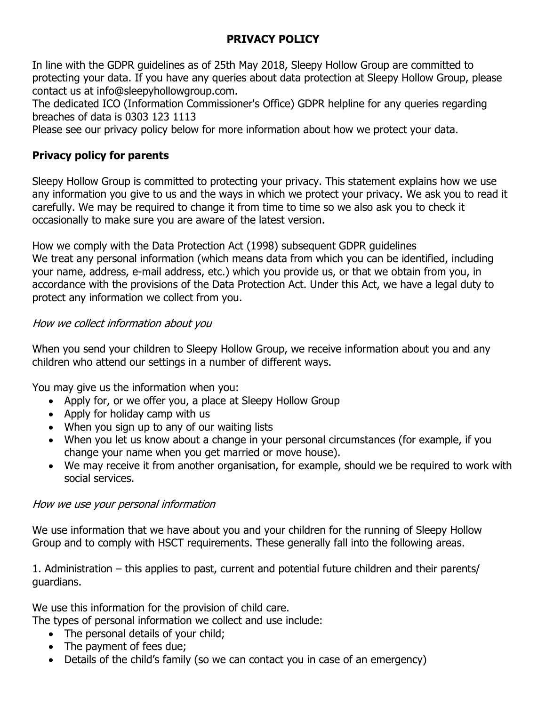# **PRIVACY POLICY**

In line with the GDPR guidelines as of 25th May 2018, Sleepy Hollow Group are committed to protecting your data. If you have any queries about data protection at Sleepy Hollow Group, please contact us at info@sleepyhollowgroup.com.

The dedicated ICO (Information Commissioner's Office) GDPR helpline for any queries regarding breaches of data is 0303 123 1113

Please see our privacy policy below for more information about how we protect your data.

## **Privacy policy for parents**

Sleepy Hollow Group is committed to protecting your privacy. This statement explains how we use any information you give to us and the ways in which we protect your privacy. We ask you to read it carefully. We may be required to change it from time to time so we also ask you to check it occasionally to make sure you are aware of the latest version.

How we comply with the Data Protection Act (1998) subsequent GDPR guidelines We treat any personal information (which means data from which you can be identified, including your name, address, e-mail address, etc.) which you provide us, or that we obtain from you, in accordance with the provisions of the Data Protection Act. Under this Act, we have a legal duty to protect any information we collect from you.

## How we collect information about you

When you send your children to Sleepy Hollow Group, we receive information about you and any children who attend our settings in a number of different ways.

You may give us the information when you:

- Apply for, or we offer you, a place at Sleepy Hollow Group
- Apply for holiday camp with us
- When you sign up to any of our waiting lists
- When you let us know about a change in your personal circumstances (for example, if you change your name when you get married or move house).
- We may receive it from another organisation, for example, should we be required to work with social services.

#### How we use your personal information

We use information that we have about you and your children for the running of Sleepy Hollow Group and to comply with HSCT requirements. These generally fall into the following areas.

1. Administration – this applies to past, current and potential future children and their parents/ guardians.

We use this information for the provision of child care.

The types of personal information we collect and use include:

- The personal details of your child;
- The payment of fees due;
- Details of the child's family (so we can contact you in case of an emergency)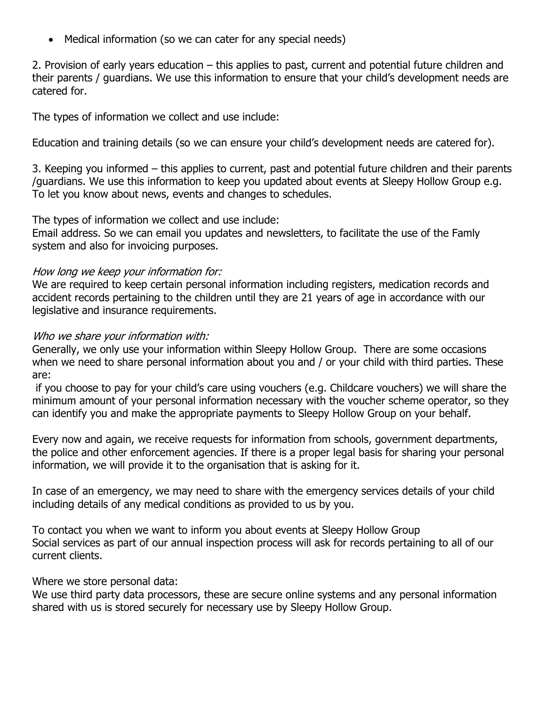• Medical information (so we can cater for any special needs)

2. Provision of early years education – this applies to past, current and potential future children and their parents / guardians. We use this information to ensure that your child's development needs are catered for.

The types of information we collect and use include:

Education and training details (so we can ensure your child's development needs are catered for).

3. Keeping you informed – this applies to current, past and potential future children and their parents /guardians. We use this information to keep you updated about events at Sleepy Hollow Group e.g. To let you know about news, events and changes to schedules.

The types of information we collect and use include:

Email address. So we can email you updates and newsletters, to facilitate the use of the Famly system and also for invoicing purposes.

#### How long we keep your information for:

We are required to keep certain personal information including registers, medication records and accident records pertaining to the children until they are 21 years of age in accordance with our legislative and insurance requirements.

#### Who we share your information with:

Generally, we only use your information within Sleepy Hollow Group. There are some occasions when we need to share personal information about you and / or your child with third parties. These are:

if you choose to pay for your child's care using vouchers (e.g. Childcare vouchers) we will share the minimum amount of your personal information necessary with the voucher scheme operator, so they can identify you and make the appropriate payments to Sleepy Hollow Group on your behalf.

Every now and again, we receive requests for information from schools, government departments, the police and other enforcement agencies. If there is a proper legal basis for sharing your personal information, we will provide it to the organisation that is asking for it.

In case of an emergency, we may need to share with the emergency services details of your child including details of any medical conditions as provided to us by you.

To contact you when we want to inform you about events at Sleepy Hollow Group Social services as part of our annual inspection process will ask for records pertaining to all of our current clients.

Where we store personal data:

We use third party data processors, these are secure online systems and any personal information shared with us is stored securely for necessary use by Sleepy Hollow Group.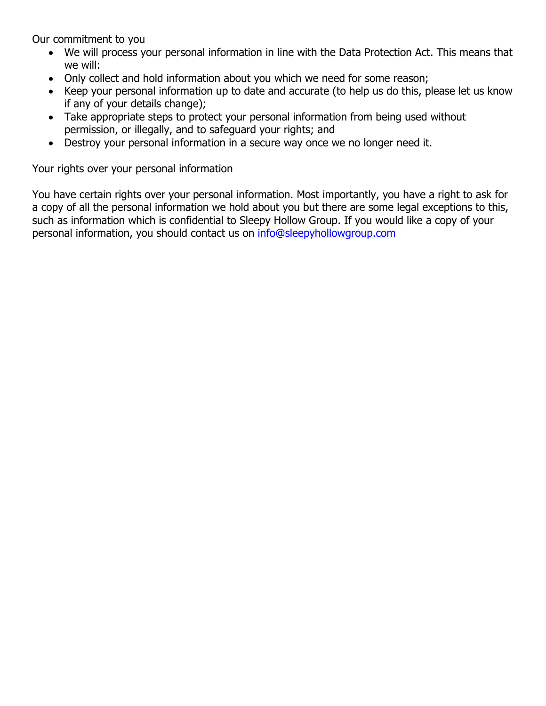Our commitment to you

- We will process your personal information in line with the Data Protection Act. This means that we will:
- Only collect and hold information about you which we need for some reason;
- Keep your personal information up to date and accurate (to help us do this, please let us know if any of your details change);
- Take appropriate steps to protect your personal information from being used without permission, or illegally, and to safeguard your rights; and
- Destroy your personal information in a secure way once we no longer need it.

Your rights over your personal information

You have certain rights over your personal information. Most importantly, you have a right to ask for a copy of all the personal information we hold about you but there are some legal exceptions to this, such as information which is confidential to Sleepy Hollow Group. If you would like a copy of your personal information, you should contact us on info@sleepyhollowgroup.com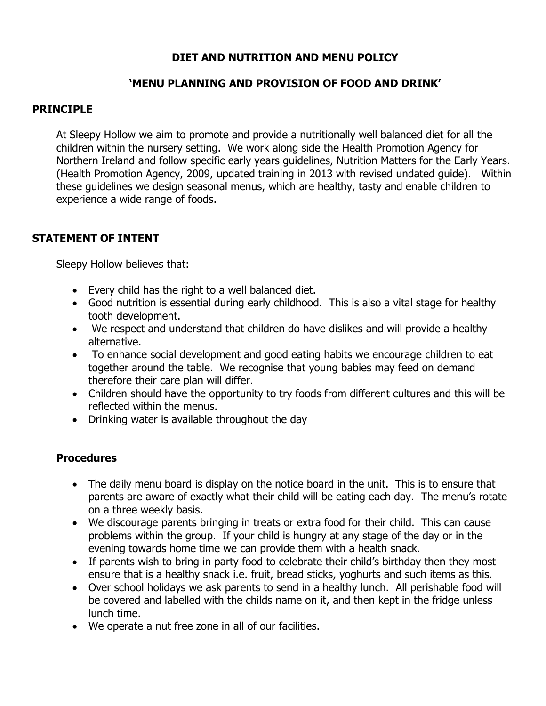## **DIET AND NUTRITION AND MENU POLICY**

## **'MENU PLANNING AND PROVISION OF FOOD AND DRINK'**

#### **PRINCIPLE**

At Sleepy Hollow we aim to promote and provide a nutritionally well balanced diet for all the children within the nursery setting. We work along side the Health Promotion Agency for Northern Ireland and follow specific early years guidelines, Nutrition Matters for the Early Years. (Health Promotion Agency, 2009, updated training in 2013 with revised undated guide). Within these guidelines we design seasonal menus, which are healthy, tasty and enable children to experience a wide range of foods.

#### **STATEMENT OF INTENT**

Sleepy Hollow believes that:

- Every child has the right to a well balanced diet.
- Good nutrition is essential during early childhood. This is also a vital stage for healthy tooth development.
- We respect and understand that children do have dislikes and will provide a healthy alternative.
- To enhance social development and good eating habits we encourage children to eat together around the table. We recognise that young babies may feed on demand therefore their care plan will differ.
- Children should have the opportunity to try foods from different cultures and this will be reflected within the menus.
- Drinking water is available throughout the day

#### **Procedures**

- The daily menu board is display on the notice board in the unit. This is to ensure that parents are aware of exactly what their child will be eating each day. The menu's rotate on a three weekly basis.
- We discourage parents bringing in treats or extra food for their child. This can cause problems within the group. If your child is hungry at any stage of the day or in the evening towards home time we can provide them with a health snack.
- If parents wish to bring in party food to celebrate their child's birthday then they most ensure that is a healthy snack i.e. fruit, bread sticks, yoghurts and such items as this.
- Over school holidays we ask parents to send in a healthy lunch. All perishable food will be covered and labelled with the childs name on it, and then kept in the fridge unless lunch time.
- We operate a nut free zone in all of our facilities.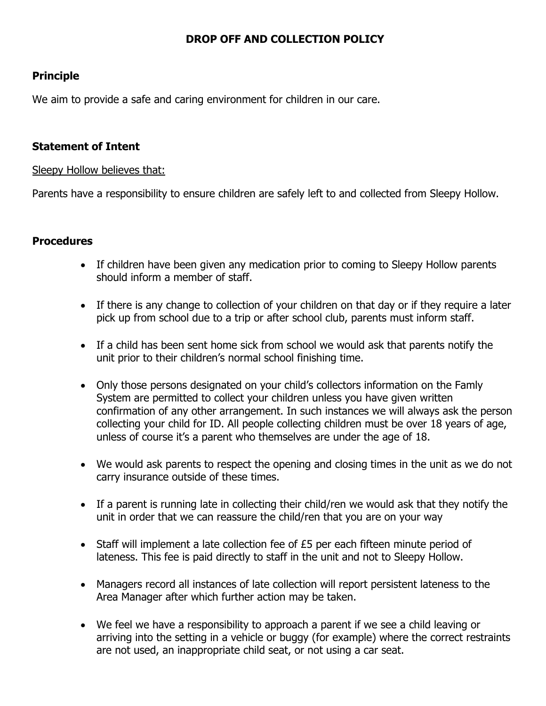## **DROP OFF AND COLLECTION POLICY**

## **Principle**

We aim to provide a safe and caring environment for children in our care.

#### **Statement of Intent**

#### Sleepy Hollow believes that:

Parents have a responsibility to ensure children are safely left to and collected from Sleepy Hollow.

#### **Procedures**

- If children have been given any medication prior to coming to Sleepy Hollow parents should inform a member of staff.
- If there is any change to collection of your children on that day or if they require a later pick up from school due to a trip or after school club, parents must inform staff.
- If a child has been sent home sick from school we would ask that parents notify the unit prior to their children's normal school finishing time.
- Only those persons designated on your child's collectors information on the Famly System are permitted to collect your children unless you have given written confirmation of any other arrangement. In such instances we will always ask the person collecting your child for ID. All people collecting children must be over 18 years of age, unless of course it's a parent who themselves are under the age of 18.
- We would ask parents to respect the opening and closing times in the unit as we do not carry insurance outside of these times.
- If a parent is running late in collecting their child/ren we would ask that they notify the unit in order that we can reassure the child/ren that you are on your way
- Staff will implement a late collection fee of £5 per each fifteen minute period of lateness. This fee is paid directly to staff in the unit and not to Sleepy Hollow.
- Managers record all instances of late collection will report persistent lateness to the Area Manager after which further action may be taken.
- We feel we have a responsibility to approach a parent if we see a child leaving or arriving into the setting in a vehicle or buggy (for example) where the correct restraints are not used, an inappropriate child seat, or not using a car seat.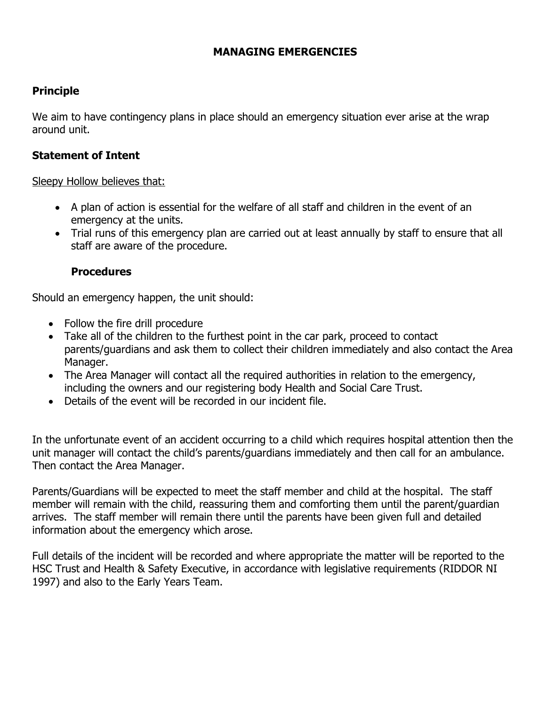#### **MANAGING EMERGENCIES**

## **Principle**

We aim to have contingency plans in place should an emergency situation ever arise at the wrap around unit.

#### **Statement of Intent**

#### Sleepy Hollow believes that:

- A plan of action is essential for the welfare of all staff and children in the event of an emergency at the units.
- Trial runs of this emergency plan are carried out at least annually by staff to ensure that all staff are aware of the procedure.

## **Procedures**

Should an emergency happen, the unit should:

- Follow the fire drill procedure
- Take all of the children to the furthest point in the car park, proceed to contact parents/guardians and ask them to collect their children immediately and also contact the Area Manager.
- The Area Manager will contact all the required authorities in relation to the emergency, including the owners and our registering body Health and Social Care Trust.
- Details of the event will be recorded in our incident file.

In the unfortunate event of an accident occurring to a child which requires hospital attention then the unit manager will contact the child's parents/guardians immediately and then call for an ambulance. Then contact the Area Manager.

Parents/Guardians will be expected to meet the staff member and child at the hospital. The staff member will remain with the child, reassuring them and comforting them until the parent/guardian arrives. The staff member will remain there until the parents have been given full and detailed information about the emergency which arose.

Full details of the incident will be recorded and where appropriate the matter will be reported to the HSC Trust and Health & Safety Executive, in accordance with legislative requirements (RIDDOR NI 1997) and also to the Early Years Team.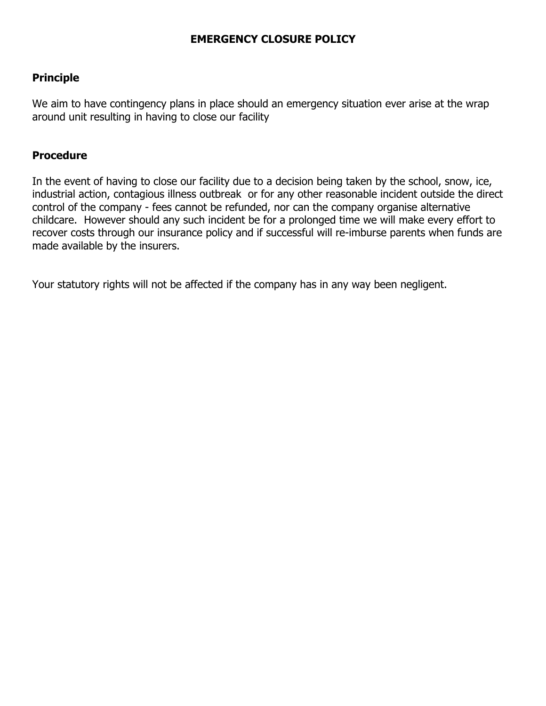## **EMERGENCY CLOSURE POLICY**

#### **Principle**

We aim to have contingency plans in place should an emergency situation ever arise at the wrap around unit resulting in having to close our facility

#### **Procedure**

In the event of having to close our facility due to a decision being taken by the school, snow, ice, industrial action, contagious illness outbreak or for any other reasonable incident outside the direct control of the company - fees cannot be refunded, nor can the company organise alternative childcare. However should any such incident be for a prolonged time we will make every effort to recover costs through our insurance policy and if successful will re-imburse parents when funds are made available by the insurers.

Your statutory rights will not be affected if the company has in any way been negligent.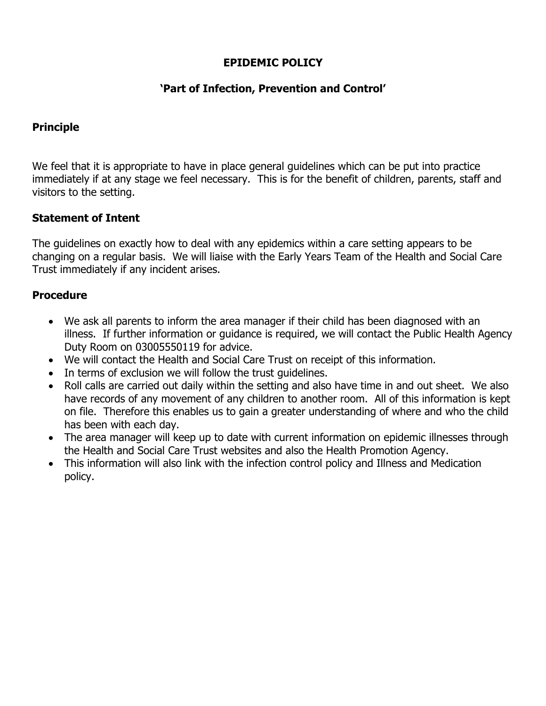# **EPIDEMIC POLICY**

## **'Part of Infection, Prevention and Control'**

## **Principle**

We feel that it is appropriate to have in place general guidelines which can be put into practice immediately if at any stage we feel necessary. This is for the benefit of children, parents, staff and visitors to the setting.

## **Statement of Intent**

The guidelines on exactly how to deal with any epidemics within a care setting appears to be changing on a regular basis. We will liaise with the Early Years Team of the Health and Social Care Trust immediately if any incident arises.

#### **Procedure**

- We ask all parents to inform the area manager if their child has been diagnosed with an illness. If further information or guidance is required, we will contact the Public Health Agency Duty Room on 03005550119 for advice.
- We will contact the Health and Social Care Trust on receipt of this information.
- In terms of exclusion we will follow the trust guidelines.
- Roll calls are carried out daily within the setting and also have time in and out sheet. We also have records of any movement of any children to another room. All of this information is kept on file. Therefore this enables us to gain a greater understanding of where and who the child has been with each day.
- The area manager will keep up to date with current information on epidemic illnesses through the Health and Social Care Trust websites and also the Health Promotion Agency.
- This information will also link with the infection control policy and Illness and Medication policy.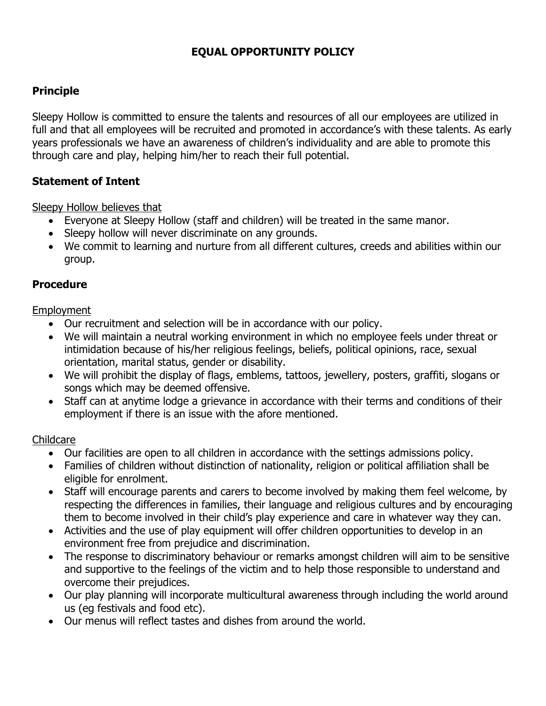## **EQUAL OPPORTUNITY POLICY**

## **Principle**

Sleepy Hollow is committed to ensure the talents and resources of all our employees are utilized in full and that all employees will be recruited and promoted in accordance's with these talents. As early years professionals we have an awareness of children's individuality and are able to promote this through care and play, helping him/her to reach their full potential.

## **Statement of Intent**

Sleepy Hollow believes that

- Everyone at Sleepy Hollow (staff and children) will be treated in the same manor.
- Sleepy hollow will never discriminate on any grounds.
- We commit to learning and nurture from all different cultures, creeds and abilities within our group.

#### **Procedure**

#### Employment

- Our recruitment and selection will be in accordance with our policy.
- We will maintain a neutral working environment in which no employee feels under threat or intimidation because of his/her religious feelings, beliefs, political opinions, race, sexual orientation, marital status, gender or disability.
- We will prohibit the display of flags, emblems, tattoos, jewellery, posters, graffiti, slogans or songs which may be deemed offensive.
- Staff can at anytime lodge a grievance in accordance with their terms and conditions of their employment if there is an issue with the afore mentioned.

#### Childcare

- Our facilities are open to all children in accordance with the settings admissions policy.
- Families of children without distinction of nationality, religion or political affiliation shall be eligible for enrolment.
- Staff will encourage parents and carers to become involved by making them feel welcome, by respecting the differences in families, their language and religious cultures and by encouraging them to become involved in their child's play experience and care in whatever way they can.
- Activities and the use of play equipment will offer children opportunities to develop in an environment free from prejudice and discrimination.
- The response to discriminatory behaviour or remarks amongst children will aim to be sensitive and supportive to the feelings of the victim and to help those responsible to understand and overcome their prejudices.
- Our play planning will incorporate multicultural awareness through including the world around us (eg festivals and food etc).
- Our menus will reflect tastes and dishes from around the world.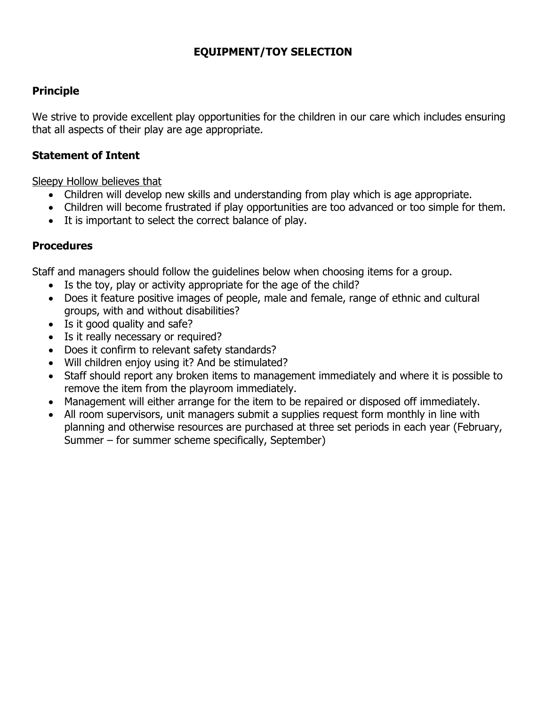## **EQUIPMENT/TOY SELECTION**

## **Principle**

We strive to provide excellent play opportunities for the children in our care which includes ensuring that all aspects of their play are age appropriate.

#### **Statement of Intent**

Sleepy Hollow believes that

- Children will develop new skills and understanding from play which is age appropriate.
- Children will become frustrated if play opportunities are too advanced or too simple for them.
- It is important to select the correct balance of play.

#### **Procedures**

Staff and managers should follow the guidelines below when choosing items for a group.

- Is the toy, play or activity appropriate for the age of the child?
- Does it feature positive images of people, male and female, range of ethnic and cultural groups, with and without disabilities?
- Is it good quality and safe?
- Is it really necessary or required?
- Does it confirm to relevant safety standards?
- Will children enjoy using it? And be stimulated?
- Staff should report any broken items to management immediately and where it is possible to remove the item from the playroom immediately.
- Management will either arrange for the item to be repaired or disposed off immediately.
- All room supervisors, unit managers submit a supplies request form monthly in line with planning and otherwise resources are purchased at three set periods in each year (February, Summer – for summer scheme specifically, September)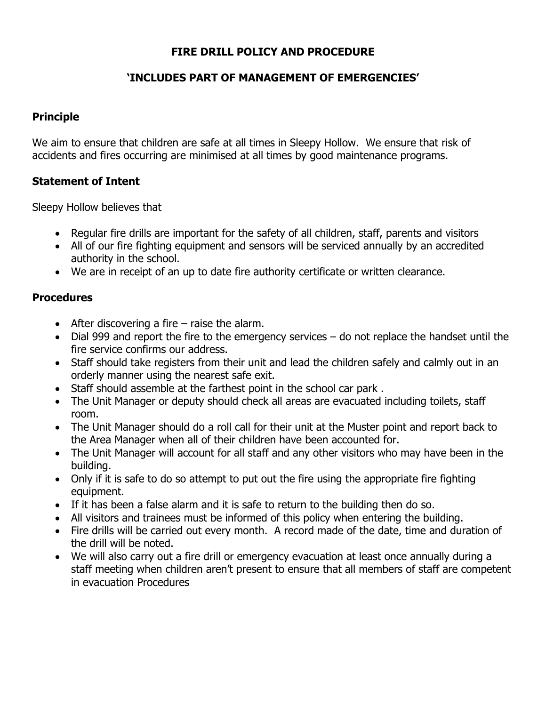## **FIRE DRILL POLICY AND PROCEDURE**

## **'INCLUDES PART OF MANAGEMENT OF EMERGENCIES'**

## **Principle**

We aim to ensure that children are safe at all times in Sleepy Hollow. We ensure that risk of accidents and fires occurring are minimised at all times by good maintenance programs.

#### **Statement of Intent**

#### Sleepy Hollow believes that

- Regular fire drills are important for the safety of all children, staff, parents and visitors
- All of our fire fighting equipment and sensors will be serviced annually by an accredited authority in the school.
- We are in receipt of an up to date fire authority certificate or written clearance.

#### **Procedures**

- After discovering a fire  $-$  raise the alarm.
- Dial 999 and report the fire to the emergency services do not replace the handset until the fire service confirms our address.
- Staff should take registers from their unit and lead the children safely and calmly out in an orderly manner using the nearest safe exit.
- Staff should assemble at the farthest point in the school car park .
- The Unit Manager or deputy should check all areas are evacuated including toilets, staff room.
- The Unit Manager should do a roll call for their unit at the Muster point and report back to the Area Manager when all of their children have been accounted for.
- The Unit Manager will account for all staff and any other visitors who may have been in the building.
- Only if it is safe to do so attempt to put out the fire using the appropriate fire fighting equipment.
- If it has been a false alarm and it is safe to return to the building then do so.
- All visitors and trainees must be informed of this policy when entering the building.
- Fire drills will be carried out every month. A record made of the date, time and duration of the drill will be noted.
- We will also carry out a fire drill or emergency evacuation at least once annually during a staff meeting when children aren't present to ensure that all members of staff are competent in evacuation Procedures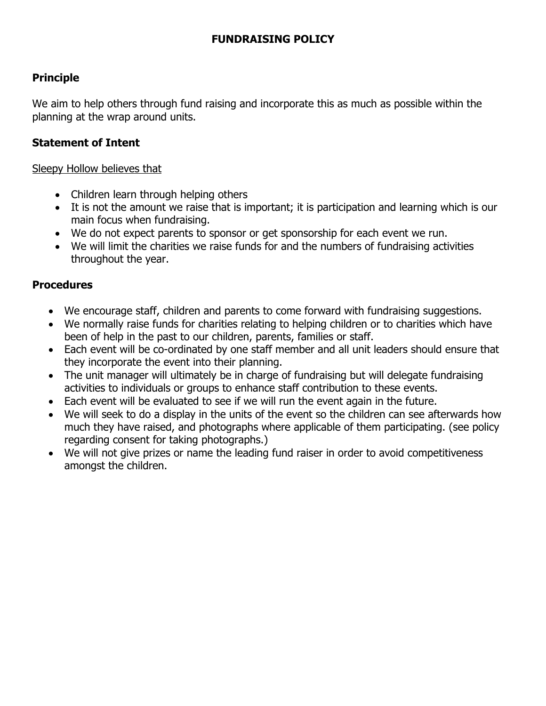# **Principle**

We aim to help others through fund raising and incorporate this as much as possible within the planning at the wrap around units.

## **Statement of Intent**

#### Sleepy Hollow believes that

- Children learn through helping others
- It is not the amount we raise that is important; it is participation and learning which is our main focus when fundraising.
- We do not expect parents to sponsor or get sponsorship for each event we run.
- We will limit the charities we raise funds for and the numbers of fundraising activities throughout the year.

## **Procedures**

- We encourage staff, children and parents to come forward with fundraising suggestions.
- We normally raise funds for charities relating to helping children or to charities which have been of help in the past to our children, parents, families or staff.
- Each event will be co-ordinated by one staff member and all unit leaders should ensure that they incorporate the event into their planning.
- The unit manager will ultimately be in charge of fundraising but will delegate fundraising activities to individuals or groups to enhance staff contribution to these events.
- Each event will be evaluated to see if we will run the event again in the future.
- We will seek to do a display in the units of the event so the children can see afterwards how much they have raised, and photographs where applicable of them participating. (see policy regarding consent for taking photographs.)
- We will not give prizes or name the leading fund raiser in order to avoid competitiveness amongst the children.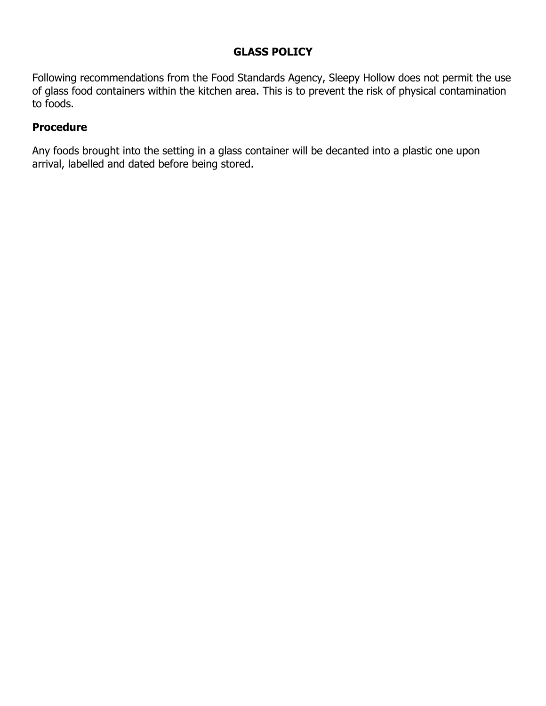## **GLASS POLICY**

Following recommendations from the Food Standards Agency, Sleepy Hollow does not permit the use of glass food containers within the kitchen area. This is to prevent the risk of physical contamination to foods.

#### **Procedure**

Any foods brought into the setting in a glass container will be decanted into a plastic one upon arrival, labelled and dated before being stored.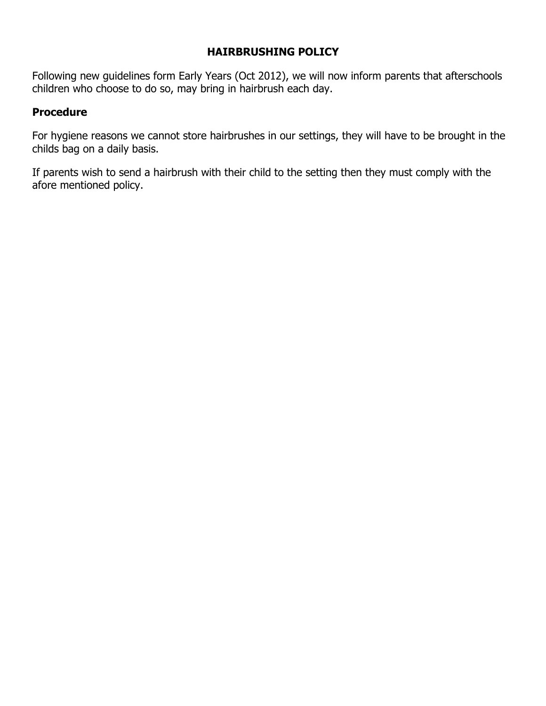#### **HAIRBRUSHING POLICY**

Following new guidelines form Early Years (Oct 2012), we will now inform parents that afterschools children who choose to do so, may bring in hairbrush each day.

#### **Procedure**

For hygiene reasons we cannot store hairbrushes in our settings, they will have to be brought in the childs bag on a daily basis.

If parents wish to send a hairbrush with their child to the setting then they must comply with the afore mentioned policy.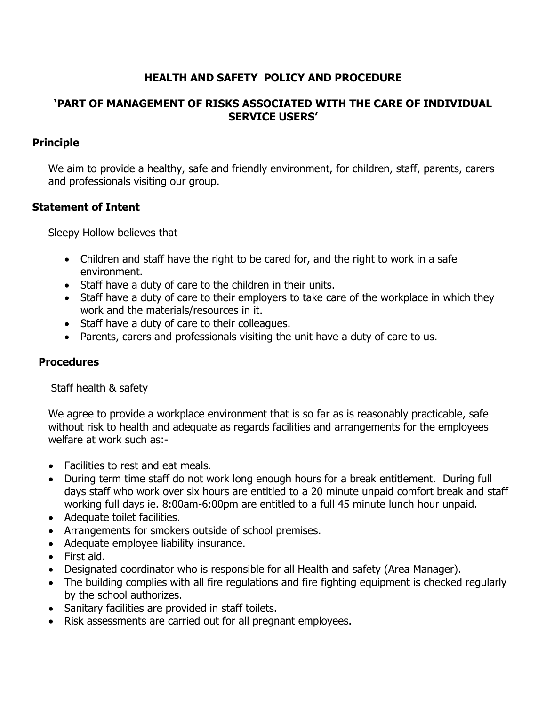## **HEALTH AND SAFETY POLICY AND PROCEDURE**

## **'PART OF MANAGEMENT OF RISKS ASSOCIATED WITH THE CARE OF INDIVIDUAL SERVICE USERS'**

#### **Principle**

We aim to provide a healthy, safe and friendly environment, for children, staff, parents, carers and professionals visiting our group.

#### **Statement of Intent**

Sleepy Hollow believes that

- Children and staff have the right to be cared for, and the right to work in a safe environment.
- Staff have a duty of care to the children in their units.
- Staff have a duty of care to their employers to take care of the workplace in which they work and the materials/resources in it.
- Staff have a duty of care to their colleagues.
- Parents, carers and professionals visiting the unit have a duty of care to us.

## **Procedures**

#### Staff health & safety

We agree to provide a workplace environment that is so far as is reasonably practicable, safe without risk to health and adequate as regards facilities and arrangements for the employees welfare at work such as:-

- Facilities to rest and eat meals.
- During term time staff do not work long enough hours for a break entitlement. During full days staff who work over six hours are entitled to a 20 minute unpaid comfort break and staff working full days ie. 8:00am-6:00pm are entitled to a full 45 minute lunch hour unpaid.
- Adequate toilet facilities.
- Arrangements for smokers outside of school premises.
- Adequate employee liability insurance.
- First aid.
- Designated coordinator who is responsible for all Health and safety (Area Manager).
- The building complies with all fire regulations and fire fighting equipment is checked regularly by the school authorizes.
- Sanitary facilities are provided in staff toilets.
- Risk assessments are carried out for all pregnant employees.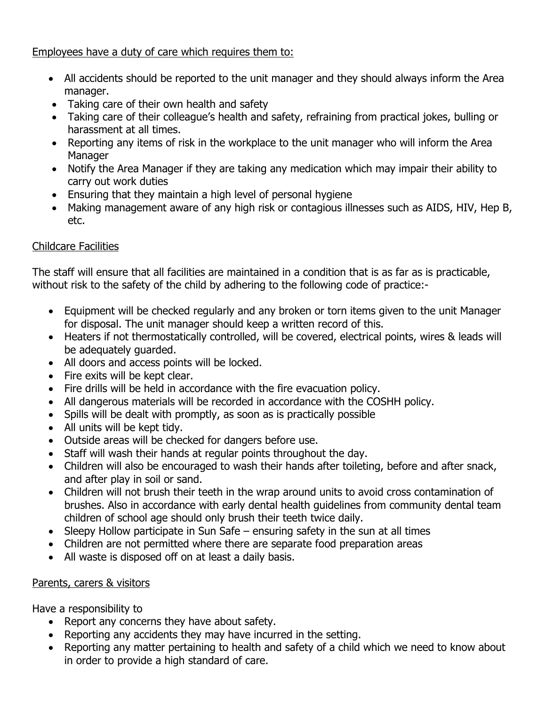## Employees have a duty of care which requires them to:

- All accidents should be reported to the unit manager and they should always inform the Area manager.
- Taking care of their own health and safety
- Taking care of their colleague's health and safety, refraining from practical jokes, bulling or harassment at all times.
- Reporting any items of risk in the workplace to the unit manager who will inform the Area Manager
- Notify the Area Manager if they are taking any medication which may impair their ability to carry out work duties
- Ensuring that they maintain a high level of personal hygiene
- Making management aware of any high risk or contagious illnesses such as AIDS, HIV, Hep B, etc.

## Childcare Facilities

The staff will ensure that all facilities are maintained in a condition that is as far as is practicable, without risk to the safety of the child by adhering to the following code of practice:-

- Equipment will be checked regularly and any broken or torn items given to the unit Manager for disposal. The unit manager should keep a written record of this.
- Heaters if not thermostatically controlled, will be covered, electrical points, wires & leads will be adequately guarded.
- All doors and access points will be locked.
- Fire exits will be kept clear.
- Fire drills will be held in accordance with the fire evacuation policy.
- All dangerous materials will be recorded in accordance with the COSHH policy.
- Spills will be dealt with promptly, as soon as is practically possible
- All units will be kept tidy.
- Outside areas will be checked for dangers before use.
- Staff will wash their hands at regular points throughout the day.
- Children will also be encouraged to wash their hands after toileting, before and after snack, and after play in soil or sand.
- Children will not brush their teeth in the wrap around units to avoid cross contamination of brushes. Also in accordance with early dental health guidelines from community dental team children of school age should only brush their teeth twice daily.
- Sleepy Hollow participate in Sun Safe ensuring safety in the sun at all times
- Children are not permitted where there are separate food preparation areas
- All waste is disposed off on at least a daily basis.

## Parents, carers & visitors

Have a responsibility to

- Report any concerns they have about safety.
- Reporting any accidents they may have incurred in the setting.
- Reporting any matter pertaining to health and safety of a child which we need to know about in order to provide a high standard of care.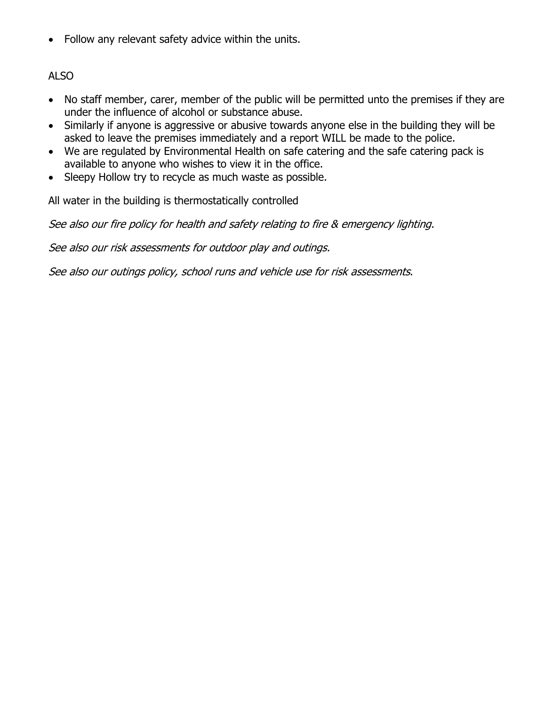• Follow any relevant safety advice within the units.

## ALSO

- No staff member, carer, member of the public will be permitted unto the premises if they are under the influence of alcohol or substance abuse.
- Similarly if anyone is aggressive or abusive towards anyone else in the building they will be asked to leave the premises immediately and a report WILL be made to the police.
- We are regulated by Environmental Health on safe catering and the safe catering pack is available to anyone who wishes to view it in the office.
- Sleepy Hollow try to recycle as much waste as possible.

All water in the building is thermostatically controlled

See also our fire policy for health and safety relating to fire & emergency lighting.

See also our risk assessments for outdoor play and outings.

See also our outings policy, school runs and vehicle use for risk assessments.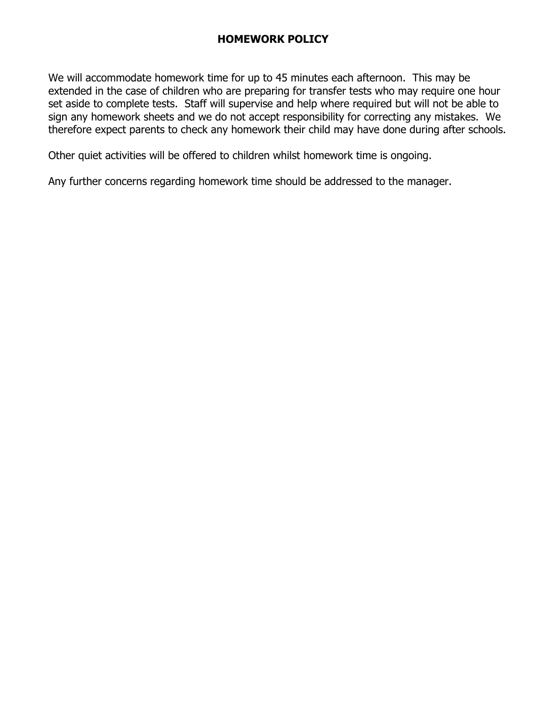#### **HOMEWORK POLICY**

We will accommodate homework time for up to 45 minutes each afternoon. This may be extended in the case of children who are preparing for transfer tests who may require one hour set aside to complete tests. Staff will supervise and help where required but will not be able to sign any homework sheets and we do not accept responsibility for correcting any mistakes. We therefore expect parents to check any homework their child may have done during after schools.

Other quiet activities will be offered to children whilst homework time is ongoing.

Any further concerns regarding homework time should be addressed to the manager.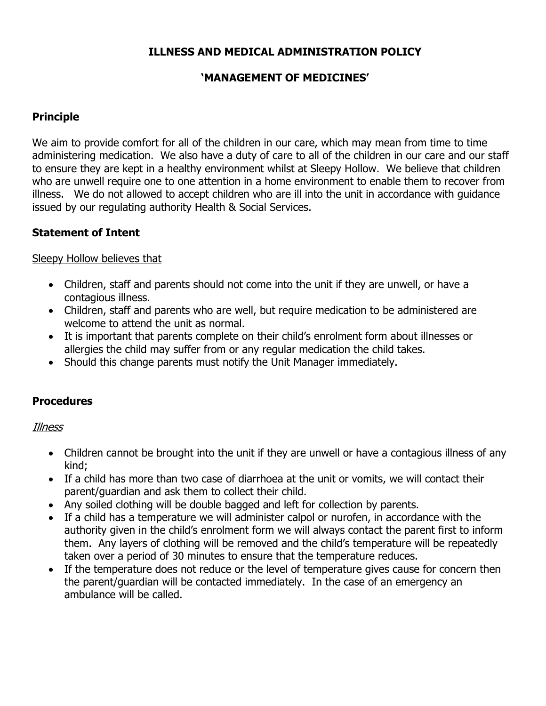## **ILLNESS AND MEDICAL ADMINISTRATION POLICY**

## **'MANAGEMENT OF MEDICINES'**

## **Principle**

We aim to provide comfort for all of the children in our care, which may mean from time to time administering medication. We also have a duty of care to all of the children in our care and our staff to ensure they are kept in a healthy environment whilst at Sleepy Hollow. We believe that children who are unwell require one to one attention in a home environment to enable them to recover from illness. We do not allowed to accept children who are ill into the unit in accordance with guidance issued by our regulating authority Health & Social Services.

#### **Statement of Intent**

#### Sleepy Hollow believes that

- Children, staff and parents should not come into the unit if they are unwell, or have a contagious illness.
- Children, staff and parents who are well, but require medication to be administered are welcome to attend the unit as normal.
- It is important that parents complete on their child's enrolment form about illnesses or allergies the child may suffer from or any regular medication the child takes.
- Should this change parents must notify the Unit Manager immediately.

#### **Procedures**

#### Illness

- Children cannot be brought into the unit if they are unwell or have a contagious illness of any kind;
- If a child has more than two case of diarrhoea at the unit or vomits, we will contact their parent/guardian and ask them to collect their child.
- Any soiled clothing will be double bagged and left for collection by parents.
- If a child has a temperature we will administer calpol or nurofen, in accordance with the authority given in the child's enrolment form we will always contact the parent first to inform them. Any layers of clothing will be removed and the child's temperature will be repeatedly taken over a period of 30 minutes to ensure that the temperature reduces.
- If the temperature does not reduce or the level of temperature gives cause for concern then the parent/guardian will be contacted immediately. In the case of an emergency an ambulance will be called.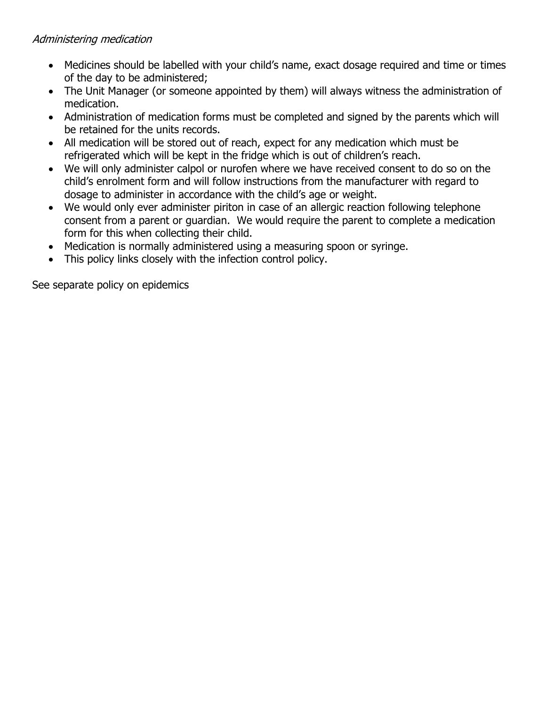#### Administering medication

- Medicines should be labelled with your child's name, exact dosage required and time or times of the day to be administered;
- The Unit Manager (or someone appointed by them) will always witness the administration of medication.
- Administration of medication forms must be completed and signed by the parents which will be retained for the units records.
- All medication will be stored out of reach, expect for any medication which must be refrigerated which will be kept in the fridge which is out of children's reach.
- We will only administer calpol or nurofen where we have received consent to do so on the child's enrolment form and will follow instructions from the manufacturer with regard to dosage to administer in accordance with the child's age or weight.
- We would only ever administer piriton in case of an allergic reaction following telephone consent from a parent or guardian. We would require the parent to complete a medication form for this when collecting their child.
- Medication is normally administered using a measuring spoon or syringe.
- This policy links closely with the infection control policy.

See separate policy on epidemics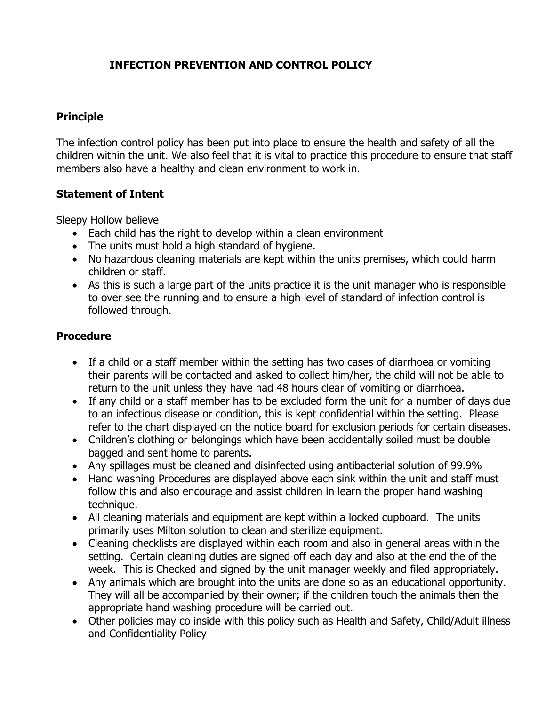# **INFECTION PREVENTION AND CONTROL POLICY**

## **Principle**

The infection control policy has been put into place to ensure the health and safety of all the children within the unit. We also feel that it is vital to practice this procedure to ensure that staff members also have a healthy and clean environment to work in.

### **Statement of Intent**

Sleepy Hollow believe

- Each child has the right to develop within a clean environment
- The units must hold a high standard of hygiene.
- No hazardous cleaning materials are kept within the units premises, which could harm children or staff.
- As this is such a large part of the units practice it is the unit manager who is responsible to over see the running and to ensure a high level of standard of infection control is followed through.

## **Procedure**

- If a child or a staff member within the setting has two cases of diarrhoea or vomiting their parents will be contacted and asked to collect him/her, the child will not be able to return to the unit unless they have had 48 hours clear of vomiting or diarrhoea.
- If any child or a staff member has to be excluded form the unit for a number of days due to an infectious disease or condition, this is kept confidential within the setting. Please refer to the chart displayed on the notice board for exclusion periods for certain diseases.
- Children's clothing or belongings which have been accidentally soiled must be double bagged and sent home to parents.
- Any spillages must be cleaned and disinfected using antibacterial solution of 99.9%
- Hand washing Procedures are displayed above each sink within the unit and staff must follow this and also encourage and assist children in learn the proper hand washing technique.
- All cleaning materials and equipment are kept within a locked cupboard. The units primarily uses Milton solution to clean and sterilize equipment.
- Cleaning checklists are displayed within each room and also in general areas within the setting. Certain cleaning duties are signed off each day and also at the end the of the week. This is Checked and signed by the unit manager weekly and filed appropriately.
- Any animals which are brought into the units are done so as an educational opportunity. They will all be accompanied by their owner; if the children touch the animals then the appropriate hand washing procedure will be carried out.
- Other policies may co inside with this policy such as Health and Safety, Child/Adult illness and Confidentiality Policy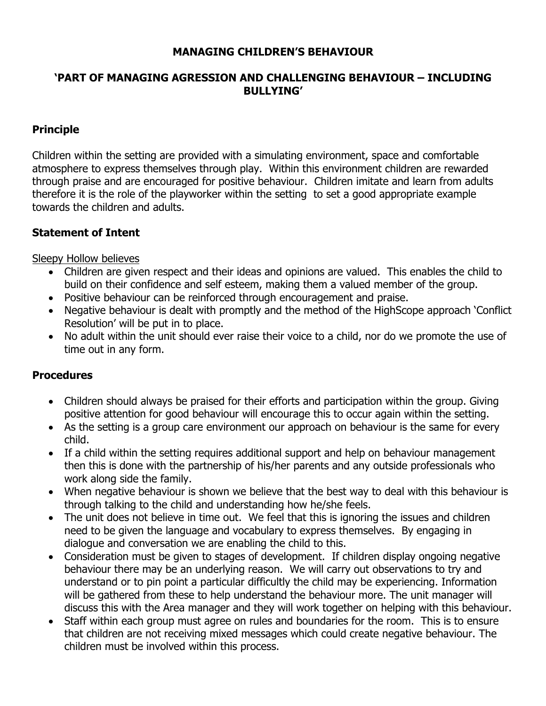### **MANAGING CHILDREN'S BEHAVIOUR**

## **'PART OF MANAGING AGRESSION AND CHALLENGING BEHAVIOUR – INCLUDING BULLYING'**

### **Principle**

Children within the setting are provided with a simulating environment, space and comfortable atmosphere to express themselves through play. Within this environment children are rewarded through praise and are encouraged for positive behaviour. Children imitate and learn from adults therefore it is the role of the playworker within the setting to set a good appropriate example towards the children and adults.

### **Statement of Intent**

Sleepy Hollow believes

- Children are given respect and their ideas and opinions are valued. This enables the child to build on their confidence and self esteem, making them a valued member of the group.
- Positive behaviour can be reinforced through encouragement and praise.
- Negative behaviour is dealt with promptly and the method of the HighScope approach 'Conflict Resolution' will be put in to place.
- No adult within the unit should ever raise their voice to a child, nor do we promote the use of time out in any form.

### **Procedures**

- Children should always be praised for their efforts and participation within the group. Giving positive attention for good behaviour will encourage this to occur again within the setting.
- As the setting is a group care environment our approach on behaviour is the same for every child.
- If a child within the setting requires additional support and help on behaviour management then this is done with the partnership of his/her parents and any outside professionals who work along side the family.
- When negative behaviour is shown we believe that the best way to deal with this behaviour is through talking to the child and understanding how he/she feels.
- The unit does not believe in time out. We feel that this is ignoring the issues and children need to be given the language and vocabulary to express themselves. By engaging in dialogue and conversation we are enabling the child to this.
- Consideration must be given to stages of development. If children display ongoing negative behaviour there may be an underlying reason. We will carry out observations to try and understand or to pin point a particular difficultly the child may be experiencing. Information will be gathered from these to help understand the behaviour more. The unit manager will discuss this with the Area manager and they will work together on helping with this behaviour.
- Staff within each group must agree on rules and boundaries for the room. This is to ensure that children are not receiving mixed messages which could create negative behaviour. The children must be involved within this process.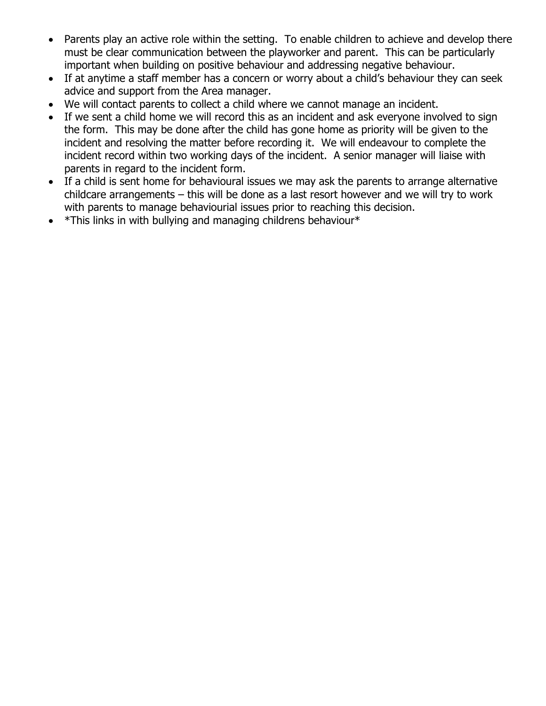- Parents play an active role within the setting. To enable children to achieve and develop there must be clear communication between the playworker and parent. This can be particularly important when building on positive behaviour and addressing negative behaviour.
- If at anytime a staff member has a concern or worry about a child's behaviour they can seek advice and support from the Area manager.
- We will contact parents to collect a child where we cannot manage an incident.
- If we sent a child home we will record this as an incident and ask everyone involved to sign the form. This may be done after the child has gone home as priority will be given to the incident and resolving the matter before recording it. We will endeavour to complete the incident record within two working days of the incident. A senior manager will liaise with parents in regard to the incident form.
- If a child is sent home for behavioural issues we may ask the parents to arrange alternative childcare arrangements – this will be done as a last resort however and we will try to work with parents to manage behaviourial issues prior to reaching this decision.
- \*This links in with bullying and managing childrens behaviour\*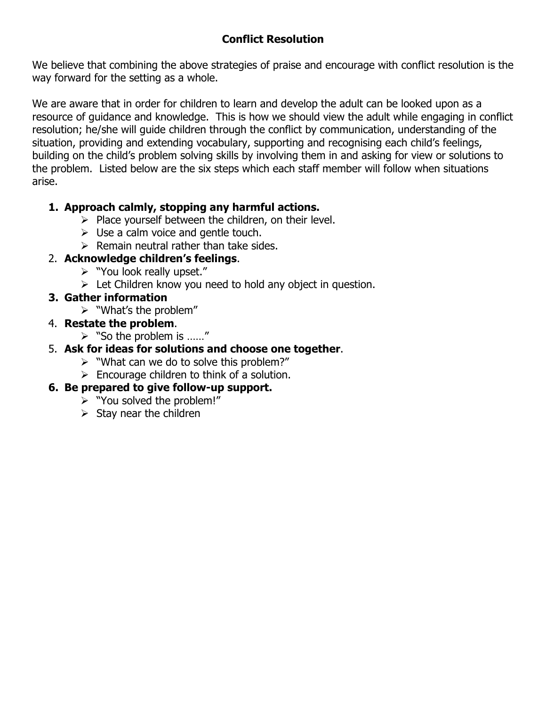# **Conflict Resolution**

We believe that combining the above strategies of praise and encourage with conflict resolution is the way forward for the setting as a whole.

We are aware that in order for children to learn and develop the adult can be looked upon as a resource of guidance and knowledge. This is how we should view the adult while engaging in conflict resolution; he/she will guide children through the conflict by communication, understanding of the situation, providing and extending vocabulary, supporting and recognising each child's feelings, building on the child's problem solving skills by involving them in and asking for view or solutions to the problem. Listed below are the six steps which each staff member will follow when situations arise.

## **1. Approach calmly, stopping any harmful actions.**

- $\triangleright$  Place yourself between the children, on their level.
- $\triangleright$  Use a calm voice and gentle touch.
- $\triangleright$  Remain neutral rather than take sides.

## 2. **Acknowledge children's feelings**.

- $\triangleright$  "You look really upset."
- $\triangleright$  Let Children know you need to hold any object in question.

## **3. Gather information**

 $\triangleright$  "What's the problem"

## 4. **Restate the problem**.

 $\triangleright$  "So the problem is ......"

# 5. **Ask for ideas for solutions and choose one together**.

- $\triangleright$  "What can we do to solve this problem?"
- $\triangleright$  Encourage children to think of a solution.

## **6. Be prepared to give follow-up support.**

- Ø "You solved the problem!"
- $\triangleright$  Stay near the children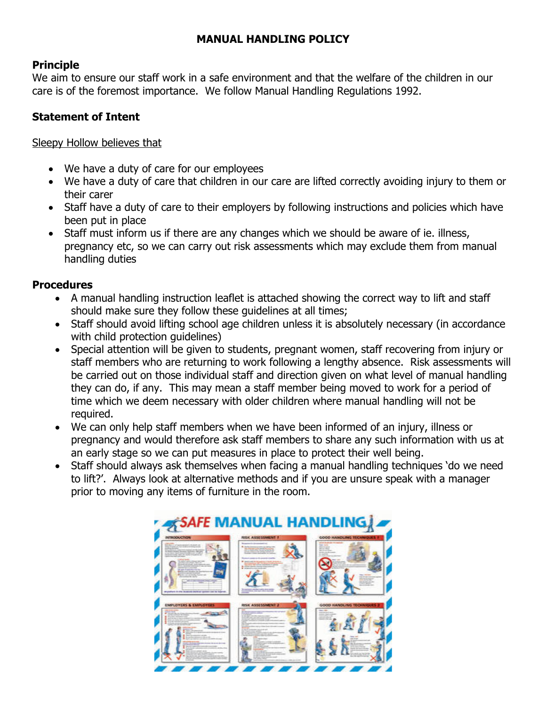## **MANUAL HANDLING POLICY**

## **Principle**

We aim to ensure our staff work in a safe environment and that the welfare of the children in our care is of the foremost importance. We follow Manual Handling Regulations 1992.

## **Statement of Intent**

#### Sleepy Hollow believes that

- We have a duty of care for our employees
- We have a duty of care that children in our care are lifted correctly avoiding injury to them or their carer
- Staff have a duty of care to their employers by following instructions and policies which have been put in place
- Staff must inform us if there are any changes which we should be aware of ie. illness, pregnancy etc, so we can carry out risk assessments which may exclude them from manual handling duties

## **Procedures**

- A manual handling instruction leaflet is attached showing the correct way to lift and staff should make sure they follow these guidelines at all times;
- Staff should avoid lifting school age children unless it is absolutely necessary (in accordance with child protection guidelines)
- Special attention will be given to students, pregnant women, staff recovering from injury or staff members who are returning to work following a lengthy absence. Risk assessments will be carried out on those individual staff and direction given on what level of manual handling they can do, if any. This may mean a staff member being moved to work for a period of time which we deem necessary with older children where manual handling will not be required.
- We can only help staff members when we have been informed of an injury, illness or pregnancy and would therefore ask staff members to share any such information with us at an early stage so we can put measures in place to protect their well being.
- Staff should always ask themselves when facing a manual handling techniques 'do we need to lift?'. Always look at alternative methods and if you are unsure speak with a manager prior to moving any items of furniture in the room.

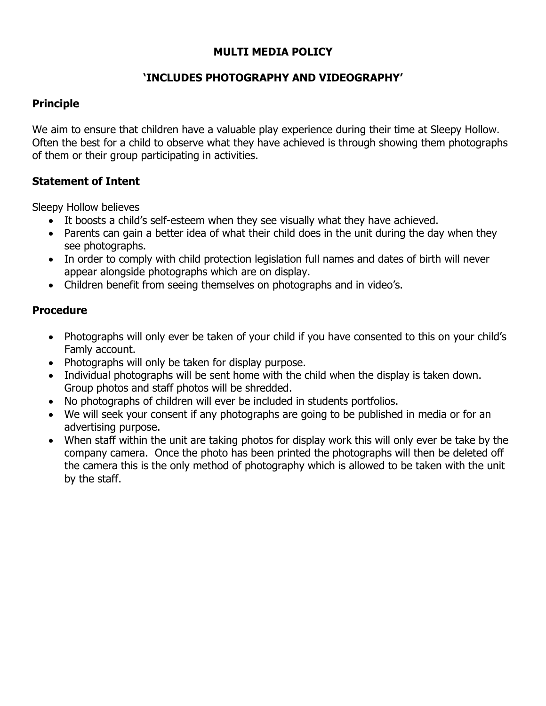### **MULTI MEDIA POLICY**

## **'INCLUDES PHOTOGRAPHY AND VIDEOGRAPHY'**

### **Principle**

We aim to ensure that children have a valuable play experience during their time at Sleepy Hollow. Often the best for a child to observe what they have achieved is through showing them photographs of them or their group participating in activities.

### **Statement of Intent**

Sleepy Hollow believes

- It boosts a child's self-esteem when they see visually what they have achieved.
- Parents can gain a better idea of what their child does in the unit during the day when they see photographs.
- In order to comply with child protection legislation full names and dates of birth will never appear alongside photographs which are on display.
- Children benefit from seeing themselves on photographs and in video's.

### **Procedure**

- Photographs will only ever be taken of your child if you have consented to this on your child's Famly account.
- Photographs will only be taken for display purpose.
- Individual photographs will be sent home with the child when the display is taken down. Group photos and staff photos will be shredded.
- No photographs of children will ever be included in students portfolios.
- We will seek your consent if any photographs are going to be published in media or for an advertising purpose.
- When staff within the unit are taking photos for display work this will only ever be take by the company camera. Once the photo has been printed the photographs will then be deleted off the camera this is the only method of photography which is allowed to be taken with the unit by the staff.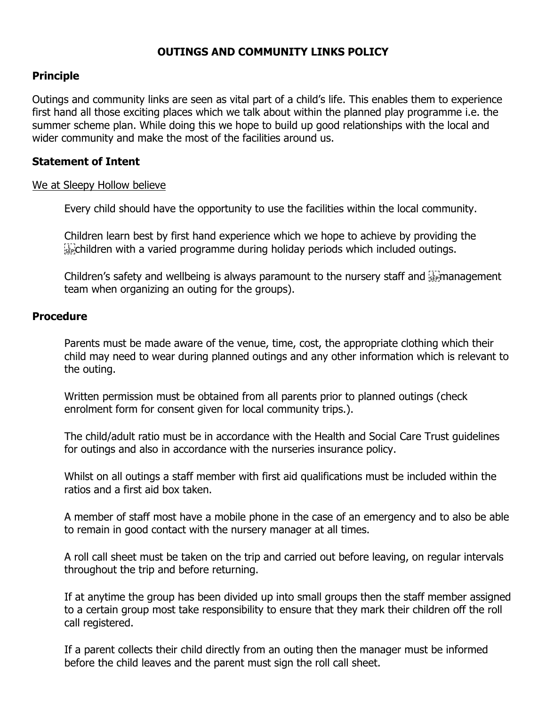### **OUTINGS AND COMMUNITY LINKS POLICY**

#### **Principle**

Outings and community links are seen as vital part of a child's life. This enables them to experience first hand all those exciting places which we talk about within the planned play programme i.e. the summer scheme plan. While doing this we hope to build up good relationships with the local and wider community and make the most of the facilities around us.

#### **Statement of Intent**

#### We at Sleepy Hollow believe

Every child should have the opportunity to use the facilities within the local community.

Children learn best by first hand experience which we hope to achieve by providing the  $\frac{1}{2}$ children with a varied programme during holiday periods which included outings.

Children's safety and wellbeing is always paramount to the nursery staff and  $\mathbb{F}^n$  management team when organizing an outing for the groups).

#### **Procedure**

Parents must be made aware of the venue, time, cost, the appropriate clothing which their child may need to wear during planned outings and any other information which is relevant to the outing.

Written permission must be obtained from all parents prior to planned outings (check enrolment form for consent given for local community trips.).

The child/adult ratio must be in accordance with the Health and Social Care Trust guidelines for outings and also in accordance with the nurseries insurance policy.

Whilst on all outings a staff member with first aid qualifications must be included within the ratios and a first aid box taken.

A member of staff most have a mobile phone in the case of an emergency and to also be able to remain in good contact with the nursery manager at all times.

A roll call sheet must be taken on the trip and carried out before leaving, on regular intervals throughout the trip and before returning.

If at anytime the group has been divided up into small groups then the staff member assigned to a certain group most take responsibility to ensure that they mark their children off the roll call registered.

If a parent collects their child directly from an outing then the manager must be informed before the child leaves and the parent must sign the roll call sheet.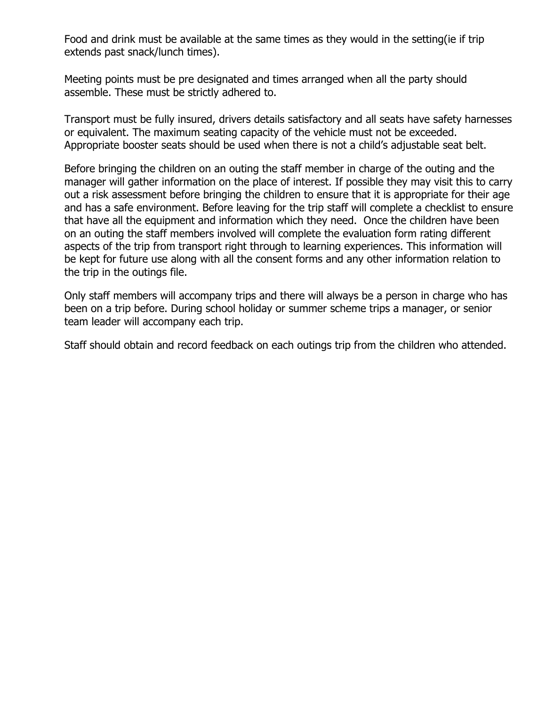Food and drink must be available at the same times as they would in the setting(ie if trip extends past snack/lunch times).

Meeting points must be pre designated and times arranged when all the party should assemble. These must be strictly adhered to.

Transport must be fully insured, drivers details satisfactory and all seats have safety harnesses or equivalent. The maximum seating capacity of the vehicle must not be exceeded. Appropriate booster seats should be used when there is not a child's adjustable seat belt.

Before bringing the children on an outing the staff member in charge of the outing and the manager will gather information on the place of interest. If possible they may visit this to carry out a risk assessment before bringing the children to ensure that it is appropriate for their age and has a safe environment. Before leaving for the trip staff will complete a checklist to ensure that have all the equipment and information which they need. Once the children have been on an outing the staff members involved will complete the evaluation form rating different aspects of the trip from transport right through to learning experiences. This information will be kept for future use along with all the consent forms and any other information relation to the trip in the outings file.

Only staff members will accompany trips and there will always be a person in charge who has been on a trip before. During school holiday or summer scheme trips a manager, or senior team leader will accompany each trip.

Staff should obtain and record feedback on each outings trip from the children who attended.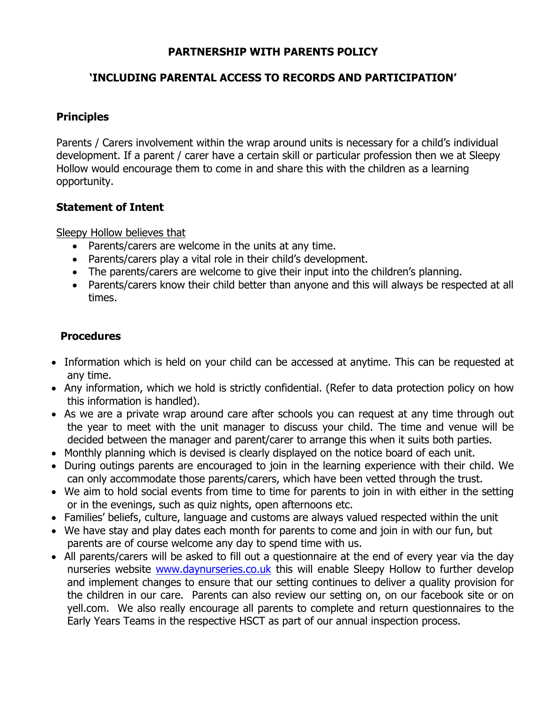## **PARTNERSHIP WITH PARENTS POLICY**

## **'INCLUDING PARENTAL ACCESS TO RECORDS AND PARTICIPATION'**

## **Principles**

Parents / Carers involvement within the wrap around units is necessary for a child's individual development. If a parent / carer have a certain skill or particular profession then we at Sleepy Hollow would encourage them to come in and share this with the children as a learning opportunity.

### **Statement of Intent**

Sleepy Hollow believes that

- Parents/carers are welcome in the units at any time.
- Parents/carers play a vital role in their child's development.
- The parents/carers are welcome to give their input into the children's planning.
- Parents/carers know their child better than anyone and this will always be respected at all times.

### **Procedures**

- Information which is held on your child can be accessed at anytime. This can be requested at any time.
- Any information, which we hold is strictly confidential. (Refer to data protection policy on how this information is handled).
- As we are a private wrap around care after schools you can request at any time through out the year to meet with the unit manager to discuss your child. The time and venue will be decided between the manager and parent/carer to arrange this when it suits both parties.
- Monthly planning which is devised is clearly displayed on the notice board of each unit.
- During outings parents are encouraged to join in the learning experience with their child. We can only accommodate those parents/carers, which have been vetted through the trust.
- We aim to hold social events from time to time for parents to join in with either in the setting or in the evenings, such as quiz nights, open afternoons etc.
- Families' beliefs, culture, language and customs are always valued respected within the unit
- We have stay and play dates each month for parents to come and join in with our fun, but parents are of course welcome any day to spend time with us.
- All parents/carers will be asked to fill out a questionnaire at the end of every year via the day nurseries website www.daynurseries.co.uk this will enable Sleepy Hollow to further develop and implement changes to ensure that our setting continues to deliver a quality provision for the children in our care. Parents can also review our setting on, on our facebook site or on yell.com. We also really encourage all parents to complete and return questionnaires to the Early Years Teams in the respective HSCT as part of our annual inspection process.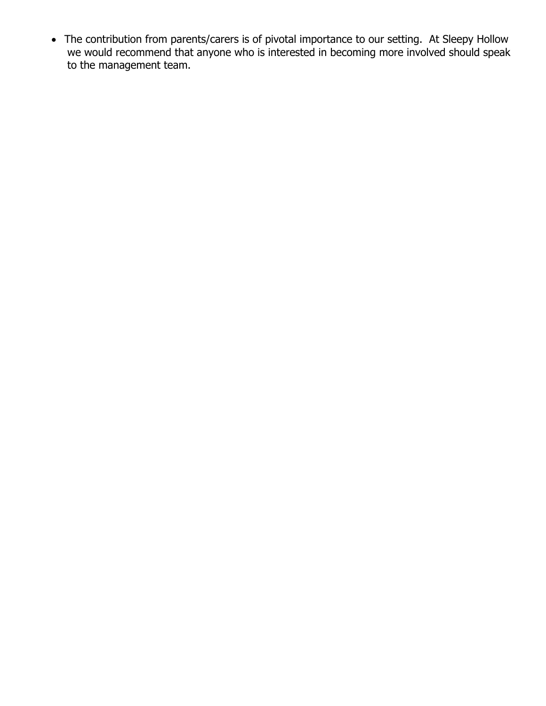• The contribution from parents/carers is of pivotal importance to our setting. At Sleepy Hollow we would recommend that anyone who is interested in becoming more involved should speak to the management team.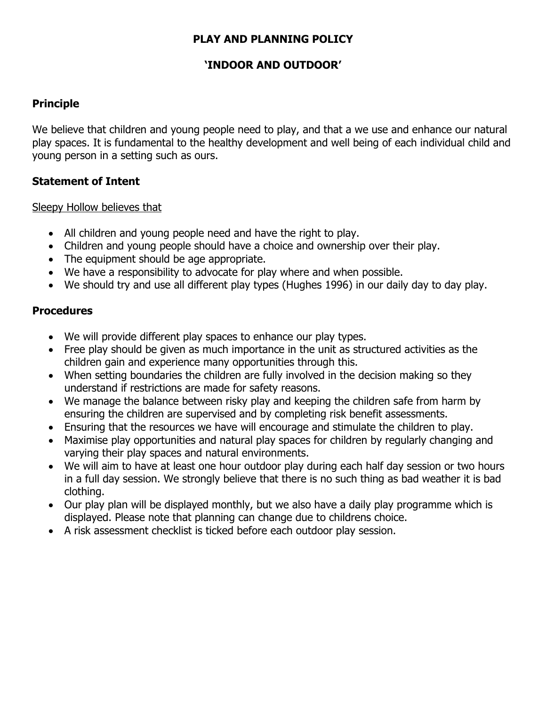## **PLAY AND PLANNING POLICY**

## **'INDOOR AND OUTDOOR'**

## **Principle**

We believe that children and young people need to play, and that a we use and enhance our natural play spaces. It is fundamental to the healthy development and well being of each individual child and young person in a setting such as ours.

### **Statement of Intent**

#### Sleepy Hollow believes that

- All children and young people need and have the right to play.
- Children and young people should have a choice and ownership over their play.
- The equipment should be age appropriate.
- We have a responsibility to advocate for play where and when possible.
- We should try and use all different play types (Hughes 1996) in our daily day to day play.

### **Procedures**

- We will provide different play spaces to enhance our play types.
- Free play should be given as much importance in the unit as structured activities as the children gain and experience many opportunities through this.
- When setting boundaries the children are fully involved in the decision making so they understand if restrictions are made for safety reasons.
- We manage the balance between risky play and keeping the children safe from harm by ensuring the children are supervised and by completing risk benefit assessments.
- Ensuring that the resources we have will encourage and stimulate the children to play.
- Maximise play opportunities and natural play spaces for children by regularly changing and varying their play spaces and natural environments.
- We will aim to have at least one hour outdoor play during each half day session or two hours in a full day session. We strongly believe that there is no such thing as bad weather it is bad clothing.
- Our play plan will be displayed monthly, but we also have a daily play programme which is displayed. Please note that planning can change due to childrens choice.
- A risk assessment checklist is ticked before each outdoor play session.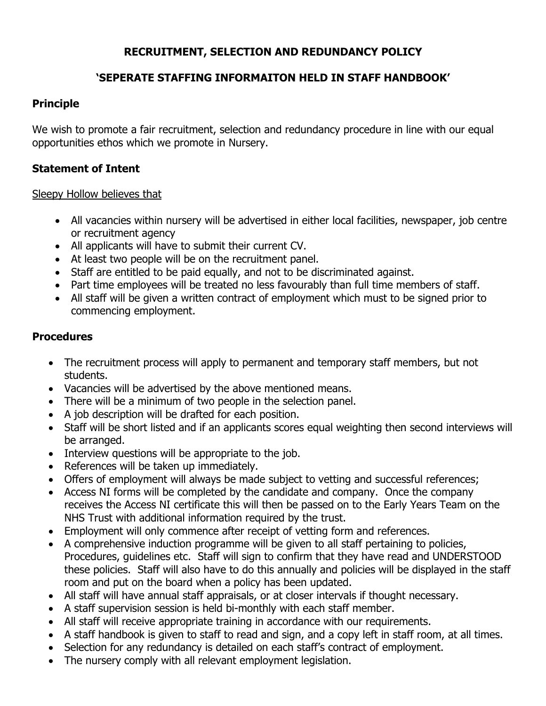## **RECRUITMENT, SELECTION AND REDUNDANCY POLICY**

## **'SEPERATE STAFFING INFORMAITON HELD IN STAFF HANDBOOK'**

## **Principle**

We wish to promote a fair recruitment, selection and redundancy procedure in line with our equal opportunities ethos which we promote in Nursery.

## **Statement of Intent**

### Sleepy Hollow believes that

- All vacancies within nursery will be advertised in either local facilities, newspaper, job centre or recruitment agency
- All applicants will have to submit their current CV.
- At least two people will be on the recruitment panel.
- Staff are entitled to be paid equally, and not to be discriminated against.
- Part time employees will be treated no less favourably than full time members of staff.
- All staff will be given a written contract of employment which must to be signed prior to commencing employment.

### **Procedures**

- The recruitment process will apply to permanent and temporary staff members, but not students.
- Vacancies will be advertised by the above mentioned means.
- There will be a minimum of two people in the selection panel.
- A job description will be drafted for each position.
- Staff will be short listed and if an applicants scores equal weighting then second interviews will be arranged.
- Interview questions will be appropriate to the job.
- References will be taken up immediately.
- Offers of employment will always be made subject to vetting and successful references;
- Access NI forms will be completed by the candidate and company. Once the company receives the Access NI certificate this will then be passed on to the Early Years Team on the NHS Trust with additional information required by the trust.
- Employment will only commence after receipt of vetting form and references.
- A comprehensive induction programme will be given to all staff pertaining to policies, Procedures, guidelines etc. Staff will sign to confirm that they have read and UNDERSTOOD these policies. Staff will also have to do this annually and policies will be displayed in the staff room and put on the board when a policy has been updated.
- All staff will have annual staff appraisals, or at closer intervals if thought necessary.
- A staff supervision session is held bi-monthly with each staff member.
- All staff will receive appropriate training in accordance with our requirements.
- A staff handbook is given to staff to read and sign, and a copy left in staff room, at all times.
- Selection for any redundancy is detailed on each staff's contract of employment.
- The nursery comply with all relevant employment legislation.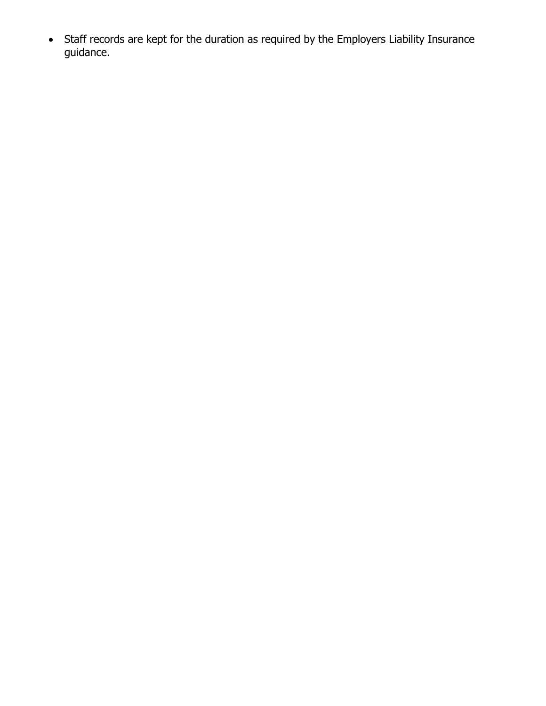• Staff records are kept for the duration as required by the Employers Liability Insurance guidance.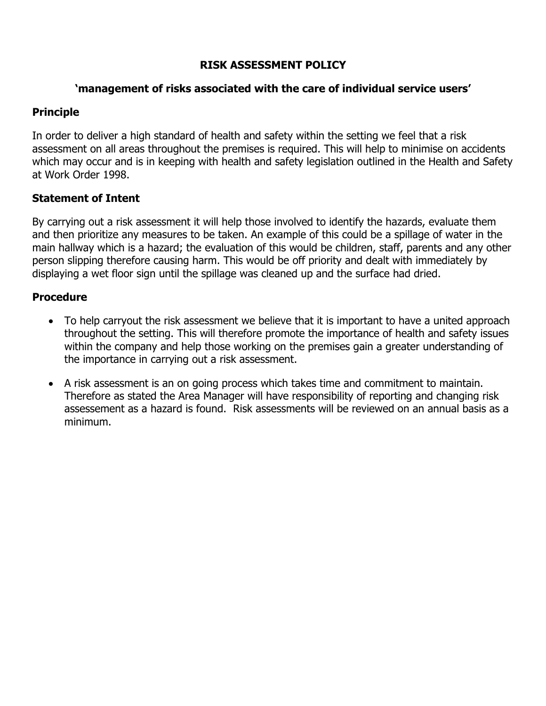## **RISK ASSESSMENT POLICY**

### **'management of risks associated with the care of individual service users'**

## **Principle**

In order to deliver a high standard of health and safety within the setting we feel that a risk assessment on all areas throughout the premises is required. This will help to minimise on accidents which may occur and is in keeping with health and safety legislation outlined in the Health and Safety at Work Order 1998.

## **Statement of Intent**

By carrying out a risk assessment it will help those involved to identify the hazards, evaluate them and then prioritize any measures to be taken. An example of this could be a spillage of water in the main hallway which is a hazard; the evaluation of this would be children, staff, parents and any other person slipping therefore causing harm. This would be off priority and dealt with immediately by displaying a wet floor sign until the spillage was cleaned up and the surface had dried.

## **Procedure**

- To help carryout the risk assessment we believe that it is important to have a united approach throughout the setting. This will therefore promote the importance of health and safety issues within the company and help those working on the premises gain a greater understanding of the importance in carrying out a risk assessment.
- A risk assessment is an on going process which takes time and commitment to maintain. Therefore as stated the Area Manager will have responsibility of reporting and changing risk assessement as a hazard is found. Risk assessments will be reviewed on an annual basis as a minimum.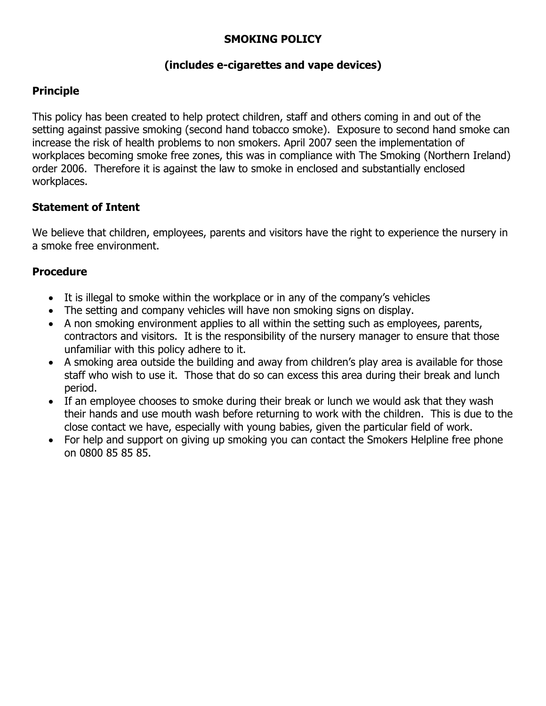## **SMOKING POLICY**

## **(includes e-cigarettes and vape devices)**

## **Principle**

This policy has been created to help protect children, staff and others coming in and out of the setting against passive smoking (second hand tobacco smoke). Exposure to second hand smoke can increase the risk of health problems to non smokers. April 2007 seen the implementation of workplaces becoming smoke free zones, this was in compliance with The Smoking (Northern Ireland) order 2006. Therefore it is against the law to smoke in enclosed and substantially enclosed workplaces.

## **Statement of Intent**

We believe that children, employees, parents and visitors have the right to experience the nursery in a smoke free environment.

## **Procedure**

- It is illegal to smoke within the workplace or in any of the company's vehicles
- The setting and company vehicles will have non smoking signs on display.
- A non smoking environment applies to all within the setting such as employees, parents, contractors and visitors. It is the responsibility of the nursery manager to ensure that those unfamiliar with this policy adhere to it.
- A smoking area outside the building and away from children's play area is available for those staff who wish to use it. Those that do so can excess this area during their break and lunch period.
- If an employee chooses to smoke during their break or lunch we would ask that they wash their hands and use mouth wash before returning to work with the children. This is due to the close contact we have, especially with young babies, given the particular field of work.
- For help and support on giving up smoking you can contact the Smokers Helpline free phone on 0800 85 85 85.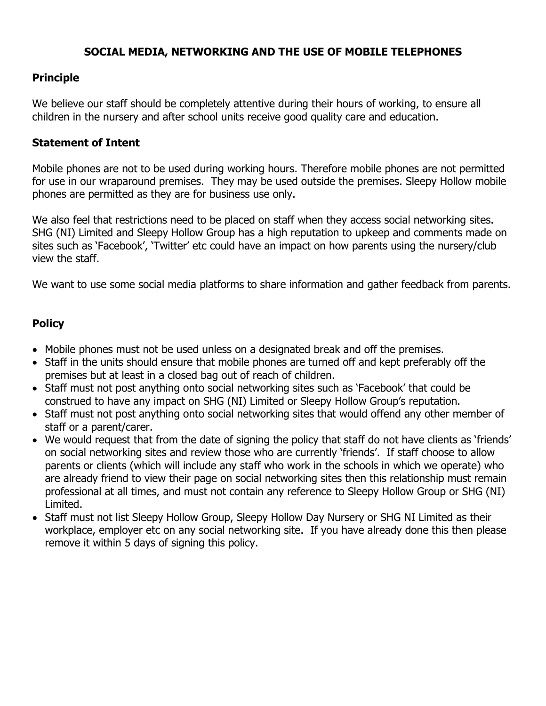### **SOCIAL MEDIA, NETWORKING AND THE USE OF MOBILE TELEPHONES**

### **Principle**

We believe our staff should be completely attentive during their hours of working, to ensure all children in the nursery and after school units receive good quality care and education.

#### **Statement of Intent**

Mobile phones are not to be used during working hours. Therefore mobile phones are not permitted for use in our wraparound premises. They may be used outside the premises. Sleepy Hollow mobile phones are permitted as they are for business use only.

We also feel that restrictions need to be placed on staff when they access social networking sites. SHG (NI) Limited and Sleepy Hollow Group has a high reputation to upkeep and comments made on sites such as 'Facebook', 'Twitter' etc could have an impact on how parents using the nursery/club view the staff.

We want to use some social media platforms to share information and gather feedback from parents.

### **Policy**

- Mobile phones must not be used unless on a designated break and off the premises.
- Staff in the units should ensure that mobile phones are turned off and kept preferably off the premises but at least in a closed bag out of reach of children.
- Staff must not post anything onto social networking sites such as 'Facebook' that could be construed to have any impact on SHG (NI) Limited or Sleepy Hollow Group's reputation.
- Staff must not post anything onto social networking sites that would offend any other member of staff or a parent/carer.
- We would request that from the date of signing the policy that staff do not have clients as 'friends' on social networking sites and review those who are currently 'friends'. If staff choose to allow parents or clients (which will include any staff who work in the schools in which we operate) who are already friend to view their page on social networking sites then this relationship must remain professional at all times, and must not contain any reference to Sleepy Hollow Group or SHG (NI) Limited.
- Staff must not list Sleepy Hollow Group, Sleepy Hollow Day Nursery or SHG NI Limited as their workplace, employer etc on any social networking site. If you have already done this then please remove it within 5 days of signing this policy.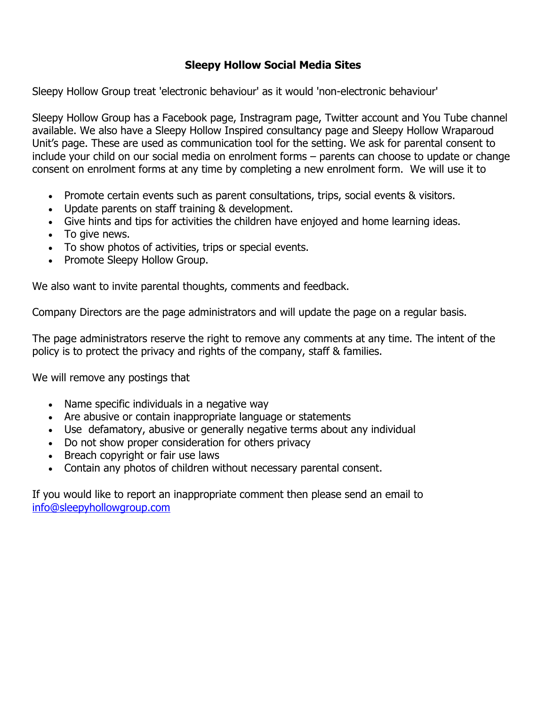## **Sleepy Hollow Social Media Sites**

Sleepy Hollow Group treat 'electronic behaviour' as it would 'non-electronic behaviour'

Sleepy Hollow Group has a Facebook page, Instragram page, Twitter account and You Tube channel available. We also have a Sleepy Hollow Inspired consultancy page and Sleepy Hollow Wraparoud Unit's page. These are used as communication tool for the setting. We ask for parental consent to include your child on our social media on enrolment forms – parents can choose to update or change consent on enrolment forms at any time by completing a new enrolment form. We will use it to

- Promote certain events such as parent consultations, trips, social events & visitors.
- Update parents on staff training & development.
- Give hints and tips for activities the children have enjoyed and home learning ideas.
- To give news.
- To show photos of activities, trips or special events.
- Promote Sleepy Hollow Group.

We also want to invite parental thoughts, comments and feedback.

Company Directors are the page administrators and will update the page on a regular basis.

The page administrators reserve the right to remove any comments at any time. The intent of the policy is to protect the privacy and rights of the company, staff & families.

We will remove any postings that

- Name specific individuals in a negative way
- Are abusive or contain inappropriate language or statements
- Use defamatory, abusive or generally negative terms about any individual
- Do not show proper consideration for others privacy
- Breach copyright or fair use laws
- Contain any photos of children without necessary parental consent.

If you would like to report an inappropriate comment then please send an email to info@sleepyhollowgroup.com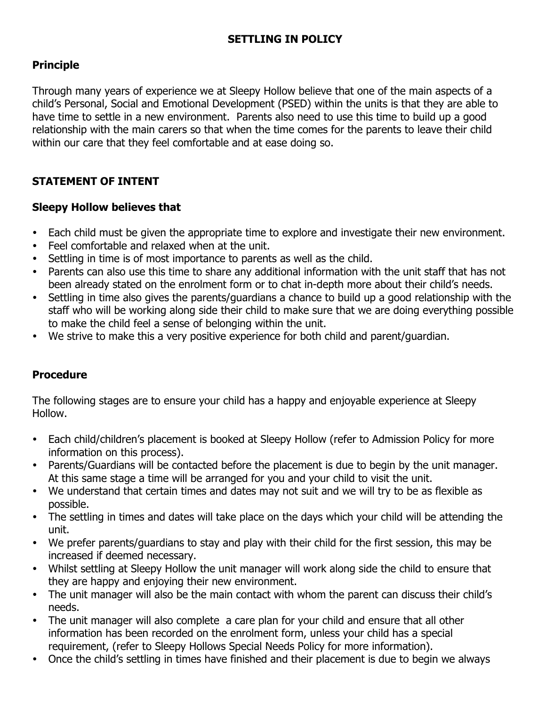## **SETTLING IN POLICY**

## **Principle**

Through many years of experience we at Sleepy Hollow believe that one of the main aspects of a child's Personal, Social and Emotional Development (PSED) within the units is that they are able to have time to settle in a new environment. Parents also need to use this time to build up a good relationship with the main carers so that when the time comes for the parents to leave their child within our care that they feel comfortable and at ease doing so.

## **STATEMENT OF INTENT**

### **Sleepy Hollow believes that**

- Each child must be given the appropriate time to explore and investigate their new environment.
- Feel comfortable and relaxed when at the unit.
- Settling in time is of most importance to parents as well as the child.
- Parents can also use this time to share any additional information with the unit staff that has not been already stated on the enrolment form or to chat in-depth more about their child's needs.
- Settling in time also gives the parents/guardians a chance to build up a good relationship with the staff who will be working along side their child to make sure that we are doing everything possible to make the child feel a sense of belonging within the unit.
- We strive to make this a very positive experience for both child and parent/guardian.

### **Procedure**

The following stages are to ensure your child has a happy and enjoyable experience at Sleepy Hollow.

- Each child/children's placement is booked at Sleepy Hollow (refer to Admission Policy for more information on this process).
- Parents/Guardians will be contacted before the placement is due to begin by the unit manager. At this same stage a time will be arranged for you and your child to visit the unit.
- We understand that certain times and dates may not suit and we will try to be as flexible as possible.
- The settling in times and dates will take place on the days which your child will be attending the unit.
- We prefer parents/guardians to stay and play with their child for the first session, this may be increased if deemed necessary.
- Whilst settling at Sleepy Hollow the unit manager will work along side the child to ensure that they are happy and enjoying their new environment.
- The unit manager will also be the main contact with whom the parent can discuss their child's needs.
- The unit manager will also complete a care plan for your child and ensure that all other information has been recorded on the enrolment form, unless your child has a special requirement, (refer to Sleepy Hollows Special Needs Policy for more information).
- Once the child's settling in times have finished and their placement is due to begin we always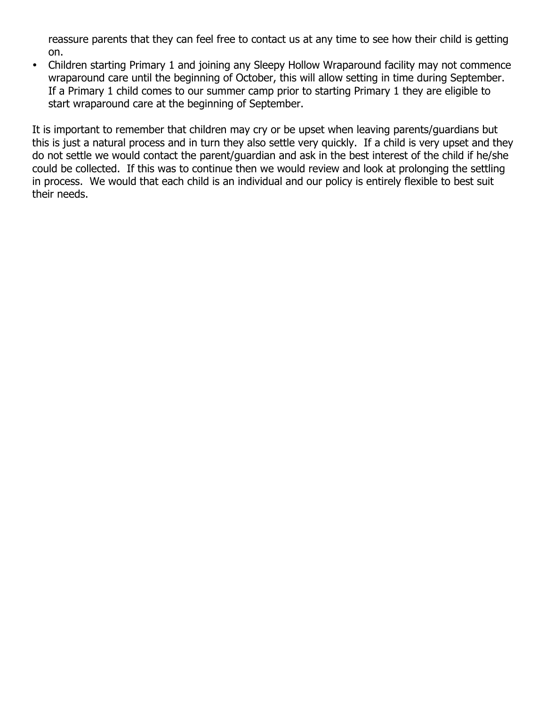reassure parents that they can feel free to contact us at any time to see how their child is getting on.

• Children starting Primary 1 and joining any Sleepy Hollow Wraparound facility may not commence wraparound care until the beginning of October, this will allow setting in time during September. If a Primary 1 child comes to our summer camp prior to starting Primary 1 they are eligible to start wraparound care at the beginning of September.

It is important to remember that children may cry or be upset when leaving parents/guardians but this is just a natural process and in turn they also settle very quickly. If a child is very upset and they do not settle we would contact the parent/guardian and ask in the best interest of the child if he/she could be collected. If this was to continue then we would review and look at prolonging the settling in process. We would that each child is an individual and our policy is entirely flexible to best suit their needs.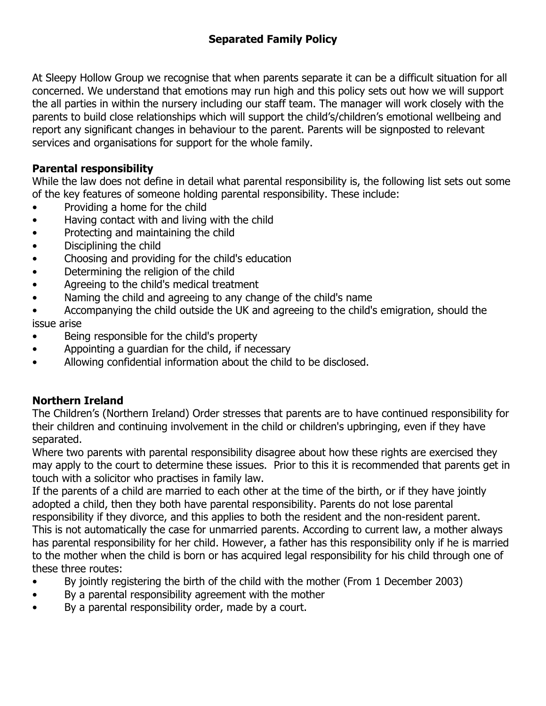At Sleepy Hollow Group we recognise that when parents separate it can be a difficult situation for all concerned. We understand that emotions may run high and this policy sets out how we will support the all parties in within the nursery including our staff team. The manager will work closely with the parents to build close relationships which will support the child's/children's emotional wellbeing and report any significant changes in behaviour to the parent. Parents will be signposted to relevant services and organisations for support for the whole family.

# **Parental responsibility**

While the law does not define in detail what parental responsibility is, the following list sets out some of the key features of someone holding parental responsibility. These include:

- Providing a home for the child
- Having contact with and living with the child
- Protecting and maintaining the child
- Disciplining the child
- Choosing and providing for the child's education
- Determining the religion of the child
- Agreeing to the child's medical treatment
- Naming the child and agreeing to any change of the child's name
- Accompanying the child outside the UK and agreeing to the child's emigration, should the issue arise
- Being responsible for the child's property
- Appointing a guardian for the child, if necessary
- Allowing confidential information about the child to be disclosed.

### **Northern Ireland**

The Children's (Northern Ireland) Order stresses that parents are to have continued responsibility for their children and continuing involvement in the child or children's upbringing, even if they have separated.

Where two parents with parental responsibility disagree about how these rights are exercised they may apply to the court to determine these issues. Prior to this it is recommended that parents get in touch with a solicitor who practises in family law.

If the parents of a child are married to each other at the time of the birth, or if they have jointly adopted a child, then they both have parental responsibility. Parents do not lose parental responsibility if they divorce, and this applies to both the resident and the non-resident parent. This is not automatically the case for unmarried parents. According to current law, a mother always has parental responsibility for her child. However, a father has this responsibility only if he is married to the mother when the child is born or has acquired legal responsibility for his child through one of these three routes:

- By jointly registering the birth of the child with the mother (From 1 December 2003)
- By a parental responsibility agreement with the mother
- By a parental responsibility order, made by a court.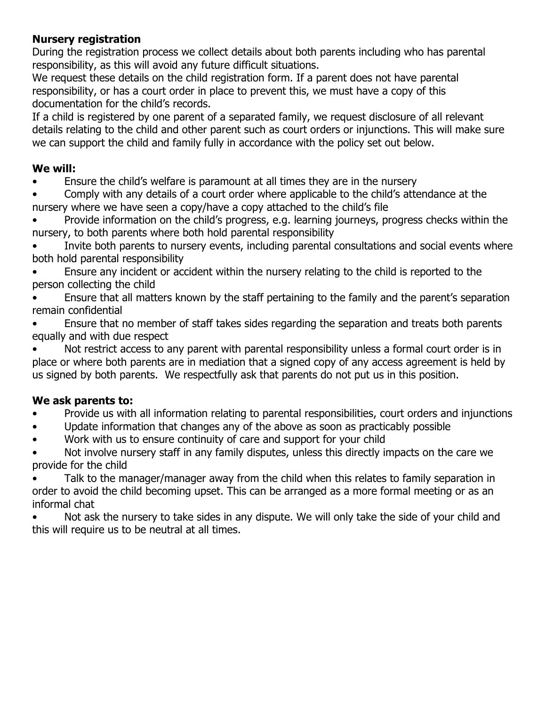# **Nursery registration**

During the registration process we collect details about both parents including who has parental responsibility, as this will avoid any future difficult situations.

We request these details on the child registration form. If a parent does not have parental responsibility, or has a court order in place to prevent this, we must have a copy of this documentation for the child's records.

If a child is registered by one parent of a separated family, we request disclosure of all relevant details relating to the child and other parent such as court orders or injunctions. This will make sure we can support the child and family fully in accordance with the policy set out below.

## **We will:**

• Ensure the child's welfare is paramount at all times they are in the nursery

• Comply with any details of a court order where applicable to the child's attendance at the nursery where we have seen a copy/have a copy attached to the child's file

• Provide information on the child's progress, e.g. learning journeys, progress checks within the nursery, to both parents where both hold parental responsibility

Invite both parents to nursery events, including parental consultations and social events where both hold parental responsibility

• Ensure any incident or accident within the nursery relating to the child is reported to the person collecting the child

• Ensure that all matters known by the staff pertaining to the family and the parent's separation remain confidential

• Ensure that no member of staff takes sides regarding the separation and treats both parents equally and with due respect

Not restrict access to any parent with parental responsibility unless a formal court order is in place or where both parents are in mediation that a signed copy of any access agreement is held by us signed by both parents. We respectfully ask that parents do not put us in this position.

## **We ask parents to:**

- Provide us with all information relating to parental responsibilities, court orders and injunctions
- Update information that changes any of the above as soon as practicably possible
- Work with us to ensure continuity of care and support for your child

• Not involve nursery staff in any family disputes, unless this directly impacts on the care we provide for the child

• Talk to the manager/manager away from the child when this relates to family separation in order to avoid the child becoming upset. This can be arranged as a more formal meeting or as an informal chat

• Not ask the nursery to take sides in any dispute. We will only take the side of your child and this will require us to be neutral at all times.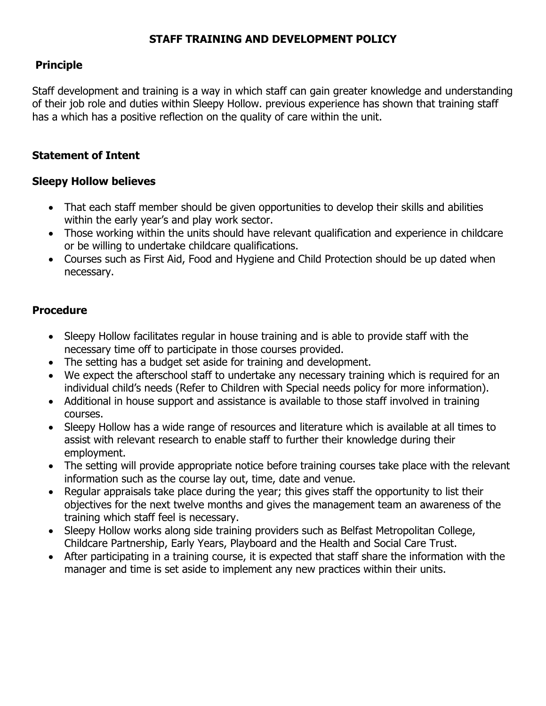## **STAFF TRAINING AND DEVELOPMENT POLICY**

## **Principle**

Staff development and training is a way in which staff can gain greater knowledge and understanding of their job role and duties within Sleepy Hollow. previous experience has shown that training staff has a which has a positive reflection on the quality of care within the unit.

### **Statement of Intent**

### **Sleepy Hollow believes**

- That each staff member should be given opportunities to develop their skills and abilities within the early year's and play work sector.
- Those working within the units should have relevant qualification and experience in childcare or be willing to undertake childcare qualifications.
- Courses such as First Aid, Food and Hygiene and Child Protection should be up dated when necessary.

### **Procedure**

- Sleepy Hollow facilitates regular in house training and is able to provide staff with the necessary time off to participate in those courses provided.
- The setting has a budget set aside for training and development.
- We expect the afterschool staff to undertake any necessary training which is required for an individual child's needs (Refer to Children with Special needs policy for more information).
- Additional in house support and assistance is available to those staff involved in training courses.
- Sleepy Hollow has a wide range of resources and literature which is available at all times to assist with relevant research to enable staff to further their knowledge during their employment.
- The setting will provide appropriate notice before training courses take place with the relevant information such as the course lay out, time, date and venue.
- Regular appraisals take place during the year; this gives staff the opportunity to list their objectives for the next twelve months and gives the management team an awareness of the training which staff feel is necessary.
- Sleepy Hollow works along side training providers such as Belfast Metropolitan College, Childcare Partnership, Early Years, Playboard and the Health and Social Care Trust.
- After participating in a training course, it is expected that staff share the information with the manager and time is set aside to implement any new practices within their units.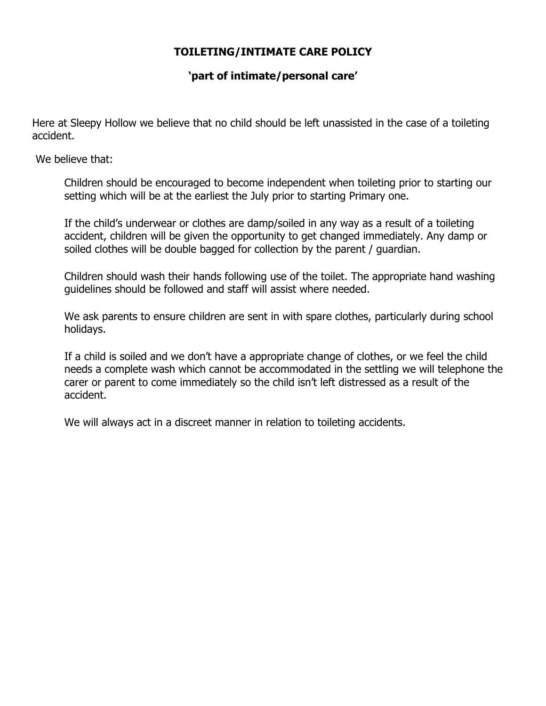### **TOILETING/INTIMATE CARE POLICY**

### **'part of intimate/personal care'**

Here at Sleepy Hollow we believe that no child should be left unassisted in the case of a toileting accident.

We believe that:

Children should be encouraged to become independent when toileting prior to starting our setting which will be at the earliest the July prior to starting Primary one.

If the child's underwear or clothes are damp/soiled in any way as a result of a toileting accident, children will be given the opportunity to get changed immediately. Any damp or soiled clothes will be double bagged for collection by the parent / guardian.

Children should wash their hands following use of the toilet. The appropriate hand washing guidelines should be followed and staff will assist where needed.

We ask parents to ensure children are sent in with spare clothes, particularly during school holidays.

If a child is soiled and we don't have a appropriate change of clothes, or we feel the child needs a complete wash which cannot be accommodated in the settling we will telephone the carer or parent to come immediately so the child isn't left distressed as a result of the accident.

We will always act in a discreet manner in relation to toileting accidents.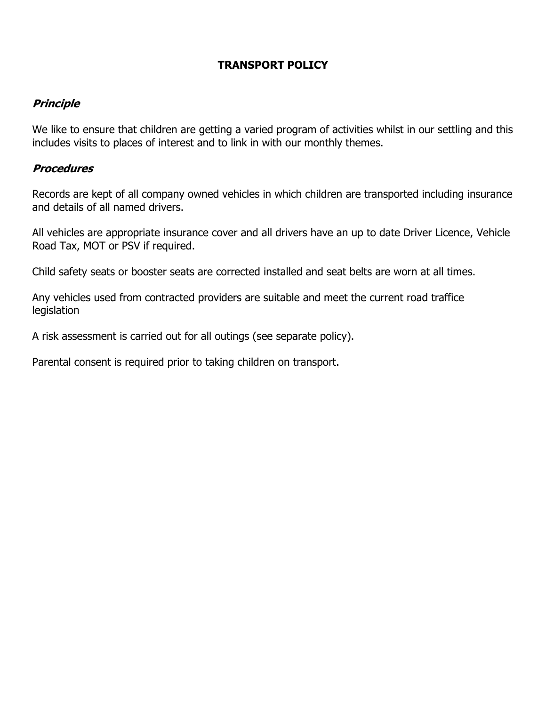## **TRANSPORT POLICY**

### **Principle**

We like to ensure that children are getting a varied program of activities whilst in our settling and this includes visits to places of interest and to link in with our monthly themes.

#### **Procedures**

Records are kept of all company owned vehicles in which children are transported including insurance and details of all named drivers.

All vehicles are appropriate insurance cover and all drivers have an up to date Driver Licence, Vehicle Road Tax, MOT or PSV if required.

Child safety seats or booster seats are corrected installed and seat belts are worn at all times.

Any vehicles used from contracted providers are suitable and meet the current road traffice legislation

A risk assessment is carried out for all outings (see separate policy).

Parental consent is required prior to taking children on transport.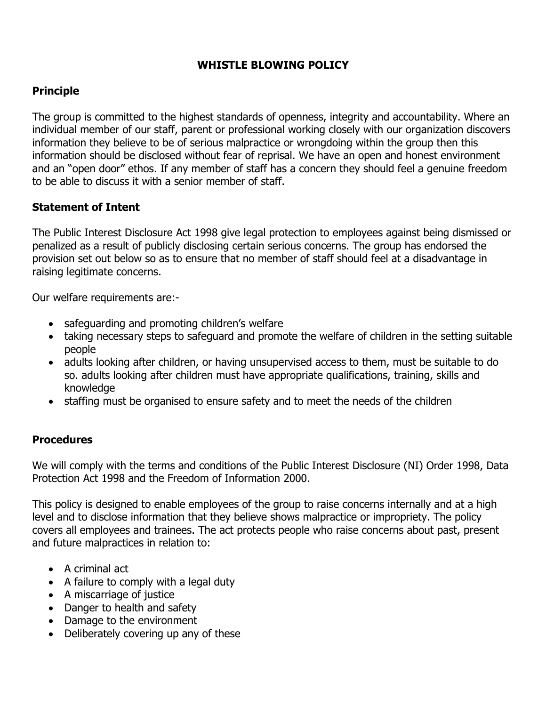## **WHISTLE BLOWING POLICY**

# **Principle**

The group is committed to the highest standards of openness, integrity and accountability. Where an individual member of our staff, parent or professional working closely with our organization discovers information they believe to be of serious malpractice or wrongdoing within the group then this information should be disclosed without fear of reprisal. We have an open and honest environment and an "open door" ethos. If any member of staff has a concern they should feel a genuine freedom to be able to discuss it with a senior member of staff.

## **Statement of Intent**

The Public Interest Disclosure Act 1998 give legal protection to employees against being dismissed or penalized as a result of publicly disclosing certain serious concerns. The group has endorsed the provision set out below so as to ensure that no member of staff should feel at a disadvantage in raising legitimate concerns.

Our welfare requirements are:-

- safeguarding and promoting children's welfare
- taking necessary steps to safeguard and promote the welfare of children in the setting suitable people
- adults looking after children, or having unsupervised access to them, must be suitable to do so. adults looking after children must have appropriate qualifications, training, skills and knowledge
- staffing must be organised to ensure safety and to meet the needs of the children

## **Procedures**

We will comply with the terms and conditions of the Public Interest Disclosure (NI) Order 1998, Data Protection Act 1998 and the Freedom of Information 2000.

This policy is designed to enable employees of the group to raise concerns internally and at a high level and to disclose information that they believe shows malpractice or impropriety. The policy covers all employees and trainees. The act protects people who raise concerns about past, present and future malpractices in relation to:

- A criminal act
- A failure to comply with a legal duty
- A miscarriage of justice
- Danger to health and safety
- Damage to the environment
- Deliberately covering up any of these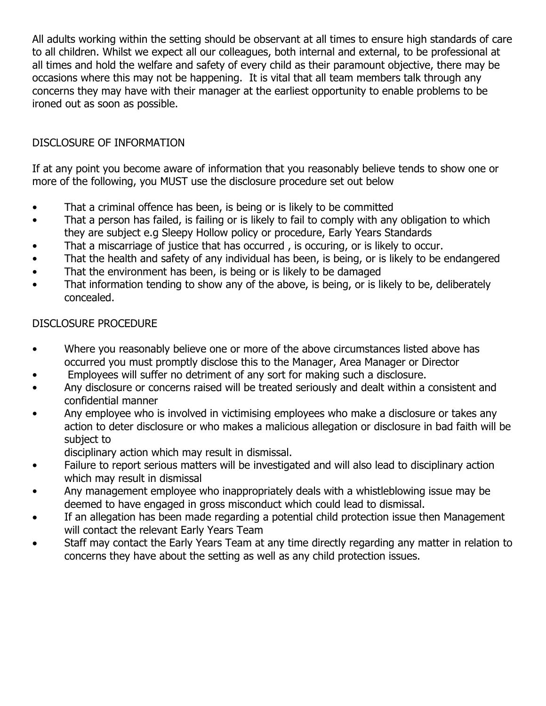All adults working within the setting should be observant at all times to ensure high standards of care to all children. Whilst we expect all our colleagues, both internal and external, to be professional at all times and hold the welfare and safety of every child as their paramount objective, there may be occasions where this may not be happening. It is vital that all team members talk through any concerns they may have with their manager at the earliest opportunity to enable problems to be ironed out as soon as possible.

# DISCLOSURE OF INFORMATION

If at any point you become aware of information that you reasonably believe tends to show one or more of the following, you MUST use the disclosure procedure set out below

- That a criminal offence has been, is being or is likely to be committed
- That a person has failed, is failing or is likely to fail to comply with any obligation to which they are subject e.g Sleepy Hollow policy or procedure, Early Years Standards
- That a miscarriage of justice that has occurred , is occuring, or is likely to occur.
- That the health and safety of any individual has been, is being, or is likely to be endangered
- That the environment has been, is being or is likely to be damaged
- That information tending to show any of the above, is being, or is likely to be, deliberately concealed.

## DISCLOSURE PROCEDURE

- Where you reasonably believe one or more of the above circumstances listed above has occurred you must promptly disclose this to the Manager, Area Manager or Director
- Employees will suffer no detriment of any sort for making such a disclosure.
- Any disclosure or concerns raised will be treated seriously and dealt within a consistent and confidential manner
- Any employee who is involved in victimising employees who make a disclosure or takes any action to deter disclosure or who makes a malicious allegation or disclosure in bad faith will be subject to

disciplinary action which may result in dismissal.

- Failure to report serious matters will be investigated and will also lead to disciplinary action which may result in dismissal
- Any management employee who inappropriately deals with a whistleblowing issue may be deemed to have engaged in gross misconduct which could lead to dismissal.
- If an allegation has been made regarding a potential child protection issue then Management will contact the relevant Early Years Team
- Staff may contact the Early Years Team at any time directly regarding any matter in relation to concerns they have about the setting as well as any child protection issues.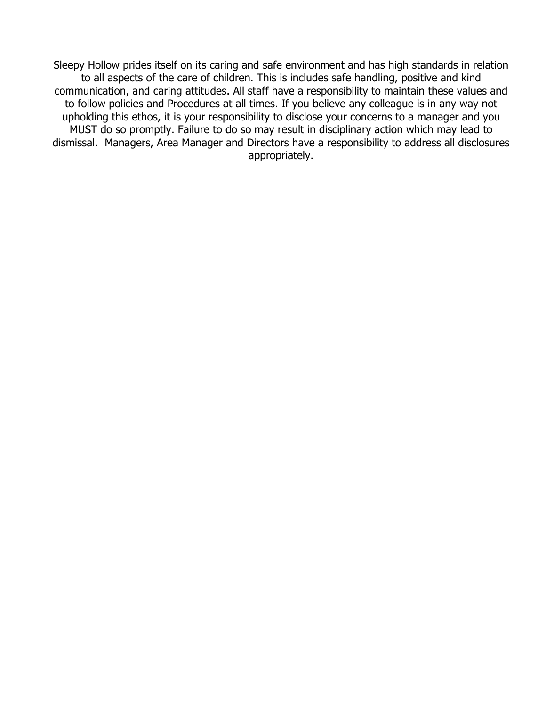Sleepy Hollow prides itself on its caring and safe environment and has high standards in relation to all aspects of the care of children. This is includes safe handling, positive and kind communication, and caring attitudes. All staff have a responsibility to maintain these values and to follow policies and Procedures at all times. If you believe any colleague is in any way not upholding this ethos, it is your responsibility to disclose your concerns to a manager and you MUST do so promptly. Failure to do so may result in disciplinary action which may lead to dismissal. Managers, Area Manager and Directors have a responsibility to address all disclosures appropriately.